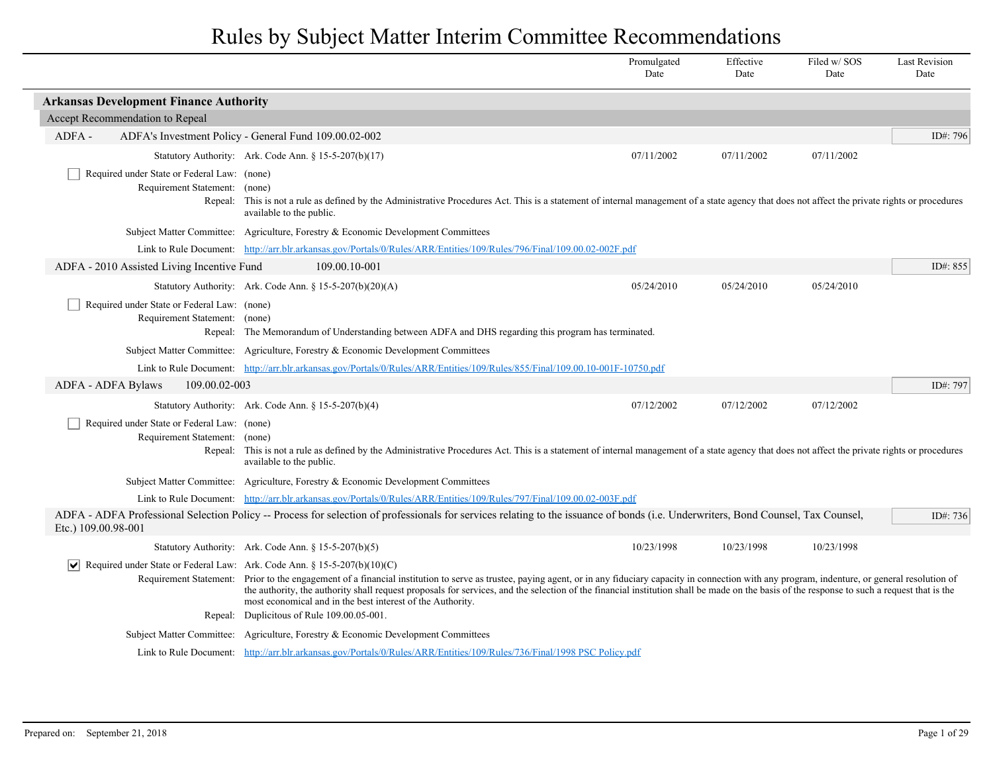|                                                                                                   |                                                                                                                                                                                                                                                                                                                                                                                                                                                                                                                         | Promulgated<br>Date | Effective<br>Date | Filed w/SOS<br>Date | <b>Last Revision</b><br>Date |
|---------------------------------------------------------------------------------------------------|-------------------------------------------------------------------------------------------------------------------------------------------------------------------------------------------------------------------------------------------------------------------------------------------------------------------------------------------------------------------------------------------------------------------------------------------------------------------------------------------------------------------------|---------------------|-------------------|---------------------|------------------------------|
| <b>Arkansas Development Finance Authority</b>                                                     |                                                                                                                                                                                                                                                                                                                                                                                                                                                                                                                         |                     |                   |                     |                              |
| Accept Recommendation to Repeal                                                                   |                                                                                                                                                                                                                                                                                                                                                                                                                                                                                                                         |                     |                   |                     |                              |
| ADFA-                                                                                             | ADFA's Investment Policy - General Fund 109.00.02-002                                                                                                                                                                                                                                                                                                                                                                                                                                                                   |                     |                   |                     | ID#: 796                     |
|                                                                                                   | Statutory Authority: Ark. Code Ann. § 15-5-207(b)(17)                                                                                                                                                                                                                                                                                                                                                                                                                                                                   | 07/11/2002          | 07/11/2002        | 07/11/2002          |                              |
| Required under State or Federal Law: (none)<br>Requirement Statement: (none)                      | Repeal: This is not a rule as defined by the Administrative Procedures Act. This is a statement of internal management of a state agency that does not affect the private rights or procedures<br>available to the public.                                                                                                                                                                                                                                                                                              |                     |                   |                     |                              |
|                                                                                                   | Subject Matter Committee: Agriculture, Forestry & Economic Development Committees                                                                                                                                                                                                                                                                                                                                                                                                                                       |                     |                   |                     |                              |
|                                                                                                   | Link to Rule Document: http://arr.blr.arkansas.gov/Portals/0/Rules/ARR/Entities/109/Rules/796/Final/109.00.02-002F.pdf                                                                                                                                                                                                                                                                                                                                                                                                  |                     |                   |                     |                              |
| ADFA - 2010 Assisted Living Incentive Fund                                                        | 109.00.10-001                                                                                                                                                                                                                                                                                                                                                                                                                                                                                                           |                     |                   |                     | ID#: $855$                   |
|                                                                                                   | Statutory Authority: Ark. Code Ann. § $15-5-207(b)(20)(A)$                                                                                                                                                                                                                                                                                                                                                                                                                                                              | 05/24/2010          | 05/24/2010        | 05/24/2010          |                              |
| Required under State or Federal Law: (none)<br>Requirement Statement: (none)                      | Repeal: The Memorandum of Understanding between ADFA and DHS regarding this program has terminated.                                                                                                                                                                                                                                                                                                                                                                                                                     |                     |                   |                     |                              |
|                                                                                                   | Subject Matter Committee: Agriculture, Forestry & Economic Development Committees                                                                                                                                                                                                                                                                                                                                                                                                                                       |                     |                   |                     |                              |
|                                                                                                   | Link to Rule Document: http://arr.blr.arkansas.gov/Portals/0/Rules/ARR/Entities/109/Rules/855/Final/109.00.10-001F-10750.pdf                                                                                                                                                                                                                                                                                                                                                                                            |                     |                   |                     |                              |
| ADFA - ADFA Bylaws<br>109.00.02-003                                                               |                                                                                                                                                                                                                                                                                                                                                                                                                                                                                                                         |                     |                   |                     | ID#: 797                     |
|                                                                                                   | Statutory Authority: Ark. Code Ann. § 15-5-207(b)(4)                                                                                                                                                                                                                                                                                                                                                                                                                                                                    | 07/12/2002          | 07/12/2002        | 07/12/2002          |                              |
| Required under State or Federal Law: (none)<br>Requirement Statement: (none)                      | Repeal: This is not a rule as defined by the Administrative Procedures Act. This is a statement of internal management of a state agency that does not affect the private rights or procedures<br>available to the public.                                                                                                                                                                                                                                                                                              |                     |                   |                     |                              |
|                                                                                                   | Subject Matter Committee: Agriculture, Forestry & Economic Development Committees                                                                                                                                                                                                                                                                                                                                                                                                                                       |                     |                   |                     |                              |
|                                                                                                   | Link to Rule Document: http://arr.blr.arkansas.gov/Portals/0/Rules/ARR/Entities/109/Rules/797/Final/109.00.02-003F.pdf                                                                                                                                                                                                                                                                                                                                                                                                  |                     |                   |                     |                              |
| Etc.) 109.00.98-001                                                                               | ADFA - ADFA Professional Selection Policy -- Process for selection of professionals for services relating to the issuance of bonds (i.e. Underwriters, Bond Counsel, Tax Counsel,                                                                                                                                                                                                                                                                                                                                       |                     |                   |                     | ID#: $736$                   |
|                                                                                                   | Statutory Authority: Ark. Code Ann. § 15-5-207(b)(5)                                                                                                                                                                                                                                                                                                                                                                                                                                                                    | 10/23/1998          | 10/23/1998        | 10/23/1998          |                              |
| $\vert \mathbf{v} \vert$ Required under State or Federal Law: Ark. Code Ann. § 15-5-207(b)(10)(C) | Requirement Statement: Prior to the engagement of a financial institution to serve as trustee, paying agent, or in any fiduciary capacity in connection with any program, indenture, or general resolution of<br>the authority, the authority shall request proposals for services, and the selection of the financial institution shall be made on the basis of the response to such a request that is the<br>most economical and in the best interest of the Authority.<br>Repeal: Duplicitous of Rule 109.00.05-001. |                     |                   |                     |                              |
|                                                                                                   | Subject Matter Committee: Agriculture, Forestry & Economic Development Committees                                                                                                                                                                                                                                                                                                                                                                                                                                       |                     |                   |                     |                              |
|                                                                                                   | Link to Rule Document: http://arr.blr.arkansas.gov/Portals/0/Rules/ARR/Entities/109/Rules/736/Final/1998 PSC Policy.pdf                                                                                                                                                                                                                                                                                                                                                                                                 |                     |                   |                     |                              |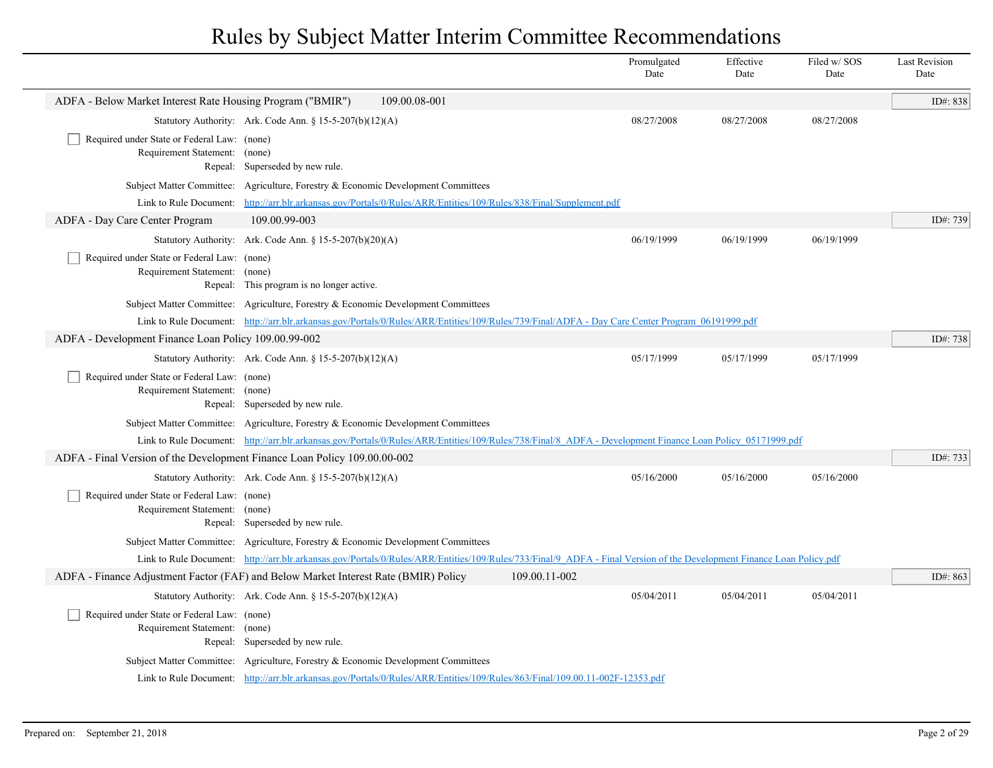|                                                                              |                                                                                                                                                                       |               | Promulgated<br>Date | Effective<br>Date | Filed w/SOS<br>Date | <b>Last Revision</b><br>Date |
|------------------------------------------------------------------------------|-----------------------------------------------------------------------------------------------------------------------------------------------------------------------|---------------|---------------------|-------------------|---------------------|------------------------------|
| ADFA - Below Market Interest Rate Housing Program ("BMIR")                   | 109.00.08-001                                                                                                                                                         |               |                     |                   |                     | ID#: 838                     |
|                                                                              | Statutory Authority: Ark. Code Ann. § $15-5-207(b)(12)(A)$                                                                                                            |               | 08/27/2008          | 08/27/2008        | 08/27/2008          |                              |
| Required under State or Federal Law: (none)<br>Requirement Statement: (none) | Repeal: Superseded by new rule.                                                                                                                                       |               |                     |                   |                     |                              |
|                                                                              | Subject Matter Committee: Agriculture, Forestry & Economic Development Committees                                                                                     |               |                     |                   |                     |                              |
| Link to Rule Document:                                                       | http://arr.blr.arkansas.gov/Portals/0/Rules/ARR/Entities/109/Rules/838/Final/Supplement.pdf                                                                           |               |                     |                   |                     |                              |
| ADFA - Day Care Center Program                                               | 109.00.99-003                                                                                                                                                         |               |                     |                   |                     | ID#: 739                     |
|                                                                              | Statutory Authority: Ark. Code Ann. § 15-5-207(b)(20)(A)                                                                                                              |               | 06/19/1999          | 06/19/1999        | 06/19/1999          |                              |
| Required under State or Federal Law: (none)<br>Requirement Statement: (none) | Repeal: This program is no longer active.                                                                                                                             |               |                     |                   |                     |                              |
|                                                                              | Subject Matter Committee: Agriculture, Forestry & Economic Development Committees                                                                                     |               |                     |                   |                     |                              |
|                                                                              | Link to Rule Document: http://arr.blr.arkansas.gov/Portals/0/Rules/ARR/Entities/109/Rules/739/Final/ADFA - Day Care Center Program 06191999.pdf                       |               |                     |                   |                     |                              |
| ADFA - Development Finance Loan Policy 109.00.99-002                         |                                                                                                                                                                       |               |                     |                   |                     | ID#: $738$                   |
|                                                                              | Statutory Authority: Ark. Code Ann. § 15-5-207(b)(12)(A)                                                                                                              |               | 05/17/1999          | 05/17/1999        | 05/17/1999          |                              |
| Required under State or Federal Law: (none)<br>Requirement Statement: (none) | Repeal: Superseded by new rule.                                                                                                                                       |               |                     |                   |                     |                              |
|                                                                              | Subject Matter Committee: Agriculture, Forestry & Economic Development Committees                                                                                     |               |                     |                   |                     |                              |
|                                                                              | Link to Rule Document: http://arr.blr.arkansas.gov/Portals/0/Rules/ARR/Entities/109/Rules/738/Final/8 ADFA - Development Finance Loan Policy 05171999.pdf             |               |                     |                   |                     |                              |
|                                                                              | ADFA - Final Version of the Development Finance Loan Policy 109.00.00-002                                                                                             |               |                     |                   |                     | ID#: 733                     |
|                                                                              | Statutory Authority: Ark. Code Ann. § $15-5-207(b)(12)(A)$                                                                                                            |               | 05/16/2000          | 05/16/2000        | 05/16/2000          |                              |
| Required under State or Federal Law: (none)<br>Requirement Statement: (none) | Repeal: Superseded by new rule.                                                                                                                                       |               |                     |                   |                     |                              |
|                                                                              | Subject Matter Committee: Agriculture, Forestry & Economic Development Committees                                                                                     |               |                     |                   |                     |                              |
|                                                                              | Link to Rule Document: http://arr.blr.arkansas.gov/Portals/0/Rules/ARR/Entities/109/Rules/733/Final/9 ADFA - Final Version of the Development Finance Loan Policy.pdf |               |                     |                   |                     |                              |
|                                                                              | ADFA - Finance Adjustment Factor (FAF) and Below Market Interest Rate (BMIR) Policy                                                                                   | 109.00.11-002 |                     |                   |                     | ID#: 863                     |
|                                                                              | Statutory Authority: Ark. Code Ann. § $15-5-207(b)(12)(A)$                                                                                                            |               | 05/04/2011          | 05/04/2011        | 05/04/2011          |                              |
| Required under State or Federal Law: (none)<br>Requirement Statement: (none) | Repeal: Superseded by new rule.                                                                                                                                       |               |                     |                   |                     |                              |
|                                                                              | Subject Matter Committee: Agriculture, Forestry & Economic Development Committees                                                                                     |               |                     |                   |                     |                              |
|                                                                              | Link to Rule Document: http://arr.blr.arkansas.gov/Portals/0/Rules/ARR/Entities/109/Rules/863/Final/109.00.11-002F-12353.pdf                                          |               |                     |                   |                     |                              |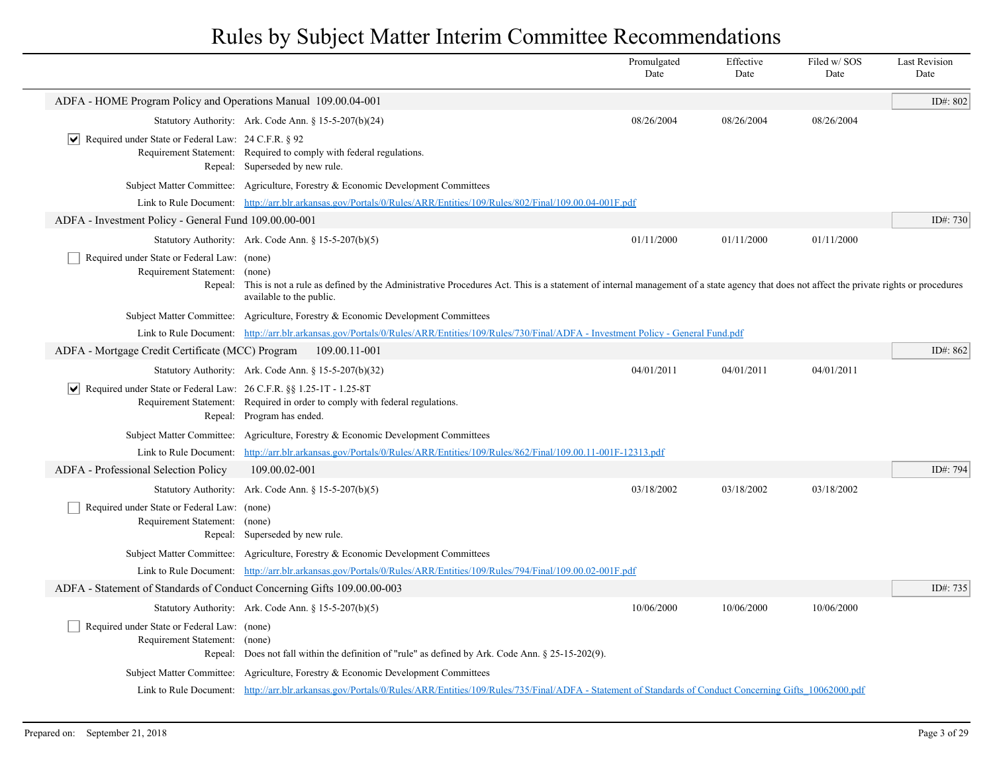|                                                                                            |                                                                                                                                                                                                                              | Promulgated<br>Date | Effective<br>Date | Filed w/SOS<br>Date | <b>Last Revision</b><br>Date |
|--------------------------------------------------------------------------------------------|------------------------------------------------------------------------------------------------------------------------------------------------------------------------------------------------------------------------------|---------------------|-------------------|---------------------|------------------------------|
| ADFA - HOME Program Policy and Operations Manual 109.00.04-001                             |                                                                                                                                                                                                                              |                     |                   |                     | ID#: 802                     |
|                                                                                            | Statutory Authority: Ark. Code Ann. § 15-5-207(b)(24)                                                                                                                                                                        | 08/26/2004          | 08/26/2004        | 08/26/2004          |                              |
| $ \vee $ Required under State or Federal Law: 24 C.F.R. § 92                               | Requirement Statement: Required to comply with federal regulations.<br>Repeal: Superseded by new rule.                                                                                                                       |                     |                   |                     |                              |
|                                                                                            | Subject Matter Committee: Agriculture, Forestry & Economic Development Committees                                                                                                                                            |                     |                   |                     |                              |
|                                                                                            | Link to Rule Document: http://arr.blr.arkansas.gov/Portals/0/Rules/ARR/Entities/109/Rules/802/Final/109.00.04-001F.pdf                                                                                                       |                     |                   |                     |                              |
| ADFA - Investment Policy - General Fund 109.00.00-001                                      |                                                                                                                                                                                                                              |                     |                   |                     | ID#: 730                     |
|                                                                                            | Statutory Authority: Ark. Code Ann. § 15-5-207(b)(5)                                                                                                                                                                         | 01/11/2000          | 01/11/2000        | 01/11/2000          |                              |
| Required under State or Federal Law: (none)<br>Requirement Statement:<br>Repeal:           | (none)<br>This is not a rule as defined by the Administrative Procedures Act. This is a statement of internal management of a state agency that does not affect the private rights or procedures<br>available to the public. |                     |                   |                     |                              |
|                                                                                            | Subject Matter Committee: Agriculture, Forestry & Economic Development Committees                                                                                                                                            |                     |                   |                     |                              |
|                                                                                            | Link to Rule Document: http://arr.blr.arkansas.gov/Portals/0/Rules/ARR/Entities/109/Rules/730/Final/ADFA - Investment Policy - General Fund.pdf                                                                              |                     |                   |                     |                              |
| ADFA - Mortgage Credit Certificate (MCC) Program                                           | 109.00.11-001                                                                                                                                                                                                                |                     |                   |                     | ID#: 862                     |
|                                                                                            | Statutory Authority: Ark. Code Ann. § 15-5-207(b)(32)                                                                                                                                                                        | 04/01/2011          | 04/01/2011        | 04/01/2011          |                              |
| Required under State or Federal Law: 26 C.F.R. §§ 1.25-1T - 1.25-8T<br>$ \bm{\mathsf{v}} $ | Requirement Statement: Required in order to comply with federal regulations.<br>Repeal: Program has ended.                                                                                                                   |                     |                   |                     |                              |
|                                                                                            | Subject Matter Committee: Agriculture, Forestry & Economic Development Committees                                                                                                                                            |                     |                   |                     |                              |
| Link to Rule Document:                                                                     | http://arr.blr.arkansas.gov/Portals/0/Rules/ARR/Entities/109/Rules/862/Final/109.00.11-001F-12313.pdf                                                                                                                        |                     |                   |                     |                              |
| ADFA - Professional Selection Policy                                                       | 109.00.02-001                                                                                                                                                                                                                |                     |                   |                     | ID#: 794                     |
|                                                                                            | Statutory Authority: Ark. Code Ann. § 15-5-207(b)(5)                                                                                                                                                                         | 03/18/2002          | 03/18/2002        | 03/18/2002          |                              |
| Required under State or Federal Law: (none)<br>Requirement Statement: (none)               | Repeal: Superseded by new rule.                                                                                                                                                                                              |                     |                   |                     |                              |
|                                                                                            | Subject Matter Committee: Agriculture, Forestry & Economic Development Committees                                                                                                                                            |                     |                   |                     |                              |
|                                                                                            | Link to Rule Document: http://arr.blr.arkansas.gov/Portals/0/Rules/ARR/Entities/109/Rules/794/Final/109.00.02-001F.pdf                                                                                                       |                     |                   |                     |                              |
| ADFA - Statement of Standards of Conduct Concerning Gifts 109.00.00-003                    |                                                                                                                                                                                                                              |                     |                   |                     | ID#: 735                     |
|                                                                                            | Statutory Authority: Ark. Code Ann. $\S 15-5-207(b)(5)$                                                                                                                                                                      | 10/06/2000          | 10/06/2000        | 10/06/2000          |                              |
| Required under State or Federal Law: (none)<br>Requirement Statement: (none)               | Repeal: Does not fall within the definition of "rule" as defined by Ark. Code Ann. $\S$ 25-15-202(9).                                                                                                                        |                     |                   |                     |                              |
|                                                                                            | Subject Matter Committee: Agriculture, Forestry & Economic Development Committees                                                                                                                                            |                     |                   |                     |                              |
|                                                                                            | Link to Rule Document: http://arr.blr.arkansas.gov/Portals/0/Rules/ARR/Entities/109/Rules/735/Final/ADFA - Statement of Standards of Conduct Concerning Gifts 10062000.pdf                                                   |                     |                   |                     |                              |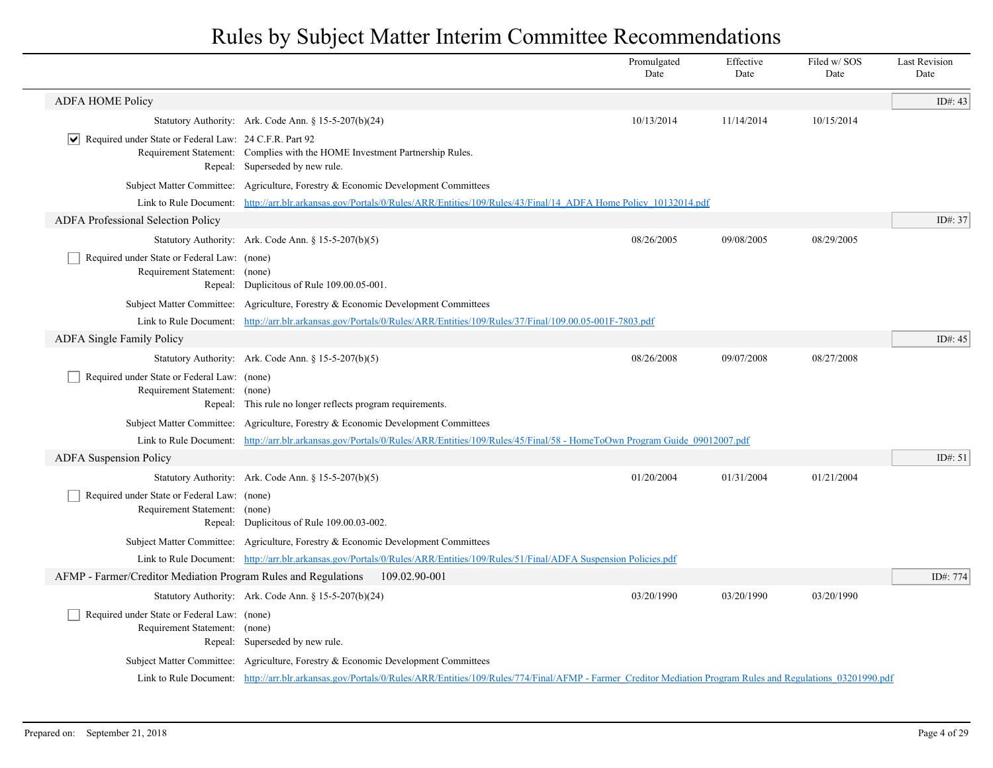|                                                                              |                                                                                                                                                                                 | Promulgated<br>Date | Effective<br>Date | Filed w/SOS<br>Date | <b>Last Revision</b><br>Date |
|------------------------------------------------------------------------------|---------------------------------------------------------------------------------------------------------------------------------------------------------------------------------|---------------------|-------------------|---------------------|------------------------------|
| <b>ADFA HOME Policy</b>                                                      |                                                                                                                                                                                 |                     |                   |                     | ID#: 43                      |
|                                                                              | Statutory Authority: Ark. Code Ann. $\S 15-5-207(b)(24)$                                                                                                                        | 10/13/2014          | 11/14/2014        | 10/15/2014          |                              |
| $ \mathbf{v} $ Required under State or Federal Law: 24 C.F.R. Part 92        | Requirement Statement: Complies with the HOME Investment Partnership Rules.<br>Repeal: Superseded by new rule.                                                                  |                     |                   |                     |                              |
|                                                                              | Subject Matter Committee: Agriculture, Forestry & Economic Development Committees                                                                                               |                     |                   |                     |                              |
|                                                                              | Link to Rule Document: http://arr.blr.arkansas.gov/Portals/0/Rules/ARR/Entities/109/Rules/43/Final/14 ADFA Home Policy 10132014.pdf                                             |                     |                   |                     |                              |
| ADFA Professional Selection Policy                                           |                                                                                                                                                                                 |                     |                   |                     | ID#: 37                      |
|                                                                              | Statutory Authority: Ark. Code Ann. § 15-5-207(b)(5)                                                                                                                            | 08/26/2005          | 09/08/2005        | 08/29/2005          |                              |
| Required under State or Federal Law: (none)<br>Requirement Statement: (none) | Repeal: Duplicitous of Rule 109.00.05-001.                                                                                                                                      |                     |                   |                     |                              |
|                                                                              | Subject Matter Committee: Agriculture, Forestry & Economic Development Committees                                                                                               |                     |                   |                     |                              |
|                                                                              | Link to Rule Document: http://arr.blr.arkansas.gov/Portals/0/Rules/ARR/Entities/109/Rules/37/Final/109.00.05-001F-7803.pdf                                                      |                     |                   |                     |                              |
| <b>ADFA Single Family Policy</b>                                             |                                                                                                                                                                                 |                     |                   |                     | ID#: $45$                    |
|                                                                              | Statutory Authority: Ark. Code Ann. $\S 15-5-207(b)(5)$                                                                                                                         | 08/26/2008          | 09/07/2008        | 08/27/2008          |                              |
| Required under State or Federal Law: (none)<br>Requirement Statement: (none) | Repeal: This rule no longer reflects program requirements.                                                                                                                      |                     |                   |                     |                              |
|                                                                              | Subject Matter Committee: Agriculture, Forestry & Economic Development Committees                                                                                               |                     |                   |                     |                              |
|                                                                              | Link to Rule Document: http://arr.blr.arkansas.gov/Portals/0/Rules/ARR/Entities/109/Rules/45/Final/58 - HomeToOwn Program Guide 09012007.pdf                                    |                     |                   |                     |                              |
| <b>ADFA</b> Suspension Policy                                                |                                                                                                                                                                                 |                     |                   |                     | ID#: $51$                    |
|                                                                              | Statutory Authority: Ark. Code Ann. § 15-5-207(b)(5)                                                                                                                            | 01/20/2004          | 01/31/2004        | 01/21/2004          |                              |
| Required under State or Federal Law: (none)<br>Requirement Statement: (none) | Repeal: Duplicitous of Rule 109.00.03-002.                                                                                                                                      |                     |                   |                     |                              |
|                                                                              | Subject Matter Committee: Agriculture, Forestry & Economic Development Committees                                                                                               |                     |                   |                     |                              |
|                                                                              | Link to Rule Document: http://arr.blr.arkansas.gov/Portals/0/Rules/ARR/Entities/109/Rules/51/Final/ADFA Suspension Policies.pdf                                                 |                     |                   |                     |                              |
| AFMP - Farmer/Creditor Mediation Program Rules and Regulations               | 109.02.90-001                                                                                                                                                                   |                     |                   |                     | ID#: 774                     |
|                                                                              | Statutory Authority: Ark. Code Ann. § 15-5-207(b)(24)                                                                                                                           | 03/20/1990          | 03/20/1990        | 03/20/1990          |                              |
| Required under State or Federal Law: (none)<br>Requirement Statement: (none) | Repeal: Superseded by new rule.                                                                                                                                                 |                     |                   |                     |                              |
|                                                                              | Subject Matter Committee: Agriculture, Forestry & Economic Development Committees                                                                                               |                     |                   |                     |                              |
|                                                                              | Link to Rule Document: http://arr.blr.arkansas.gov/Portals/0/Rules/ARR/Entities/109/Rules/774/Final/AFMP - Farmer Creditor Mediation Program Rules and Regulations 03201990.pdf |                     |                   |                     |                              |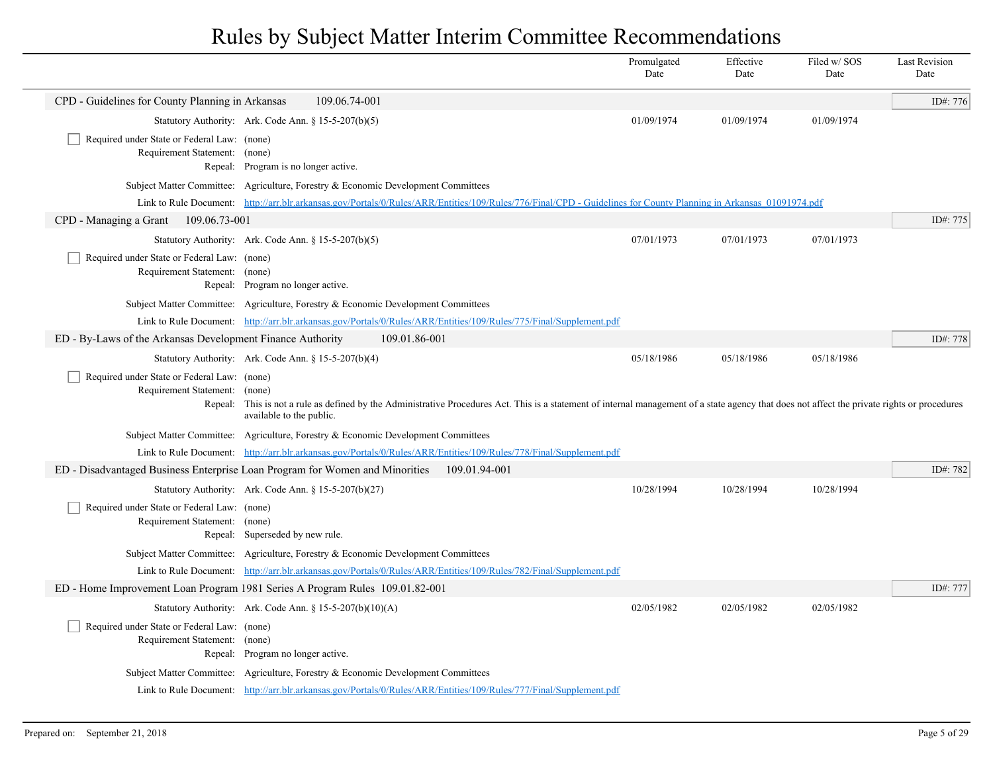|                                                                              |                                                                                                                                                                                                         | Promulgated<br>Date | Effective<br>Date | Filed w/SOS<br>Date | <b>Last Revision</b><br>Date |
|------------------------------------------------------------------------------|---------------------------------------------------------------------------------------------------------------------------------------------------------------------------------------------------------|---------------------|-------------------|---------------------|------------------------------|
| CPD - Guidelines for County Planning in Arkansas                             | 109.06.74-001                                                                                                                                                                                           |                     |                   |                     | ID#: 776                     |
|                                                                              | Statutory Authority: Ark. Code Ann. § 15-5-207(b)(5)                                                                                                                                                    | 01/09/1974          | 01/09/1974        | 01/09/1974          |                              |
| Required under State or Federal Law: (none)<br>Requirement Statement: (none) |                                                                                                                                                                                                         |                     |                   |                     |                              |
|                                                                              | Repeal: Program is no longer active.                                                                                                                                                                    |                     |                   |                     |                              |
|                                                                              | Subject Matter Committee: Agriculture, Forestry & Economic Development Committees                                                                                                                       |                     |                   |                     |                              |
|                                                                              | Link to Rule Document: http://arr.blr.arkansas.gov/Portals/0/Rules/ARR/Entities/109/Rules/776/Final/CPD - Guidelines for County Planning in Arkansas 01091974.pdf                                       |                     |                   |                     |                              |
| CPD - Managing a Grant<br>109.06.73-001                                      |                                                                                                                                                                                                         |                     |                   |                     | ID#: 775                     |
|                                                                              | Statutory Authority: Ark. Code Ann. § 15-5-207(b)(5)                                                                                                                                                    | 07/01/1973          | 07/01/1973        | 07/01/1973          |                              |
| Required under State or Federal Law: (none)                                  |                                                                                                                                                                                                         |                     |                   |                     |                              |
| Requirement Statement: (none)                                                | Repeal: Program no longer active.                                                                                                                                                                       |                     |                   |                     |                              |
|                                                                              | Subject Matter Committee: Agriculture, Forestry & Economic Development Committees                                                                                                                       |                     |                   |                     |                              |
|                                                                              | Link to Rule Document: http://arr.blr.arkansas.gov/Portals/0/Rules/ARR/Entities/109/Rules/775/Final/Supplement.pdf                                                                                      |                     |                   |                     |                              |
| ED - By-Laws of the Arkansas Development Finance Authority                   | 109.01.86-001                                                                                                                                                                                           |                     |                   |                     | ID#: 778                     |
|                                                                              | Statutory Authority: Ark. Code Ann. § 15-5-207(b)(4)                                                                                                                                                    | 05/18/1986          | 05/18/1986        | 05/18/1986          |                              |
| Required under State or Federal Law: (none)<br>Requirement Statement: (none) | Repeal: This is not a rule as defined by the Administrative Procedures Act. This is a statement of internal management of a state agency that does not affect the private rights or procedures          |                     |                   |                     |                              |
|                                                                              | available to the public.                                                                                                                                                                                |                     |                   |                     |                              |
|                                                                              | Subject Matter Committee: Agriculture, Forestry & Economic Development Committees<br>Link to Rule Document: http://arr.blr.arkansas.gov/Portals/0/Rules/ARR/Entities/109/Rules/778/Final/Supplement.pdf |                     |                   |                     |                              |
|                                                                              | ED - Disadvantaged Business Enterprise Loan Program for Women and Minorities<br>109.01.94-001                                                                                                           |                     |                   |                     | ID#: 782                     |
|                                                                              | Statutory Authority: Ark. Code Ann. § 15-5-207(b)(27)                                                                                                                                                   | 10/28/1994          | 10/28/1994        | 10/28/1994          |                              |
| Required under State or Federal Law: (none)<br>Requirement Statement: (none) |                                                                                                                                                                                                         |                     |                   |                     |                              |
|                                                                              | Repeal: Superseded by new rule.                                                                                                                                                                         |                     |                   |                     |                              |
|                                                                              | Subject Matter Committee: Agriculture, Forestry & Economic Development Committees                                                                                                                       |                     |                   |                     |                              |
|                                                                              | Link to Rule Document: http://arr.blr.arkansas.gov/Portals/0/Rules/ARR/Entities/109/Rules/782/Final/Supplement.pdf                                                                                      |                     |                   |                     |                              |
|                                                                              | ED - Home Improvement Loan Program 1981 Series A Program Rules 109.01.82-001                                                                                                                            |                     |                   |                     | ID#: 777                     |
|                                                                              | Statutory Authority: Ark. Code Ann. § 15-5-207(b)(10)(A)                                                                                                                                                | 02/05/1982          | 02/05/1982        | 02/05/1982          |                              |
| Required under State or Federal Law: (none)<br>Requirement Statement: (none) |                                                                                                                                                                                                         |                     |                   |                     |                              |
|                                                                              | Repeal: Program no longer active.                                                                                                                                                                       |                     |                   |                     |                              |
|                                                                              | Subject Matter Committee: Agriculture, Forestry & Economic Development Committees                                                                                                                       |                     |                   |                     |                              |
|                                                                              | Link to Rule Document: http://arr.blr.arkansas.gov/Portals/0/Rules/ARR/Entities/109/Rules/777/Final/Supplement.pdf                                                                                      |                     |                   |                     |                              |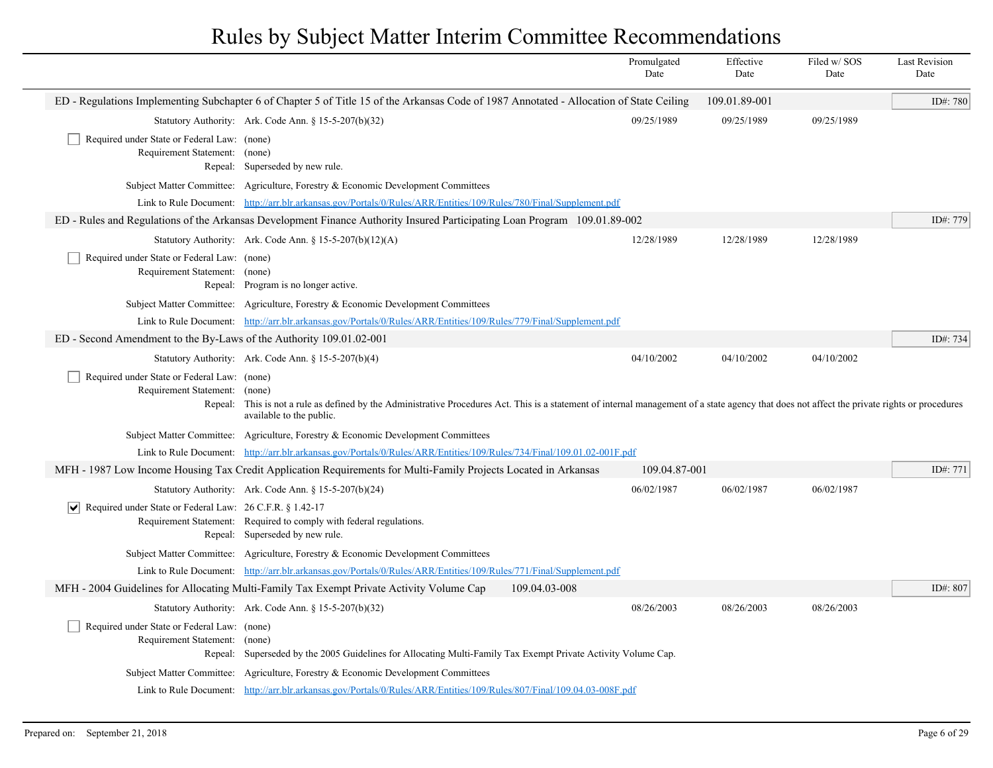|                                                                                       |                                                                                                                                                                                                                                      | Promulgated<br>Date | Effective<br>Date | Filed w/ SOS<br>Date | <b>Last Revision</b><br>Date |
|---------------------------------------------------------------------------------------|--------------------------------------------------------------------------------------------------------------------------------------------------------------------------------------------------------------------------------------|---------------------|-------------------|----------------------|------------------------------|
|                                                                                       | ED - Regulations Implementing Subchapter 6 of Chapter 5 of Title 15 of the Arkansas Code of 1987 Annotated - Allocation of State Ceiling                                                                                             |                     | 109.01.89-001     |                      | ID#: 780                     |
|                                                                                       | Statutory Authority: Ark. Code Ann. § 15-5-207(b)(32)                                                                                                                                                                                | 09/25/1989          | 09/25/1989        | 09/25/1989           |                              |
| Required under State or Federal Law: (none)<br>Requirement Statement: (none)          | Repeal: Superseded by new rule.                                                                                                                                                                                                      |                     |                   |                      |                              |
|                                                                                       | Subject Matter Committee: Agriculture, Forestry & Economic Development Committees                                                                                                                                                    |                     |                   |                      |                              |
|                                                                                       | Link to Rule Document: http://arr.blr.arkansas.gov/Portals/0/Rules/ARR/Entities/109/Rules/780/Final/Supplement.pdf                                                                                                                   |                     |                   |                      |                              |
|                                                                                       | ED - Rules and Regulations of the Arkansas Development Finance Authority Insured Participating Loan Program 109.01.89-002                                                                                                            |                     |                   |                      | ID#: 779                     |
|                                                                                       | Statutory Authority: Ark. Code Ann. § $15-5-207(b)(12)(A)$                                                                                                                                                                           | 12/28/1989          | 12/28/1989        | 12/28/1989           |                              |
| Required under State or Federal Law: (none)<br>Requirement Statement:                 | (none)<br>Repeal: Program is no longer active.                                                                                                                                                                                       |                     |                   |                      |                              |
|                                                                                       | Subject Matter Committee: Agriculture, Forestry & Economic Development Committees                                                                                                                                                    |                     |                   |                      |                              |
|                                                                                       | Link to Rule Document: http://arr.blr.arkansas.gov/Portals/0/Rules/ARR/Entities/109/Rules/779/Final/Supplement.pdf                                                                                                                   |                     |                   |                      |                              |
| ED - Second Amendment to the By-Laws of the Authority 109.01.02-001                   |                                                                                                                                                                                                                                      |                     |                   |                      | ID#: 734                     |
|                                                                                       | Statutory Authority: Ark. Code Ann. $\S 15-5-207(b)(4)$                                                                                                                                                                              | 04/10/2002          | 04/10/2002        | 04/10/2002           |                              |
| Required under State or Federal Law: (none)<br>Requirement Statement:                 | (none)<br>Repeal: This is not a rule as defined by the Administrative Procedures Act. This is a statement of internal management of a state agency that does not affect the private rights or procedures<br>available to the public. |                     |                   |                      |                              |
|                                                                                       | Subject Matter Committee: Agriculture, Forestry & Economic Development Committees                                                                                                                                                    |                     |                   |                      |                              |
|                                                                                       | Link to Rule Document: http://arr.blr.arkansas.gov/Portals/0/Rules/ARR/Entities/109/Rules/734/Final/109.01.02-001F.pdf                                                                                                               |                     |                   |                      |                              |
|                                                                                       | MFH - 1987 Low Income Housing Tax Credit Application Requirements for Multi-Family Projects Located in Arkansas                                                                                                                      | 109.04.87-001       |                   |                      | ID#: 771                     |
|                                                                                       | Statutory Authority: Ark. Code Ann. § 15-5-207(b)(24)                                                                                                                                                                                | 06/02/1987          | 06/02/1987        | 06/02/1987           |                              |
| $\boxed{\blacktriangledown}$ Required under State or Federal Law: 26 C.F.R. § 1.42-17 | Requirement Statement: Required to comply with federal regulations.<br>Repeal: Superseded by new rule.                                                                                                                               |                     |                   |                      |                              |
|                                                                                       | Subject Matter Committee: Agriculture, Forestry & Economic Development Committees                                                                                                                                                    |                     |                   |                      |                              |
|                                                                                       | Link to Rule Document: http://arr.blr.arkansas.gov/Portals/0/Rules/ARR/Entities/109/Rules/771/Final/Supplement.pdf                                                                                                                   |                     |                   |                      |                              |
|                                                                                       | 109.04.03-008<br>MFH - 2004 Guidelines for Allocating Multi-Family Tax Exempt Private Activity Volume Cap                                                                                                                            |                     |                   |                      | ID#: 807                     |
|                                                                                       | Statutory Authority: Ark. Code Ann. $\S 15-5-207(b)(32)$                                                                                                                                                                             | 08/26/2003          | 08/26/2003        | 08/26/2003           |                              |
| Required under State or Federal Law: (none)<br>Requirement Statement:                 | (none)<br>Repeal: Superseded by the 2005 Guidelines for Allocating Multi-Family Tax Exempt Private Activity Volume Cap.                                                                                                              |                     |                   |                      |                              |
|                                                                                       | Subject Matter Committee: Agriculture, Forestry & Economic Development Committees                                                                                                                                                    |                     |                   |                      |                              |
|                                                                                       | Link to Rule Document: http://arr.blr.arkansas.gov/Portals/0/Rules/ARR/Entities/109/Rules/807/Final/109.04.03-008F.pdf                                                                                                               |                     |                   |                      |                              |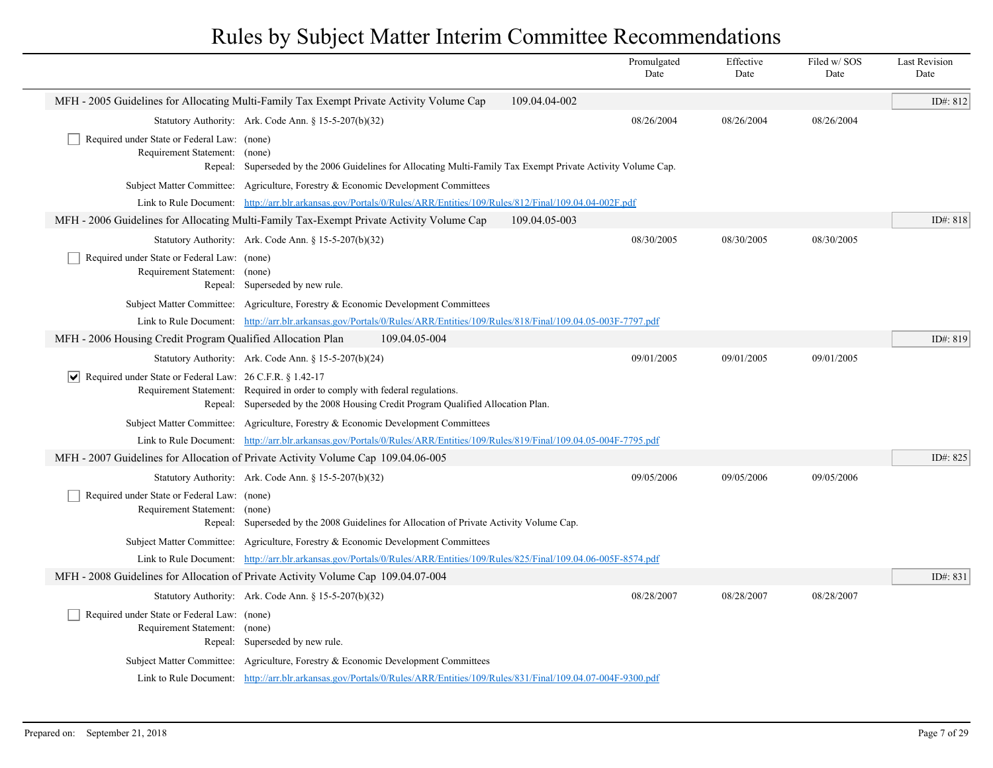|                                                                              |                                                                                                                                                                  |               | Promulgated<br>Date | Effective<br>Date | Filed w/ SOS<br>Date | <b>Last Revision</b><br>Date |
|------------------------------------------------------------------------------|------------------------------------------------------------------------------------------------------------------------------------------------------------------|---------------|---------------------|-------------------|----------------------|------------------------------|
|                                                                              | MFH - 2005 Guidelines for Allocating Multi-Family Tax Exempt Private Activity Volume Cap                                                                         | 109.04.04-002 |                     |                   |                      | ID#: 812                     |
|                                                                              | Statutory Authority: Ark. Code Ann. § 15-5-207(b)(32)                                                                                                            |               | 08/26/2004          | 08/26/2004        | 08/26/2004           |                              |
| Required under State or Federal Law: (none)<br>Requirement Statement: (none) | Repeal: Superseded by the 2006 Guidelines for Allocating Multi-Family Tax Exempt Private Activity Volume Cap.                                                    |               |                     |                   |                      |                              |
|                                                                              | Subject Matter Committee: Agriculture, Forestry & Economic Development Committees                                                                                |               |                     |                   |                      |                              |
|                                                                              | Link to Rule Document: http://arr.blr.arkansas.gov/Portals/0/Rules/ARR/Entities/109/Rules/812/Final/109.04.04-002F.pdf                                           |               |                     |                   |                      |                              |
|                                                                              | MFH - 2006 Guidelines for Allocating Multi-Family Tax-Exempt Private Activity Volume Cap                                                                         | 109.04.05-003 |                     |                   |                      | ID#: 818                     |
|                                                                              | Statutory Authority: Ark. Code Ann. $\S 15-5-207(b)(32)$                                                                                                         |               | 08/30/2005          | 08/30/2005        | 08/30/2005           |                              |
| Required under State or Federal Law: (none)<br>Requirement Statement: (none) | Repeal: Superseded by new rule.                                                                                                                                  |               |                     |                   |                      |                              |
|                                                                              | Subject Matter Committee: Agriculture, Forestry & Economic Development Committees                                                                                |               |                     |                   |                      |                              |
|                                                                              | Link to Rule Document: http://arr.blr.arkansas.gov/Portals/0/Rules/ARR/Entities/109/Rules/818/Final/109.04.05-003F-7797.pdf                                      |               |                     |                   |                      |                              |
| MFH - 2006 Housing Credit Program Qualified Allocation Plan                  | 109.04.05-004                                                                                                                                                    |               |                     |                   |                      | ID#: 819                     |
|                                                                              | Statutory Authority: Ark. Code Ann. § 15-5-207(b)(24)                                                                                                            |               | 09/01/2005          | 09/01/2005        | 09/01/2005           |                              |
| $ \mathbf{v} $ Required under State or Federal Law: 26 C.F.R. § 1.42-17      | Requirement Statement: Required in order to comply with federal regulations.<br>Repeal: Superseded by the 2008 Housing Credit Program Qualified Allocation Plan. |               |                     |                   |                      |                              |
|                                                                              | Subject Matter Committee: Agriculture, Forestry & Economic Development Committees                                                                                |               |                     |                   |                      |                              |
|                                                                              | Link to Rule Document: http://arr.blr.arkansas.gov/Portals/0/Rules/ARR/Entities/109/Rules/819/Final/109.04.05-004F-7795.pdf                                      |               |                     |                   |                      |                              |
|                                                                              | MFH - 2007 Guidelines for Allocation of Private Activity Volume Cap 109.04.06-005                                                                                |               |                     |                   |                      | ID#: 825                     |
|                                                                              | Statutory Authority: Ark. Code Ann. § 15-5-207(b)(32)                                                                                                            |               | 09/05/2006          | 09/05/2006        | 09/05/2006           |                              |
| Required under State or Federal Law: (none)<br>Requirement Statement: (none) | Repeal: Superseded by the 2008 Guidelines for Allocation of Private Activity Volume Cap.                                                                         |               |                     |                   |                      |                              |
|                                                                              | Subject Matter Committee: Agriculture, Forestry & Economic Development Committees                                                                                |               |                     |                   |                      |                              |
|                                                                              | Link to Rule Document: http://arr.blr.arkansas.gov/Portals/0/Rules/ARR/Entities/109/Rules/825/Final/109.04.06-005F-8574.pdf                                      |               |                     |                   |                      |                              |
|                                                                              | MFH - 2008 Guidelines for Allocation of Private Activity Volume Cap 109.04.07-004                                                                                |               |                     |                   |                      | ID#: 831                     |
|                                                                              | Statutory Authority: Ark. Code Ann. $\S 15-5-207(b)(32)$                                                                                                         |               | 08/28/2007          | 08/28/2007        | 08/28/2007           |                              |
| Required under State or Federal Law: (none)<br>Requirement Statement: (none) | Repeal: Superseded by new rule.                                                                                                                                  |               |                     |                   |                      |                              |
|                                                                              | Subject Matter Committee: Agriculture, Forestry & Economic Development Committees                                                                                |               |                     |                   |                      |                              |
|                                                                              | Link to Rule Document: http://arr.blr.arkansas.gov/Portals/0/Rules/ARR/Entities/109/Rules/831/Final/109.04.07-004F-9300.pdf                                      |               |                     |                   |                      |                              |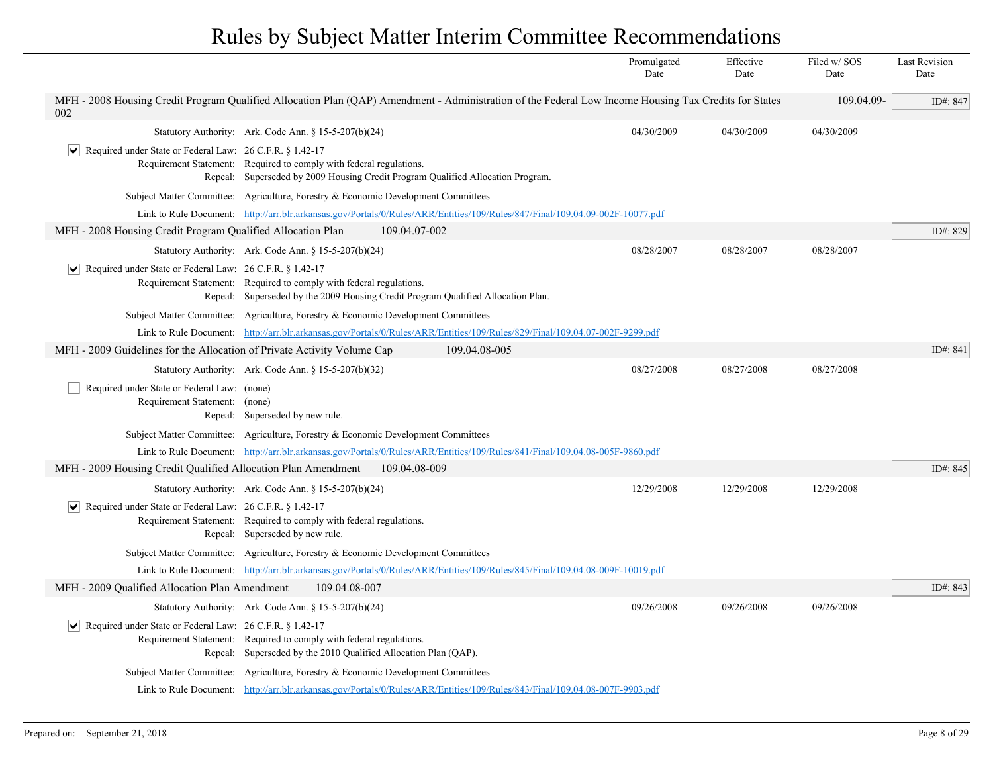|                                                                                 |                                                                                                                                                         | Promulgated<br>Date | Effective<br>Date | Filed w/SOS<br>Date | <b>Last Revision</b><br>Date |
|---------------------------------------------------------------------------------|---------------------------------------------------------------------------------------------------------------------------------------------------------|---------------------|-------------------|---------------------|------------------------------|
| 002                                                                             | MFH - 2008 Housing Credit Program Qualified Allocation Plan (QAP) Amendment - Administration of the Federal Low Income Housing Tax Credits for States   |                     |                   | 109.04.09-          | ID#: 847                     |
|                                                                                 | Statutory Authority: Ark. Code Ann. § 15-5-207(b)(24)                                                                                                   | 04/30/2009          | 04/30/2009        | 04/30/2009          |                              |
| Required under State or Federal Law: 26 C.F.R. § 1.42-17<br>$ \bm{\vee} $       | Requirement Statement: Required to comply with federal regulations.<br>Repeal: Superseded by 2009 Housing Credit Program Qualified Allocation Program.  |                     |                   |                     |                              |
|                                                                                 | Subject Matter Committee: Agriculture, Forestry & Economic Development Committees                                                                       |                     |                   |                     |                              |
|                                                                                 | Link to Rule Document: http://arr.blr.arkansas.gov/Portals/0/Rules/ARR/Entities/109/Rules/847/Final/109.04.09-002F-10077.pdf                            |                     |                   |                     |                              |
| MFH - 2008 Housing Credit Program Qualified Allocation Plan                     | 109.04.07-002                                                                                                                                           |                     |                   |                     | ID#: 829                     |
|                                                                                 | Statutory Authority: Ark. Code Ann. § 15-5-207(b)(24)                                                                                                   | 08/28/2007          | 08/28/2007        | 08/28/2007          |                              |
| Required under State or Federal Law: 26 C.F.R. § 1.42-17<br>∣V∣                 | Requirement Statement: Required to comply with federal regulations.<br>Repeal: Superseded by the 2009 Housing Credit Program Qualified Allocation Plan. |                     |                   |                     |                              |
|                                                                                 | Subject Matter Committee: Agriculture, Forestry & Economic Development Committees                                                                       |                     |                   |                     |                              |
|                                                                                 | Link to Rule Document: http://arr.blr.arkansas.gov/Portals/0/Rules/ARR/Entities/109/Rules/829/Final/109.04.07-002F-9299.pdf                             |                     |                   |                     |                              |
| MFH - 2009 Guidelines for the Allocation of Private Activity Volume Cap         | 109.04.08-005                                                                                                                                           |                     |                   |                     | ID#: 841                     |
|                                                                                 | Statutory Authority: Ark. Code Ann. § 15-5-207(b)(32)                                                                                                   | 08/27/2008          | 08/27/2008        | 08/27/2008          |                              |
| Required under State or Federal Law: (none)<br>Requirement Statement: (none)    | Repeal: Superseded by new rule.                                                                                                                         |                     |                   |                     |                              |
|                                                                                 | Subject Matter Committee: Agriculture, Forestry & Economic Development Committees                                                                       |                     |                   |                     |                              |
|                                                                                 | Link to Rule Document: http://arr.blr.arkansas.gov/Portals/0/Rules/ARR/Entities/109/Rules/841/Final/109.04.08-005F-9860.pdf                             |                     |                   |                     |                              |
| MFH - 2009 Housing Credit Qualified Allocation Plan Amendment                   | 109.04.08-009                                                                                                                                           |                     |                   |                     | ID#: 845                     |
|                                                                                 | Statutory Authority: Ark. Code Ann. § 15-5-207(b)(24)                                                                                                   | 12/29/2008          | 12/29/2008        | 12/29/2008          |                              |
| $ \mathbf{v} $ Required under State or Federal Law: 26 C.F.R. § 1.42-17         | Requirement Statement: Required to comply with federal regulations.<br>Repeal: Superseded by new rule.                                                  |                     |                   |                     |                              |
|                                                                                 | Subject Matter Committee: Agriculture, Forestry & Economic Development Committees                                                                       |                     |                   |                     |                              |
|                                                                                 | Link to Rule Document: http://arr.blr.arkansas.gov/Portals/0/Rules/ARR/Entities/109/Rules/845/Final/109.04.08-009F-10019.pdf                            |                     |                   |                     |                              |
| MFH - 2009 Qualified Allocation Plan Amendment                                  | 109.04.08-007                                                                                                                                           |                     |                   |                     | ID#: 843                     |
|                                                                                 | Statutory Authority: Ark. Code Ann. § 15-5-207(b)(24)                                                                                                   | 09/26/2008          | 09/26/2008        | 09/26/2008          |                              |
| Required under State or Federal Law: 26 C.F.R. § 1.42-17<br>$ \bm{\mathsf{v}} $ | Requirement Statement: Required to comply with federal regulations.<br>Repeal: Superseded by the 2010 Qualified Allocation Plan (QAP).                  |                     |                   |                     |                              |
|                                                                                 | Subject Matter Committee: Agriculture, Forestry & Economic Development Committees                                                                       |                     |                   |                     |                              |
|                                                                                 | Link to Rule Document: http://arr.blr.arkansas.gov/Portals/0/Rules/ARR/Entities/109/Rules/843/Final/109.04.08-007F-9903.pdf                             |                     |                   |                     |                              |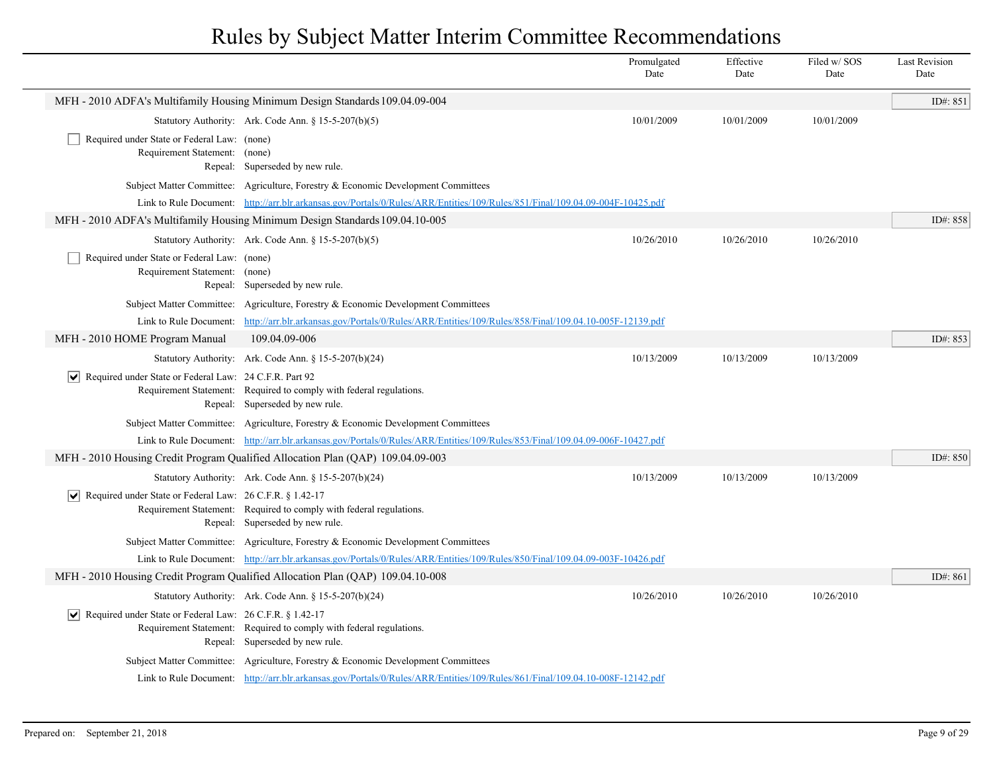|                                                                              |                                                                                                                              | Promulgated<br>Date | Effective<br>Date | Filed w/ SOS<br>Date | <b>Last Revision</b><br>Date |
|------------------------------------------------------------------------------|------------------------------------------------------------------------------------------------------------------------------|---------------------|-------------------|----------------------|------------------------------|
|                                                                              | MFH - 2010 ADFA's Multifamily Housing Minimum Design Standards 109.04.09-004                                                 |                     |                   |                      | ID#: 851                     |
|                                                                              | Statutory Authority: Ark. Code Ann. § 15-5-207(b)(5)                                                                         | 10/01/2009          | 10/01/2009        | 10/01/2009           |                              |
| Required under State or Federal Law: (none)<br>Requirement Statement: (none) | Repeal: Superseded by new rule.                                                                                              |                     |                   |                      |                              |
|                                                                              | Subject Matter Committee: Agriculture, Forestry & Economic Development Committees                                            |                     |                   |                      |                              |
|                                                                              | Link to Rule Document: http://arr.blr.arkansas.gov/Portals/0/Rules/ARR/Entities/109/Rules/851/Final/109.04.09-004F-10425.pdf |                     |                   |                      |                              |
|                                                                              | MFH - 2010 ADFA's Multifamily Housing Minimum Design Standards 109.04.10-005                                                 |                     |                   |                      | ID#: 858                     |
|                                                                              | Statutory Authority: Ark. Code Ann. § 15-5-207(b)(5)                                                                         | 10/26/2010          | 10/26/2010        | 10/26/2010           |                              |
| Required under State or Federal Law: (none)<br>Requirement Statement: (none) | Repeal: Superseded by new rule.                                                                                              |                     |                   |                      |                              |
|                                                                              | Subject Matter Committee: Agriculture, Forestry & Economic Development Committees                                            |                     |                   |                      |                              |
| Link to Rule Document:                                                       | http://arr.blr.arkansas.gov/Portals/0/Rules/ARR/Entities/109/Rules/858/Final/109.04.10-005F-12139.pdf                        |                     |                   |                      |                              |
| MFH - 2010 HOME Program Manual                                               | 109.04.09-006                                                                                                                |                     |                   |                      | ID#: 853                     |
|                                                                              | Statutory Authority: Ark. Code Ann. § 15-5-207(b)(24)                                                                        | 10/13/2009          | 10/13/2009        | 10/13/2009           |                              |
| $ \mathbf{v} $ Required under State or Federal Law: 24 C.F.R. Part 92        | Requirement Statement: Required to comply with federal regulations.<br>Repeal: Superseded by new rule.                       |                     |                   |                      |                              |
|                                                                              | Subject Matter Committee: Agriculture, Forestry & Economic Development Committees                                            |                     |                   |                      |                              |
|                                                                              | Link to Rule Document: http://arr.blr.arkansas.gov/Portals/0/Rules/ARR/Entities/109/Rules/853/Final/109.04.09-006F-10427.pdf |                     |                   |                      |                              |
|                                                                              | MFH - 2010 Housing Credit Program Qualified Allocation Plan (QAP) 109.04.09-003                                              |                     |                   |                      | ID#: 850                     |
|                                                                              | Statutory Authority: Ark. Code Ann. § 15-5-207(b)(24)                                                                        | 10/13/2009          | 10/13/2009        | 10/13/2009           |                              |
| $ \mathbf{v} $ Required under State or Federal Law: 26 C.F.R. § 1.42-17      | Requirement Statement: Required to comply with federal regulations.<br>Repeal: Superseded by new rule.                       |                     |                   |                      |                              |
|                                                                              | Subject Matter Committee: Agriculture, Forestry & Economic Development Committees                                            |                     |                   |                      |                              |
|                                                                              | Link to Rule Document: http://arr.blr.arkansas.gov/Portals/0/Rules/ARR/Entities/109/Rules/850/Final/109.04.09-003F-10426.pdf |                     |                   |                      |                              |
|                                                                              | MFH - 2010 Housing Credit Program Qualified Allocation Plan (QAP) 109.04.10-008                                              |                     |                   |                      | ID#: 861                     |
|                                                                              | Statutory Authority: Ark. Code Ann. § 15-5-207(b)(24)                                                                        | 10/26/2010          | 10/26/2010        | 10/26/2010           |                              |
| $ \mathbf{v} $ Required under State or Federal Law: 26 C.F.R. § 1.42-17      | Requirement Statement: Required to comply with federal regulations.<br>Repeal: Superseded by new rule.                       |                     |                   |                      |                              |
|                                                                              | Subject Matter Committee: Agriculture, Forestry & Economic Development Committees                                            |                     |                   |                      |                              |
|                                                                              | Link to Rule Document: http://arr.blr.arkansas.gov/Portals/0/Rules/ARR/Entities/109/Rules/861/Final/109.04.10-008F-12142.pdf |                     |                   |                      |                              |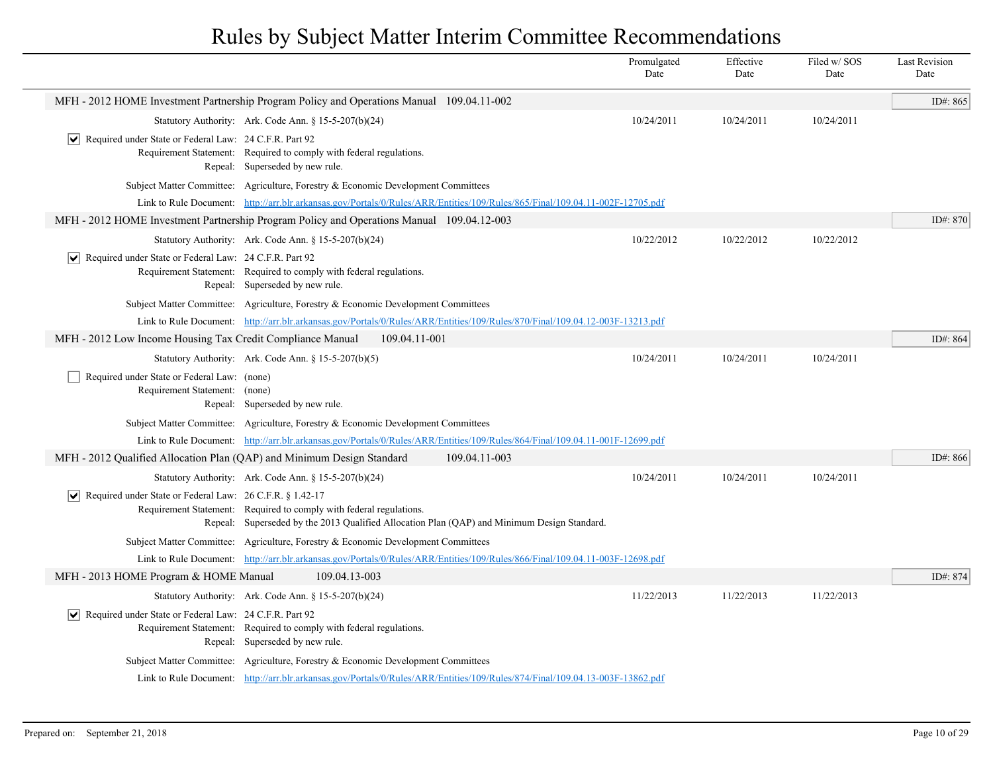|                                                                              |                                                                                                                                                                    | Promulgated<br>Date | Effective<br>Date | Filed w/SOS<br>Date | <b>Last Revision</b><br>Date |
|------------------------------------------------------------------------------|--------------------------------------------------------------------------------------------------------------------------------------------------------------------|---------------------|-------------------|---------------------|------------------------------|
|                                                                              | MFH - 2012 HOME Investment Partnership Program Policy and Operations Manual 109.04.11-002                                                                          |                     |                   |                     | ID#: 865                     |
|                                                                              | Statutory Authority: Ark. Code Ann. § 15-5-207(b)(24)                                                                                                              | 10/24/2011          | 10/24/2011        | 10/24/2011          |                              |
| Required under State or Federal Law: 24 C.F.R. Part 92<br>∣V∣                | Requirement Statement: Required to comply with federal regulations.<br>Repeal: Superseded by new rule.                                                             |                     |                   |                     |                              |
|                                                                              | Subject Matter Committee: Agriculture, Forestry & Economic Development Committees                                                                                  |                     |                   |                     |                              |
|                                                                              | Link to Rule Document: http://arr.blr.arkansas.gov/Portals/0/Rules/ARR/Entities/109/Rules/865/Final/109.04.11-002F-12705.pdf                                       |                     |                   |                     |                              |
|                                                                              | MFH - 2012 HOME Investment Partnership Program Policy and Operations Manual 109.04.12-003                                                                          |                     |                   |                     | ID#: 870                     |
|                                                                              | Statutory Authority: Ark. Code Ann. § 15-5-207(b)(24)                                                                                                              | 10/22/2012          | 10/22/2012        | 10/22/2012          |                              |
| $ \mathbf{v} $ Required under State or Federal Law: 24 C.F.R. Part 92        | Requirement Statement: Required to comply with federal regulations.<br>Repeal: Superseded by new rule.                                                             |                     |                   |                     |                              |
|                                                                              | Subject Matter Committee: Agriculture, Forestry & Economic Development Committees                                                                                  |                     |                   |                     |                              |
|                                                                              | Link to Rule Document: http://arr.blr.arkansas.gov/Portals/0/Rules/ARR/Entities/109/Rules/870/Final/109.04.12-003F-13213.pdf                                       |                     |                   |                     |                              |
| MFH - 2012 Low Income Housing Tax Credit Compliance Manual                   | 109.04.11-001                                                                                                                                                      |                     |                   |                     | ID#: $864$                   |
|                                                                              | Statutory Authority: Ark. Code Ann. § 15-5-207(b)(5)                                                                                                               | 10/24/2011          | 10/24/2011        | 10/24/2011          |                              |
| Required under State or Federal Law: (none)<br>Requirement Statement: (none) | Repeal: Superseded by new rule.                                                                                                                                    |                     |                   |                     |                              |
|                                                                              | Subject Matter Committee: Agriculture, Forestry & Economic Development Committees                                                                                  |                     |                   |                     |                              |
|                                                                              | Link to Rule Document: http://arr.blr.arkansas.gov/Portals/0/Rules/ARR/Entities/109/Rules/864/Final/109.04.11-001F-12699.pdf                                       |                     |                   |                     |                              |
| MFH - 2012 Qualified Allocation Plan (QAP) and Minimum Design Standard       | 109.04.11-003                                                                                                                                                      |                     |                   |                     | ID#: 866                     |
|                                                                              | Statutory Authority: Ark. Code Ann. § 15-5-207(b)(24)                                                                                                              | 10/24/2011          | 10/24/2011        | 10/24/2011          |                              |
| $ \mathbf{v} $ Required under State or Federal Law: 26 C.F.R. § 1.42-17      | Requirement Statement: Required to comply with federal regulations.<br>Repeal: Superseded by the 2013 Qualified Allocation Plan (QAP) and Minimum Design Standard. |                     |                   |                     |                              |
|                                                                              | Subject Matter Committee: Agriculture, Forestry & Economic Development Committees                                                                                  |                     |                   |                     |                              |
|                                                                              | Link to Rule Document: http://arr.blr.arkansas.gov/Portals/0/Rules/ARR/Entities/109/Rules/866/Final/109.04.11-003F-12698.pdf                                       |                     |                   |                     |                              |
| MFH - 2013 HOME Program & HOME Manual                                        | 109.04.13-003                                                                                                                                                      |                     |                   |                     | ID#: 874                     |
|                                                                              | Statutory Authority: Ark. Code Ann. § 15-5-207(b)(24)                                                                                                              | 11/22/2013          | 11/22/2013        | 11/22/2013          |                              |
| $ \mathbf{v} $ Required under State or Federal Law: 24 C.F.R. Part 92        | Requirement Statement: Required to comply with federal regulations.<br>Repeal: Superseded by new rule.                                                             |                     |                   |                     |                              |
|                                                                              | Subject Matter Committee: Agriculture, Forestry & Economic Development Committees                                                                                  |                     |                   |                     |                              |
|                                                                              | Link to Rule Document: http://arr.blr.arkansas.gov/Portals/0/Rules/ARR/Entities/109/Rules/874/Final/109.04.13-003F-13862.pdf                                       |                     |                   |                     |                              |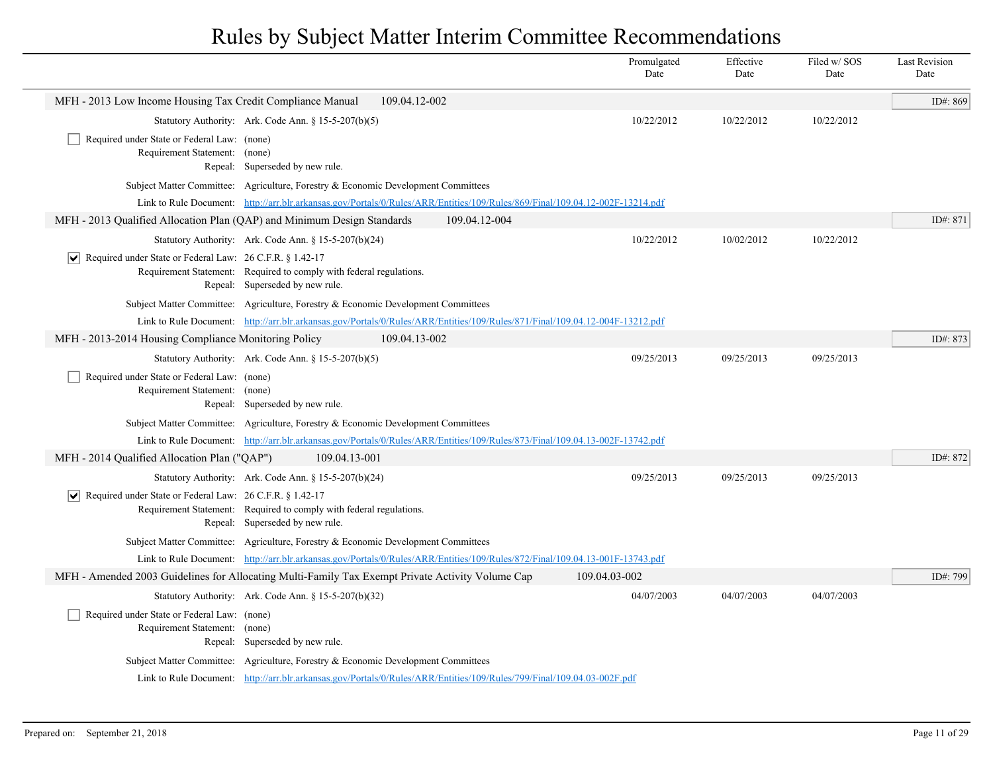|                                                                                                                                                                                   | Promulgated<br>Date | Effective<br>Date | Filed w/SOS<br>Date | <b>Last Revision</b><br>Date |
|-----------------------------------------------------------------------------------------------------------------------------------------------------------------------------------|---------------------|-------------------|---------------------|------------------------------|
| MFH - 2013 Low Income Housing Tax Credit Compliance Manual<br>109.04.12-002                                                                                                       |                     |                   |                     | ID#: 869                     |
| Statutory Authority: Ark. Code Ann. § 15-5-207(b)(5)                                                                                                                              | 10/22/2012          | 10/22/2012        | 10/22/2012          |                              |
| Required under State or Federal Law: (none)<br>Requirement Statement: (none)<br>Repeal: Superseded by new rule.                                                                   |                     |                   |                     |                              |
| Subject Matter Committee: Agriculture, Forestry & Economic Development Committees                                                                                                 |                     |                   |                     |                              |
| Link to Rule Document: http://arr.blr.arkansas.gov/Portals/0/Rules/ARR/Entities/109/Rules/869/Final/109.04.12-002F-13214.pdf                                                      |                     |                   |                     |                              |
| MFH - 2013 Qualified Allocation Plan (QAP) and Minimum Design Standards<br>109.04.12-004                                                                                          |                     |                   |                     | ID#: 871                     |
| Statutory Authority: Ark. Code Ann. § 15-5-207(b)(24)                                                                                                                             | 10/22/2012          | 10/02/2012        | 10/22/2012          |                              |
| $ \mathbf{v} $ Required under State or Federal Law: 26 C.F.R. § 1.42-17<br>Requirement Statement: Required to comply with federal regulations.<br>Repeal: Superseded by new rule. |                     |                   |                     |                              |
| Subject Matter Committee: Agriculture, Forestry & Economic Development Committees                                                                                                 |                     |                   |                     |                              |
| Link to Rule Document: http://arr.blr.arkansas.gov/Portals/0/Rules/ARR/Entities/109/Rules/871/Final/109.04.12-004F-13212.pdf                                                      |                     |                   |                     |                              |
| MFH - 2013-2014 Housing Compliance Monitoring Policy<br>109.04.13-002                                                                                                             |                     |                   |                     | ID#: 873                     |
| Statutory Authority: Ark. Code Ann. § 15-5-207(b)(5)<br>Required under State or Federal Law: (none)<br>Requirement Statement: (none)<br>Repeal: Superseded by new rule.           | 09/25/2013          | 09/25/2013        | 09/25/2013          |                              |
| Subject Matter Committee: Agriculture, Forestry & Economic Development Committees                                                                                                 |                     |                   |                     |                              |
| Link to Rule Document: http://arr.blr.arkansas.gov/Portals/0/Rules/ARR/Entities/109/Rules/873/Final/109.04.13-002F-13742.pdf                                                      |                     |                   |                     |                              |
| 109.04.13-001<br>MFH - 2014 Qualified Allocation Plan ("QAP")                                                                                                                     |                     |                   |                     | ID#: 872                     |
| Statutory Authority: Ark. Code Ann. § 15-5-207(b)(24)                                                                                                                             | 09/25/2013          | 09/25/2013        | 09/25/2013          |                              |
| $ \mathbf{v} $ Required under State or Federal Law: 26 C.F.R. § 1.42-17<br>Requirement Statement: Required to comply with federal regulations.<br>Repeal: Superseded by new rule. |                     |                   |                     |                              |
| Subject Matter Committee: Agriculture, Forestry & Economic Development Committees                                                                                                 |                     |                   |                     |                              |
| Link to Rule Document: http://arr.blr.arkansas.gov/Portals/0/Rules/ARR/Entities/109/Rules/872/Final/109.04.13-001F-13743.pdf                                                      |                     |                   |                     |                              |
| MFH - Amended 2003 Guidelines for Allocating Multi-Family Tax Exempt Private Activity Volume Cap                                                                                  | 109.04.03-002       |                   |                     | ID#: 799                     |
| Statutory Authority: Ark. Code Ann. § 15-5-207(b)(32)                                                                                                                             | 04/07/2003          | 04/07/2003        | 04/07/2003          |                              |
| Required under State or Federal Law: (none)<br>Requirement Statement: (none)<br>Repeal: Superseded by new rule.                                                                   |                     |                   |                     |                              |
| Subject Matter Committee: Agriculture, Forestry & Economic Development Committees                                                                                                 |                     |                   |                     |                              |
| Link to Rule Document: http://arr.blr.arkansas.gov/Portals/0/Rules/ARR/Entities/109/Rules/799/Final/109.04.03-002F.pdf                                                            |                     |                   |                     |                              |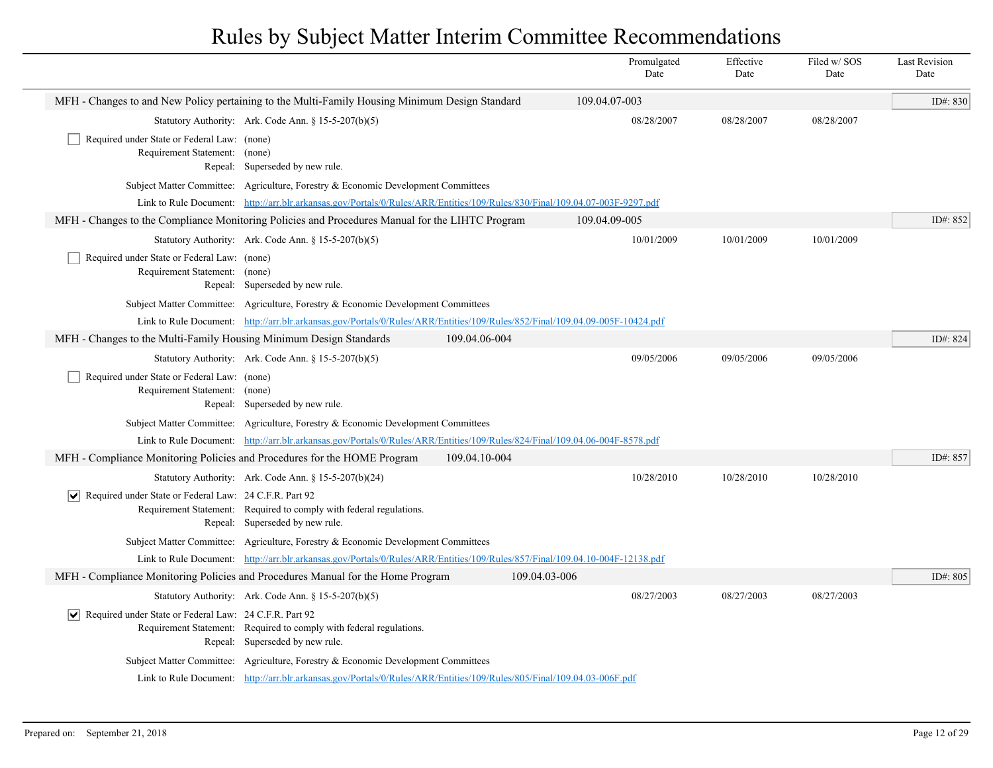|                                                                              |                                                                                                                              |               | Promulgated<br>Date | Effective<br>Date | Filed w/SOS<br>Date | <b>Last Revision</b><br>Date |
|------------------------------------------------------------------------------|------------------------------------------------------------------------------------------------------------------------------|---------------|---------------------|-------------------|---------------------|------------------------------|
|                                                                              | MFH - Changes to and New Policy pertaining to the Multi-Family Housing Minimum Design Standard                               |               | 109.04.07-003       |                   |                     | ID#: 830                     |
|                                                                              | Statutory Authority: Ark. Code Ann. § 15-5-207(b)(5)                                                                         |               | 08/28/2007          | 08/28/2007        | 08/28/2007          |                              |
| Required under State or Federal Law: (none)<br>Requirement Statement: (none) | Repeal: Superseded by new rule.                                                                                              |               |                     |                   |                     |                              |
|                                                                              | Subject Matter Committee: Agriculture, Forestry & Economic Development Committees                                            |               |                     |                   |                     |                              |
|                                                                              | Link to Rule Document: http://arr.blr.arkansas.gov/Portals/0/Rules/ARR/Entities/109/Rules/830/Final/109.04.07-003F-9297.pdf  |               |                     |                   |                     |                              |
|                                                                              | MFH - Changes to the Compliance Monitoring Policies and Procedures Manual for the LIHTC Program                              |               | 109.04.09-005       |                   |                     | ID#: 852                     |
|                                                                              | Statutory Authority: Ark. Code Ann. $\S 15-5-207(b)(5)$                                                                      |               | 10/01/2009          | 10/01/2009        | 10/01/2009          |                              |
| Required under State or Federal Law: (none)<br>Requirement Statement: (none) | Repeal: Superseded by new rule.                                                                                              |               |                     |                   |                     |                              |
|                                                                              | Subject Matter Committee: Agriculture, Forestry & Economic Development Committees                                            |               |                     |                   |                     |                              |
|                                                                              | Link to Rule Document: http://arr.blr.arkansas.gov/Portals/0/Rules/ARR/Entities/109/Rules/852/Final/109.04.09-005F-10424.pdf |               |                     |                   |                     |                              |
| MFH - Changes to the Multi-Family Housing Minimum Design Standards           |                                                                                                                              | 109.04.06-004 |                     |                   |                     | ID#: 824                     |
|                                                                              | Statutory Authority: Ark. Code Ann. § 15-5-207(b)(5)                                                                         |               | 09/05/2006          | 09/05/2006        | 09/05/2006          |                              |
| Required under State or Federal Law: (none)<br>Requirement Statement: (none) | Repeal: Superseded by new rule.                                                                                              |               |                     |                   |                     |                              |
|                                                                              | Subject Matter Committee: Agriculture, Forestry & Economic Development Committees                                            |               |                     |                   |                     |                              |
|                                                                              | Link to Rule Document: http://arr.blr.arkansas.gov/Portals/0/Rules/ARR/Entities/109/Rules/824/Final/109.04.06-004F-8578.pdf  |               |                     |                   |                     |                              |
| MFH - Compliance Monitoring Policies and Procedures for the HOME Program     |                                                                                                                              | 109.04.10-004 |                     |                   |                     | ID#: 857                     |
|                                                                              | Statutory Authority: Ark. Code Ann. § 15-5-207(b)(24)                                                                        |               | 10/28/2010          | 10/28/2010        | 10/28/2010          |                              |
| $ \mathbf{v} $ Required under State or Federal Law: 24 C.F.R. Part 92        | Requirement Statement: Required to comply with federal regulations.<br>Repeal: Superseded by new rule.                       |               |                     |                   |                     |                              |
|                                                                              | Subject Matter Committee: Agriculture, Forestry & Economic Development Committees                                            |               |                     |                   |                     |                              |
|                                                                              | Link to Rule Document: http://arr.blr.arkansas.gov/Portals/0/Rules/ARR/Entities/109/Rules/857/Final/109.04.10-004F-12138.pdf |               |                     |                   |                     |                              |
|                                                                              | MFH - Compliance Monitoring Policies and Procedures Manual for the Home Program                                              | 109.04.03-006 |                     |                   |                     | ID#: 805                     |
|                                                                              | Statutory Authority: Ark. Code Ann. § 15-5-207(b)(5)                                                                         |               | 08/27/2003          | 08/27/2003        | 08/27/2003          |                              |
| $ \mathbf{v} $ Required under State or Federal Law: 24 C.F.R. Part 92        | Requirement Statement: Required to comply with federal regulations.<br>Repeal: Superseded by new rule.                       |               |                     |                   |                     |                              |
|                                                                              | Subject Matter Committee: Agriculture, Forestry & Economic Development Committees                                            |               |                     |                   |                     |                              |
|                                                                              | Link to Rule Document: http://arr.blr.arkansas.gov/Portals/0/Rules/ARR/Entities/109/Rules/805/Final/109.04.03-006F.pdf       |               |                     |                   |                     |                              |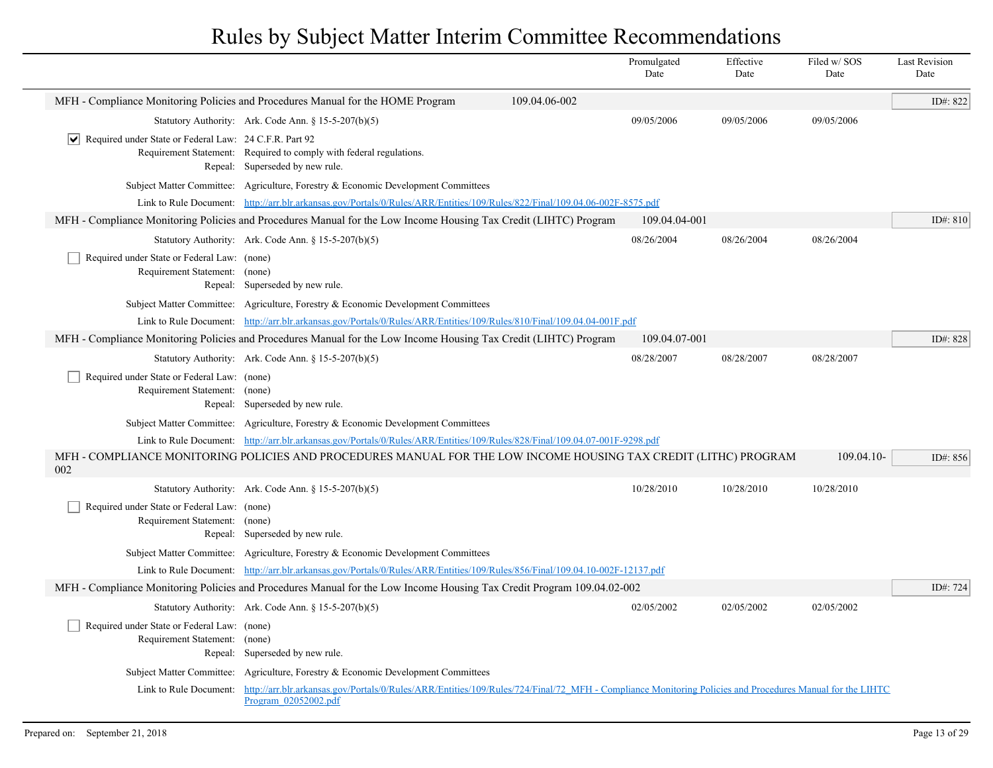|                                                                                       |                                                                                                                                                                                                         |               | Promulgated<br>Date | Effective<br>Date | Filed w/SOS<br>Date | <b>Last Revision</b><br>Date |
|---------------------------------------------------------------------------------------|---------------------------------------------------------------------------------------------------------------------------------------------------------------------------------------------------------|---------------|---------------------|-------------------|---------------------|------------------------------|
|                                                                                       | MFH - Compliance Monitoring Policies and Procedures Manual for the HOME Program                                                                                                                         | 109.04.06-002 |                     |                   |                     | ID#: 822                     |
|                                                                                       | Statutory Authority: Ark. Code Ann. § 15-5-207(b)(5)                                                                                                                                                    |               | 09/05/2006          | 09/05/2006        | 09/05/2006          |                              |
| Required under State or Federal Law: 24 C.F.R. Part 92<br>$\vert\bm{\mathsf{v}}\vert$ | Requirement Statement: Required to comply with federal regulations.<br>Repeal: Superseded by new rule.                                                                                                  |               |                     |                   |                     |                              |
|                                                                                       | Subject Matter Committee: Agriculture, Forestry & Economic Development Committees                                                                                                                       |               |                     |                   |                     |                              |
|                                                                                       | Link to Rule Document: http://arr.blr.arkansas.gov/Portals/0/Rules/ARR/Entities/109/Rules/822/Final/109.04.06-002F-8575.pdf                                                                             |               |                     |                   |                     |                              |
|                                                                                       | MFH - Compliance Monitoring Policies and Procedures Manual for the Low Income Housing Tax Credit (LIHTC) Program                                                                                        |               | 109.04.04-001       |                   |                     | ID#: 810                     |
|                                                                                       | Statutory Authority: Ark. Code Ann. § 15-5-207(b)(5)                                                                                                                                                    |               | 08/26/2004          | 08/26/2004        | 08/26/2004          |                              |
| Required under State or Federal Law: (none)<br>Requirement Statement: (none)          | Repeal: Superseded by new rule.                                                                                                                                                                         |               |                     |                   |                     |                              |
|                                                                                       | Subject Matter Committee: Agriculture, Forestry & Economic Development Committees                                                                                                                       |               |                     |                   |                     |                              |
|                                                                                       | Link to Rule Document: http://arr.blr.arkansas.gov/Portals/0/Rules/ARR/Entities/109/Rules/810/Final/109.04.04-001F.pdf                                                                                  |               |                     |                   |                     |                              |
|                                                                                       | MFH - Compliance Monitoring Policies and Procedures Manual for the Low Income Housing Tax Credit (LIHTC) Program                                                                                        |               | 109.04.07-001       |                   |                     | ID#: $828$                   |
|                                                                                       | Statutory Authority: Ark. Code Ann. $\S$ 15-5-207(b)(5)                                                                                                                                                 |               | 08/28/2007          | 08/28/2007        | 08/28/2007          |                              |
| Required under State or Federal Law: (none)<br>Requirement Statement: (none)          | Repeal: Superseded by new rule.                                                                                                                                                                         |               |                     |                   |                     |                              |
|                                                                                       | Subject Matter Committee: Agriculture, Forestry & Economic Development Committees                                                                                                                       |               |                     |                   |                     |                              |
|                                                                                       | Link to Rule Document: http://arr.blr.arkansas.gov/Portals/0/Rules/ARR/Entities/109/Rules/828/Final/109.04.07-001F-9298.pdf                                                                             |               |                     |                   |                     |                              |
| 002                                                                                   | MFH - COMPLIANCE MONITORING POLICIES AND PROCEDURES MANUAL FOR THE LOW INCOME HOUSING TAX CREDIT (LITHC) PROGRAM                                                                                        |               |                     |                   | 109.04.10-          | ID#: 856                     |
|                                                                                       | Statutory Authority: Ark. Code Ann. § 15-5-207(b)(5)                                                                                                                                                    |               | 10/28/2010          | 10/28/2010        | 10/28/2010          |                              |
| Required under State or Federal Law: (none)<br>Requirement Statement: (none)          | Repeal: Superseded by new rule.                                                                                                                                                                         |               |                     |                   |                     |                              |
|                                                                                       | Subject Matter Committee: Agriculture, Forestry & Economic Development Committees                                                                                                                       |               |                     |                   |                     |                              |
|                                                                                       | Link to Rule Document: http://arr.blr.arkansas.gov/Portals/0/Rules/ARR/Entities/109/Rules/856/Final/109.04.10-002F-12137.pdf                                                                            |               |                     |                   |                     |                              |
|                                                                                       | MFH - Compliance Monitoring Policies and Procedures Manual for the Low Income Housing Tax Credit Program 109.04.02-002                                                                                  |               |                     |                   |                     | ID#: 724                     |
|                                                                                       | Statutory Authority: Ark. Code Ann. § 15-5-207(b)(5)                                                                                                                                                    |               | 02/05/2002          | 02/05/2002        | 02/05/2002          |                              |
| Required under State or Federal Law: (none)<br>Requirement Statement: (none)          | Repeal: Superseded by new rule.                                                                                                                                                                         |               |                     |                   |                     |                              |
|                                                                                       | Subject Matter Committee: Agriculture, Forestry & Economic Development Committees                                                                                                                       |               |                     |                   |                     |                              |
|                                                                                       | Link to Rule Document: http://arr.blr.arkansas.gov/Portals/0/Rules/ARR/Entities/109/Rules/724/Final/72 MFH - Compliance Monitoring Policies and Procedures Manual for the LIHTC<br>Program 02052002.pdf |               |                     |                   |                     |                              |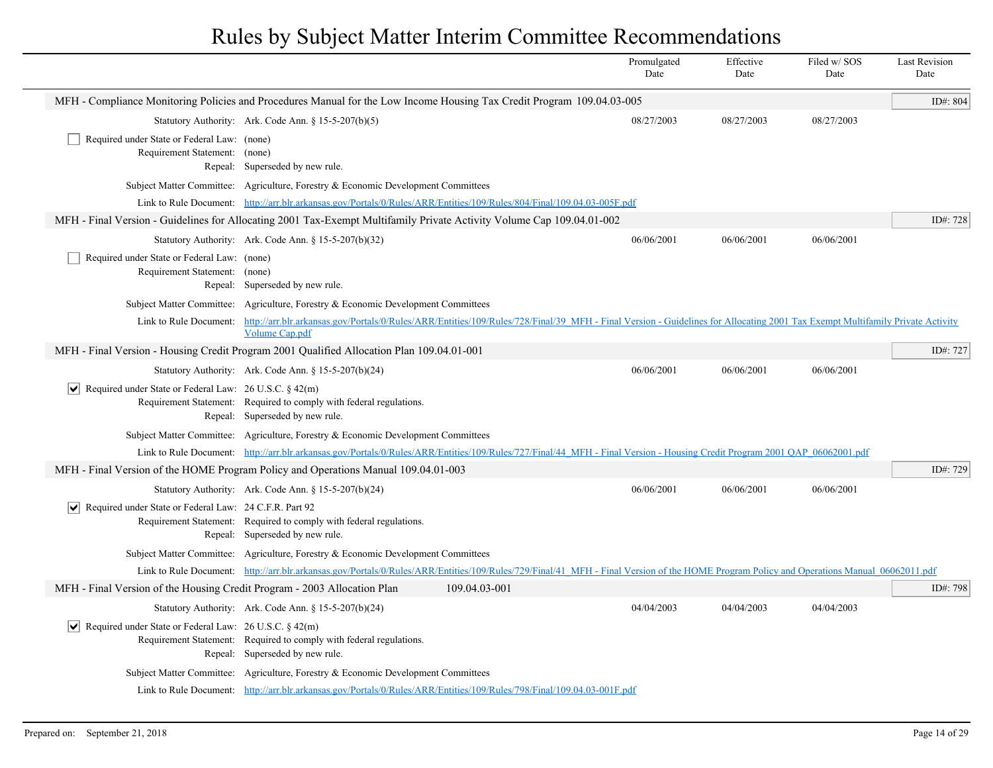|                                                                                         |                                                                                                                                                                                                                              |               | Promulgated<br>Date | Effective<br>Date | Filed w/ SOS<br>Date | <b>Last Revision</b><br>Date |
|-----------------------------------------------------------------------------------------|------------------------------------------------------------------------------------------------------------------------------------------------------------------------------------------------------------------------------|---------------|---------------------|-------------------|----------------------|------------------------------|
|                                                                                         | MFH - Compliance Monitoring Policies and Procedures Manual for the Low Income Housing Tax Credit Program 109.04.03-005                                                                                                       |               |                     |                   |                      | ID#: 804                     |
|                                                                                         | Statutory Authority: Ark. Code Ann. § 15-5-207(b)(5)                                                                                                                                                                         |               | 08/27/2003          | 08/27/2003        | 08/27/2003           |                              |
| Required under State or Federal Law: (none)<br>Requirement Statement: (none)            | Repeal: Superseded by new rule.                                                                                                                                                                                              |               |                     |                   |                      |                              |
|                                                                                         | Subject Matter Committee: Agriculture, Forestry & Economic Development Committees                                                                                                                                            |               |                     |                   |                      |                              |
|                                                                                         | Link to Rule Document: http://arr.blr.arkansas.gov/Portals/0/Rules/ARR/Entities/109/Rules/804/Final/109.04.03-005F.pdf                                                                                                       |               |                     |                   |                      |                              |
|                                                                                         | MFH - Final Version - Guidelines for Allocating 2001 Tax-Exempt Multifamily Private Activity Volume Cap 109.04.01-002                                                                                                        |               |                     |                   |                      | ID#: 728                     |
|                                                                                         | Statutory Authority: Ark. Code Ann. § 15-5-207(b)(32)                                                                                                                                                                        |               | 06/06/2001          | 06/06/2001        | 06/06/2001           |                              |
| Required under State or Federal Law: (none)<br>Requirement Statement: (none)<br>Repeal: | Superseded by new rule.                                                                                                                                                                                                      |               |                     |                   |                      |                              |
|                                                                                         | Subject Matter Committee: Agriculture, Forestry & Economic Development Committees                                                                                                                                            |               |                     |                   |                      |                              |
|                                                                                         | Link to Rule Document: http://arr.blr.arkansas.gov/Portals/0/Rules/ARR/Entities/109/Rules/728/Final/39 MFH - Final Version - Guidelines for Allocating 2001 Tax Exempt Multifamily Private Activity<br><b>Volume Cap.pdf</b> |               |                     |                   |                      |                              |
|                                                                                         | MFH - Final Version - Housing Credit Program 2001 Qualified Allocation Plan 109.04.01-001                                                                                                                                    |               |                     |                   |                      | ID#: 727                     |
|                                                                                         | Statutory Authority: Ark. Code Ann. § 15-5-207(b)(24)                                                                                                                                                                        |               | 06/06/2001          | 06/06/2001        | 06/06/2001           |                              |
| $ \mathbf{v} $ Required under State or Federal Law: 26 U.S.C. § 42(m)                   | Requirement Statement: Required to comply with federal regulations.<br>Repeal: Superseded by new rule.                                                                                                                       |               |                     |                   |                      |                              |
|                                                                                         | Subject Matter Committee: Agriculture, Forestry & Economic Development Committees                                                                                                                                            |               |                     |                   |                      |                              |
|                                                                                         | Link to Rule Document: http://arr.blr.arkansas.gov/Portals/0/Rules/ARR/Entities/109/Rules/727/Final/44 MFH - Final Version - Housing Credit Program 2001 OAP 06062001.pdf                                                    |               |                     |                   |                      |                              |
|                                                                                         | MFH - Final Version of the HOME Program Policy and Operations Manual 109.04.01-003                                                                                                                                           |               |                     |                   |                      | ID#: 729                     |
|                                                                                         | Statutory Authority: Ark. Code Ann. § 15-5-207(b)(24)                                                                                                                                                                        |               | 06/06/2001          | 06/06/2001        | 06/06/2001           |                              |
| $ \mathbf{v} $ Required under State or Federal Law: 24 C.F.R. Part 92                   | Requirement Statement: Required to comply with federal regulations.<br>Repeal: Superseded by new rule.                                                                                                                       |               |                     |                   |                      |                              |
|                                                                                         | Subject Matter Committee: Agriculture, Forestry & Economic Development Committees                                                                                                                                            |               |                     |                   |                      |                              |
|                                                                                         | Link to Rule Document: http://arr.blr.arkansas.gov/Portals/0/Rules/ARR/Entities/109/Rules/729/Final/41 MFH - Final Version of the HOME Program Policy and Operations Manual 06062011.pdf                                     |               |                     |                   |                      |                              |
| MFH - Final Version of the Housing Credit Program - 2003 Allocation Plan                |                                                                                                                                                                                                                              | 109.04.03-001 |                     |                   |                      | ID#: 798                     |
|                                                                                         | Statutory Authority: Ark. Code Ann. § 15-5-207(b)(24)                                                                                                                                                                        |               | 04/04/2003          | 04/04/2003        | 04/04/2003           |                              |
| $ \mathbf{v} $ Required under State or Federal Law: 26 U.S.C. § 42(m)                   | Requirement Statement: Required to comply with federal regulations.<br>Repeal: Superseded by new rule.                                                                                                                       |               |                     |                   |                      |                              |
|                                                                                         | Subject Matter Committee: Agriculture, Forestry & Economic Development Committees                                                                                                                                            |               |                     |                   |                      |                              |
|                                                                                         | Link to Rule Document: http://arr.blr.arkansas.gov/Portals/0/Rules/ARR/Entities/109/Rules/798/Final/109.04.03-001F.pdf                                                                                                       |               |                     |                   |                      |                              |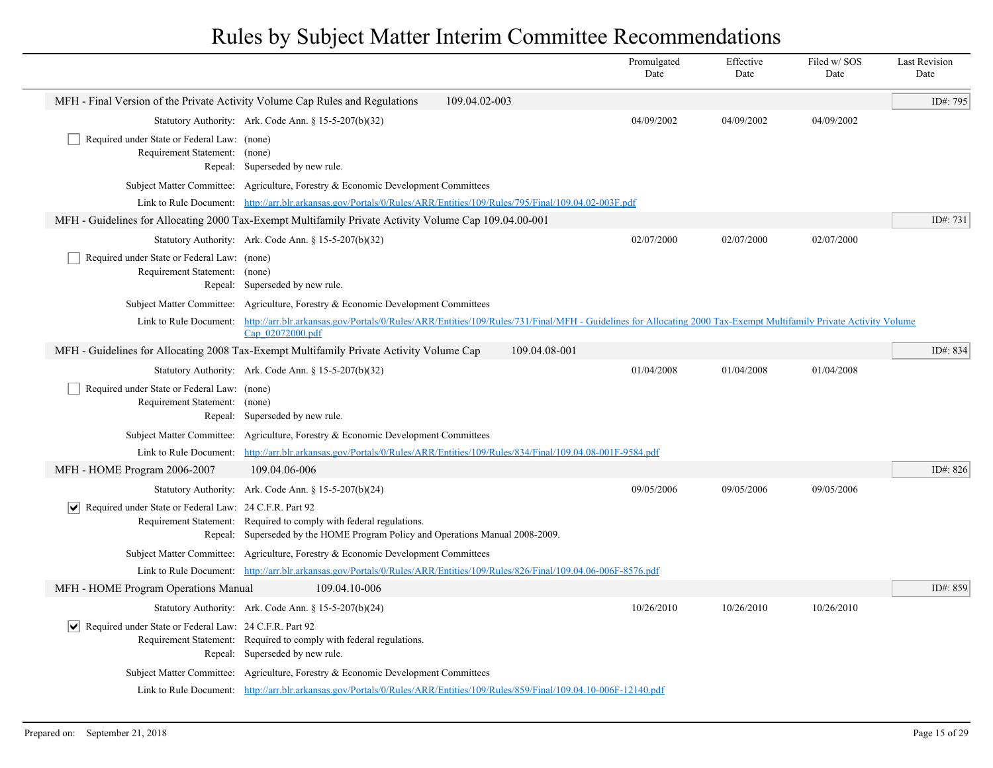|                                                                              |                                                                                                                                                                                                             |               | Promulgated<br>Date | Effective<br>Date | Filed w/ SOS<br>Date | <b>Last Revision</b><br>Date |
|------------------------------------------------------------------------------|-------------------------------------------------------------------------------------------------------------------------------------------------------------------------------------------------------------|---------------|---------------------|-------------------|----------------------|------------------------------|
| MFH - Final Version of the Private Activity Volume Cap Rules and Regulations |                                                                                                                                                                                                             | 109.04.02-003 |                     |                   |                      | ID#: 795                     |
|                                                                              | Statutory Authority: Ark. Code Ann. § 15-5-207(b)(32)                                                                                                                                                       |               | 04/09/2002          | 04/09/2002        | 04/09/2002           |                              |
| Required under State or Federal Law: (none)<br>Requirement Statement:        | (none)<br>Repeal: Superseded by new rule.                                                                                                                                                                   |               |                     |                   |                      |                              |
|                                                                              | Subject Matter Committee: Agriculture, Forestry & Economic Development Committees                                                                                                                           |               |                     |                   |                      |                              |
|                                                                              | Link to Rule Document: http://arr.blr.arkansas.gov/Portals/0/Rules/ARR/Entities/109/Rules/795/Final/109.04.02-003F.pdf                                                                                      |               |                     |                   |                      |                              |
|                                                                              | MFH - Guidelines for Allocating 2000 Tax-Exempt Multifamily Private Activity Volume Cap 109.04.00-001                                                                                                       |               |                     |                   |                      | ID#: 731                     |
|                                                                              | Statutory Authority: Ark. Code Ann. § 15-5-207(b)(32)                                                                                                                                                       |               | 02/07/2000          | 02/07/2000        | 02/07/2000           |                              |
| Required under State or Federal Law: (none)<br>Requirement Statement:        | (none)<br>Repeal: Superseded by new rule.                                                                                                                                                                   |               |                     |                   |                      |                              |
|                                                                              | Subject Matter Committee: Agriculture, Forestry & Economic Development Committees                                                                                                                           |               |                     |                   |                      |                              |
|                                                                              | Link to Rule Document: http://arr.blr.arkansas.gov/Portals/0/Rules/ARR/Entities/109/Rules/731/Final/MFH - Guidelines for Allocating 2000 Tax-Exempt Multifamily Private Activity Volume<br>Cap 02072000.pdf |               |                     |                   |                      |                              |
|                                                                              | MFH - Guidelines for Allocating 2008 Tax-Exempt Multifamily Private Activity Volume Cap                                                                                                                     | 109.04.08-001 |                     |                   |                      | ID#: 834                     |
|                                                                              | Statutory Authority: Ark. Code Ann. § 15-5-207(b)(32)                                                                                                                                                       |               | 01/04/2008          | 01/04/2008        | 01/04/2008           |                              |
| Required under State or Federal Law: (none)<br>Requirement Statement:        | (none)<br>Repeal: Superseded by new rule.                                                                                                                                                                   |               |                     |                   |                      |                              |
|                                                                              | Subject Matter Committee: Agriculture, Forestry & Economic Development Committees                                                                                                                           |               |                     |                   |                      |                              |
| Link to Rule Document:                                                       | http://arr.blr.arkansas.gov/Portals/0/Rules/ARR/Entities/109/Rules/834/Final/109.04.08-001F-9584.pdf                                                                                                        |               |                     |                   |                      |                              |
| MFH - HOME Program 2006-2007                                                 | 109.04.06-006                                                                                                                                                                                               |               |                     |                   |                      | ID#: 826                     |
|                                                                              | Statutory Authority: Ark. Code Ann. § 15-5-207(b)(24)                                                                                                                                                       |               | 09/05/2006          | 09/05/2006        | 09/05/2006           |                              |
| $ \mathbf{v} $ Required under State or Federal Law: 24 C.F.R. Part 92        | Requirement Statement: Required to comply with federal regulations.<br>Repeal: Superseded by the HOME Program Policy and Operations Manual 2008-2009.                                                       |               |                     |                   |                      |                              |
|                                                                              | Subject Matter Committee: Agriculture, Forestry & Economic Development Committees                                                                                                                           |               |                     |                   |                      |                              |
|                                                                              | Link to Rule Document: http://arr.blr.arkansas.gov/Portals/0/Rules/ARR/Entities/109/Rules/826/Final/109.04.06-006F-8576.pdf                                                                                 |               |                     |                   |                      |                              |
| MFH - HOME Program Operations Manual                                         | 109.04.10-006                                                                                                                                                                                               |               |                     |                   |                      | ID#: 859                     |
|                                                                              | Statutory Authority: Ark. Code Ann. $\S 15-5-207(b)(24)$                                                                                                                                                    |               | 10/26/2010          | 10/26/2010        | 10/26/2010           |                              |
| Required under State or Federal Law: 24 C.F.R. Part 92                       | Requirement Statement: Required to comply with federal regulations.<br>Repeal: Superseded by new rule.                                                                                                      |               |                     |                   |                      |                              |
|                                                                              | Subject Matter Committee: Agriculture, Forestry & Economic Development Committees                                                                                                                           |               |                     |                   |                      |                              |
|                                                                              | Link to Rule Document: http://arr.blr.arkansas.gov/Portals/0/Rules/ARR/Entities/109/Rules/859/Final/109.04.10-006F-12140.pdf                                                                                |               |                     |                   |                      |                              |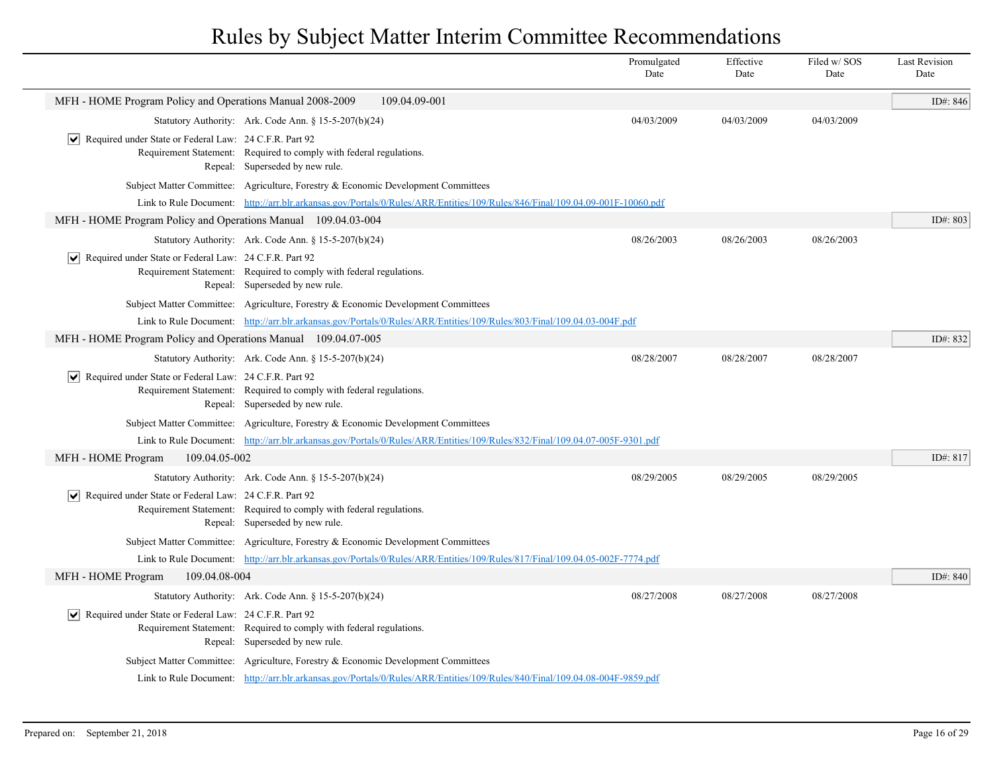|                                                                        |                                                                                                                              | Promulgated<br>Date | Effective<br>Date | Filed w/SOS<br>Date | <b>Last Revision</b><br>Date |
|------------------------------------------------------------------------|------------------------------------------------------------------------------------------------------------------------------|---------------------|-------------------|---------------------|------------------------------|
| MFH - HOME Program Policy and Operations Manual 2008-2009              | 109.04.09-001                                                                                                                |                     |                   |                     | ID#: 846                     |
|                                                                        | Statutory Authority: Ark. Code Ann. § 15-5-207(b)(24)                                                                        | 04/03/2009          | 04/03/2009        | 04/03/2009          |                              |
| Required under State or Federal Law: 24 C.F.R. Part 92<br>∣V∣          | Requirement Statement: Required to comply with federal regulations.<br>Repeal: Superseded by new rule.                       |                     |                   |                     |                              |
|                                                                        | Subject Matter Committee: Agriculture, Forestry & Economic Development Committees                                            |                     |                   |                     |                              |
|                                                                        | Link to Rule Document: http://arr.blr.arkansas.gov/Portals/0/Rules/ARR/Entities/109/Rules/846/Final/109.04.09-001F-10060.pdf |                     |                   |                     |                              |
| MFH - HOME Program Policy and Operations Manual 109.04.03-004          |                                                                                                                              |                     |                   |                     | ID#: 803                     |
|                                                                        | Statutory Authority: Ark. Code Ann. § 15-5-207(b)(24)                                                                        | 08/26/2003          | 08/26/2003        | 08/26/2003          |                              |
| $ \mathbf{v} $ Required under State or Federal Law: 24 C.F.R. Part 92  | Requirement Statement: Required to comply with federal regulations.<br>Repeal: Superseded by new rule.                       |                     |                   |                     |                              |
|                                                                        | Subject Matter Committee: Agriculture, Forestry & Economic Development Committees                                            |                     |                   |                     |                              |
|                                                                        | Link to Rule Document: http://arr.blr.arkansas.gov/Portals/0/Rules/ARR/Entities/109/Rules/803/Final/109.04.03-004F.pdf       |                     |                   |                     |                              |
| MFH - HOME Program Policy and Operations Manual 109.04.07-005          |                                                                                                                              |                     |                   |                     | ID#: 832                     |
|                                                                        | Statutory Authority: Ark. Code Ann. $\S 15-5-207(b)(24)$                                                                     | 08/28/2007          | 08/28/2007        | 08/28/2007          |                              |
| $ \mathbf{v} $ Required under State or Federal Law: 24 C.F.R. Part 92  | Requirement Statement: Required to comply with federal regulations.<br>Repeal: Superseded by new rule.                       |                     |                   |                     |                              |
|                                                                        | Subject Matter Committee: Agriculture, Forestry & Economic Development Committees                                            |                     |                   |                     |                              |
|                                                                        | Link to Rule Document: http://arr.blr.arkansas.gov/Portals/0/Rules/ARR/Entities/109/Rules/832/Final/109.04.07-005F-9301.pdf  |                     |                   |                     |                              |
| MFH - HOME Program<br>109.04.05-002                                    |                                                                                                                              |                     |                   |                     | ID#: 817                     |
|                                                                        | Statutory Authority: Ark. Code Ann. § 15-5-207(b)(24)                                                                        | 08/29/2005          | 08/29/2005        | 08/29/2005          |                              |
| $\triangledown$ Required under State or Federal Law: 24 C.F.R. Part 92 | Requirement Statement: Required to comply with federal regulations.<br>Repeal: Superseded by new rule.                       |                     |                   |                     |                              |
|                                                                        | Subject Matter Committee: Agriculture, Forestry & Economic Development Committees                                            |                     |                   |                     |                              |
|                                                                        | Link to Rule Document: http://arr.blr.arkansas.gov/Portals/0/Rules/ARR/Entities/109/Rules/817/Final/109.04.05-002F-7774.pdf  |                     |                   |                     |                              |
| MFH - HOME Program<br>109.04.08-004                                    |                                                                                                                              |                     |                   |                     | ID#: 840                     |
|                                                                        | Statutory Authority: Ark. Code Ann. § 15-5-207(b)(24)                                                                        | 08/27/2008          | 08/27/2008        | 08/27/2008          |                              |
| $ \mathbf{v} $ Required under State or Federal Law: 24 C.F.R. Part 92  | Requirement Statement: Required to comply with federal regulations.<br>Repeal: Superseded by new rule.                       |                     |                   |                     |                              |
|                                                                        | Subject Matter Committee: Agriculture, Forestry & Economic Development Committees                                            |                     |                   |                     |                              |
|                                                                        | Link to Rule Document: http://arr.blr.arkansas.gov/Portals/0/Rules/ARR/Entities/109/Rules/840/Final/109.04.08-004F-9859.pdf  |                     |                   |                     |                              |
|                                                                        |                                                                                                                              |                     |                   |                     |                              |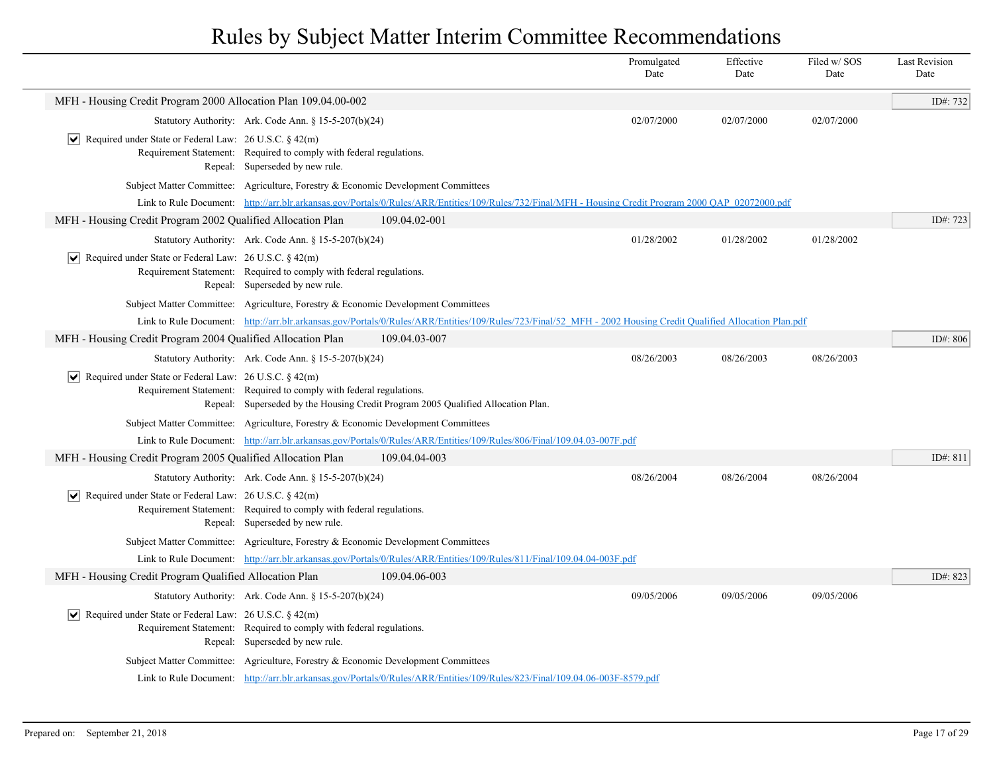|                                                                       |                                                                                                        |                                                                                                                                                                | Promulgated<br>Date | Effective<br>Date | Filed w/ SOS<br>Date | <b>Last Revision</b><br>Date |
|-----------------------------------------------------------------------|--------------------------------------------------------------------------------------------------------|----------------------------------------------------------------------------------------------------------------------------------------------------------------|---------------------|-------------------|----------------------|------------------------------|
| MFH - Housing Credit Program 2000 Allocation Plan 109.04.00-002       |                                                                                                        |                                                                                                                                                                |                     |                   |                      | ID#: 732                     |
|                                                                       | Statutory Authority: Ark. Code Ann. § 15-5-207(b)(24)                                                  |                                                                                                                                                                | 02/07/2000          | 02/07/2000        | 02/07/2000           |                              |
| $ \mathbf{v} $ Required under State or Federal Law: 26 U.S.C. § 42(m) | Requirement Statement: Required to comply with federal regulations.<br>Repeal: Superseded by new rule. |                                                                                                                                                                |                     |                   |                      |                              |
|                                                                       | Subject Matter Committee: Agriculture, Forestry & Economic Development Committees                      |                                                                                                                                                                |                     |                   |                      |                              |
|                                                                       |                                                                                                        | Link to Rule Document: http://arr.blr.arkansas.gov/Portals/0/Rules/ARR/Entities/109/Rules/732/Final/MFH - Housing Credit Program 2000 QAP_02072000.pdf         |                     |                   |                      |                              |
| MFH - Housing Credit Program 2002 Qualified Allocation Plan           |                                                                                                        | 109.04.02-001                                                                                                                                                  |                     |                   |                      | ID#: 723                     |
|                                                                       | Statutory Authority: Ark. Code Ann. § 15-5-207(b)(24)                                                  |                                                                                                                                                                | 01/28/2002          | 01/28/2002        | 01/28/2002           |                              |
| $ \mathbf{v} $ Required under State or Federal Law: 26 U.S.C. § 42(m) | Requirement Statement: Required to comply with federal regulations.<br>Repeal: Superseded by new rule. |                                                                                                                                                                |                     |                   |                      |                              |
|                                                                       | Subject Matter Committee: Agriculture, Forestry & Economic Development Committees                      |                                                                                                                                                                |                     |                   |                      |                              |
|                                                                       |                                                                                                        | Link to Rule Document: http://arr.blr.arkansas.gov/Portals/0/Rules/ARR/Entities/109/Rules/723/Final/52 MFH - 2002 Housing Credit Qualified Allocation Plan.pdf |                     |                   |                      |                              |
| MFH - Housing Credit Program 2004 Qualified Allocation Plan           |                                                                                                        | 109.04.03-007                                                                                                                                                  |                     |                   |                      | ID#: 806                     |
|                                                                       | Statutory Authority: Ark. Code Ann. § 15-5-207(b)(24)                                                  |                                                                                                                                                                | 08/26/2003          | 08/26/2003        | 08/26/2003           |                              |
| $ \mathbf{v} $ Required under State or Federal Law: 26 U.S.C. § 42(m) | Requirement Statement: Required to comply with federal regulations.                                    | Repeal: Superseded by the Housing Credit Program 2005 Qualified Allocation Plan.                                                                               |                     |                   |                      |                              |
|                                                                       | Subject Matter Committee: Agriculture, Forestry & Economic Development Committees                      |                                                                                                                                                                |                     |                   |                      |                              |
|                                                                       |                                                                                                        | Link to Rule Document: http://arr.blr.arkansas.gov/Portals/0/Rules/ARR/Entities/109/Rules/806/Final/109.04.03-007F.pdf                                         |                     |                   |                      |                              |
| MFH - Housing Credit Program 2005 Qualified Allocation Plan           |                                                                                                        | 109.04.04-003                                                                                                                                                  |                     |                   |                      | ID#: 811                     |
|                                                                       | Statutory Authority: Ark. Code Ann. § 15-5-207(b)(24)                                                  |                                                                                                                                                                | 08/26/2004          | 08/26/2004        | 08/26/2004           |                              |
| $ \mathbf{v} $ Required under State or Federal Law: 26 U.S.C. § 42(m) | Requirement Statement: Required to comply with federal regulations.<br>Repeal: Superseded by new rule. |                                                                                                                                                                |                     |                   |                      |                              |
|                                                                       | Subject Matter Committee: Agriculture, Forestry & Economic Development Committees                      |                                                                                                                                                                |                     |                   |                      |                              |
|                                                                       |                                                                                                        | Link to Rule Document: http://arr.blr.arkansas.gov/Portals/0/Rules/ARR/Entities/109/Rules/811/Final/109.04.04-003F.pdf                                         |                     |                   |                      |                              |
| MFH - Housing Credit Program Qualified Allocation Plan                |                                                                                                        | 109.04.06-003                                                                                                                                                  |                     |                   |                      | ID#: 823                     |
|                                                                       | Statutory Authority: Ark. Code Ann. § 15-5-207(b)(24)                                                  |                                                                                                                                                                | 09/05/2006          | 09/05/2006        | 09/05/2006           |                              |
| $ \mathbf{v} $ Required under State or Federal Law: 26 U.S.C. § 42(m) | Requirement Statement: Required to comply with federal regulations.<br>Repeal: Superseded by new rule. |                                                                                                                                                                |                     |                   |                      |                              |
|                                                                       | Subject Matter Committee: Agriculture, Forestry & Economic Development Committees                      |                                                                                                                                                                |                     |                   |                      |                              |
|                                                                       |                                                                                                        | Link to Rule Document: http://arr.blr.arkansas.gov/Portals/0/Rules/ARR/Entities/109/Rules/823/Final/109.04.06-003F-8579.pdf                                    |                     |                   |                      |                              |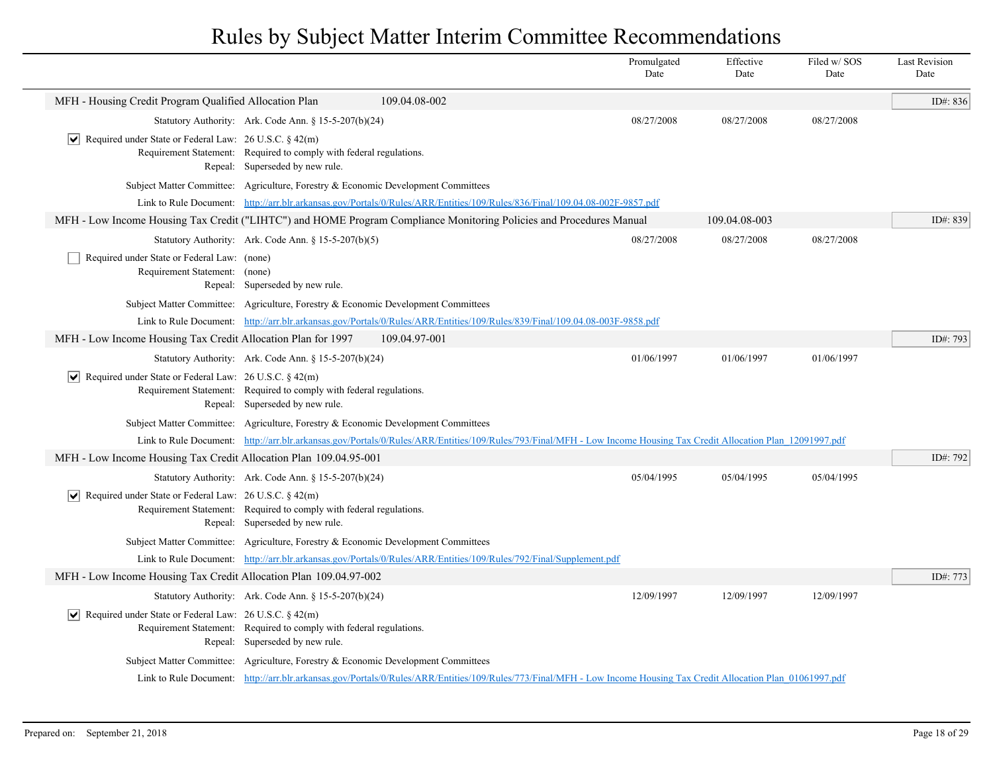|                                                                                                                                                                                                 |                                                                                                                                                                      | Promulgated<br>Date | Effective<br>Date | Filed w/SOS<br>Date | <b>Last Revision</b><br>Date |
|-------------------------------------------------------------------------------------------------------------------------------------------------------------------------------------------------|----------------------------------------------------------------------------------------------------------------------------------------------------------------------|---------------------|-------------------|---------------------|------------------------------|
| MFH - Housing Credit Program Qualified Allocation Plan                                                                                                                                          | 109.04.08-002                                                                                                                                                        |                     |                   |                     | ID#: 836                     |
| Statutory Authority: Ark. Code Ann. § 15-5-207(b)(24)                                                                                                                                           |                                                                                                                                                                      | 08/27/2008          | 08/27/2008        | 08/27/2008          |                              |
| Required under State or Federal Law: 26 U.S.C. § 42(m)<br>$\vert\bm{\mathsf{v}}\vert$<br>Requirement Statement: Required to comply with federal regulations.<br>Repeal: Superseded by new rule. |                                                                                                                                                                      |                     |                   |                     |                              |
| Subject Matter Committee: Agriculture, Forestry & Economic Development Committees                                                                                                               |                                                                                                                                                                      |                     |                   |                     |                              |
|                                                                                                                                                                                                 | Link to Rule Document: http://arr.blr.arkansas.gov/Portals/0/Rules/ARR/Entities/109/Rules/836/Final/109.04.08-002F-9857.pdf                                          |                     |                   |                     |                              |
| MFH - Low Income Housing Tax Credit ("LIHTC") and HOME Program Compliance Monitoring Policies and Procedures Manual                                                                             |                                                                                                                                                                      |                     | 109.04.08-003     |                     | ID#: 839                     |
| Statutory Authority: Ark. Code Ann. § 15-5-207(b)(5)                                                                                                                                            |                                                                                                                                                                      | 08/27/2008          | 08/27/2008        | 08/27/2008          |                              |
| Required under State or Federal Law: (none)<br>Requirement Statement: (none)<br>Repeal: Superseded by new rule.                                                                                 |                                                                                                                                                                      |                     |                   |                     |                              |
| Subject Matter Committee: Agriculture, Forestry & Economic Development Committees                                                                                                               |                                                                                                                                                                      |                     |                   |                     |                              |
|                                                                                                                                                                                                 | Link to Rule Document: http://arr.blr.arkansas.gov/Portals/0/Rules/ARR/Entities/109/Rules/839/Final/109.04.08-003F-9858.pdf                                          |                     |                   |                     |                              |
| MFH - Low Income Housing Tax Credit Allocation Plan for 1997                                                                                                                                    | 109.04.97-001                                                                                                                                                        |                     |                   |                     | ID#: 793                     |
| Statutory Authority: Ark. Code Ann. $\S 15-5-207(b)(24)$                                                                                                                                        |                                                                                                                                                                      | 01/06/1997          | 01/06/1997        | 01/06/1997          |                              |
| $ \mathbf{v} $ Required under State or Federal Law: 26 U.S.C. § 42(m)<br>Requirement Statement: Required to comply with federal regulations.<br>Repeal: Superseded by new rule.                 |                                                                                                                                                                      |                     |                   |                     |                              |
| Subject Matter Committee: Agriculture, Forestry & Economic Development Committees                                                                                                               |                                                                                                                                                                      |                     |                   |                     |                              |
|                                                                                                                                                                                                 | Link to Rule Document: http://arr.blr.arkansas.gov/Portals/0/Rules/ARR/Entities/109/Rules/793/Final/MFH - Low Income Housing Tax Credit Allocation Plan 12091997.pdf |                     |                   |                     |                              |
| MFH - Low Income Housing Tax Credit Allocation Plan 109.04.95-001                                                                                                                               |                                                                                                                                                                      |                     |                   |                     | ID#: 792                     |
| Statutory Authority: Ark. Code Ann. § 15-5-207(b)(24)                                                                                                                                           |                                                                                                                                                                      | 05/04/1995          | 05/04/1995        | 05/04/1995          |                              |
| $ \mathbf{v} $ Required under State or Federal Law: 26 U.S.C. § 42(m)<br>Requirement Statement: Required to comply with federal regulations.<br>Repeal: Superseded by new rule.                 |                                                                                                                                                                      |                     |                   |                     |                              |
| Subject Matter Committee: Agriculture, Forestry & Economic Development Committees                                                                                                               |                                                                                                                                                                      |                     |                   |                     |                              |
|                                                                                                                                                                                                 | Link to Rule Document: http://arr.blr.arkansas.gov/Portals/0/Rules/ARR/Entities/109/Rules/792/Final/Supplement.pdf                                                   |                     |                   |                     |                              |
| MFH - Low Income Housing Tax Credit Allocation Plan 109.04.97-002                                                                                                                               |                                                                                                                                                                      |                     |                   |                     | ID#: 773                     |
| Statutory Authority: Ark. Code Ann. § 15-5-207(b)(24)                                                                                                                                           |                                                                                                                                                                      | 12/09/1997          | 12/09/1997        | 12/09/1997          |                              |
| $ \mathbf{v} $ Required under State or Federal Law: 26 U.S.C. § 42(m)<br>Requirement Statement: Required to comply with federal regulations.<br>Repeal: Superseded by new rule.                 |                                                                                                                                                                      |                     |                   |                     |                              |
| Subject Matter Committee: Agriculture, Forestry & Economic Development Committees                                                                                                               |                                                                                                                                                                      |                     |                   |                     |                              |
|                                                                                                                                                                                                 | Link to Rule Document: http://arr.blr.arkansas.gov/Portals/0/Rules/ARR/Entities/109/Rules/773/Final/MFH - Low Income Housing Tax Credit Allocation Plan 01061997.pdf |                     |                   |                     |                              |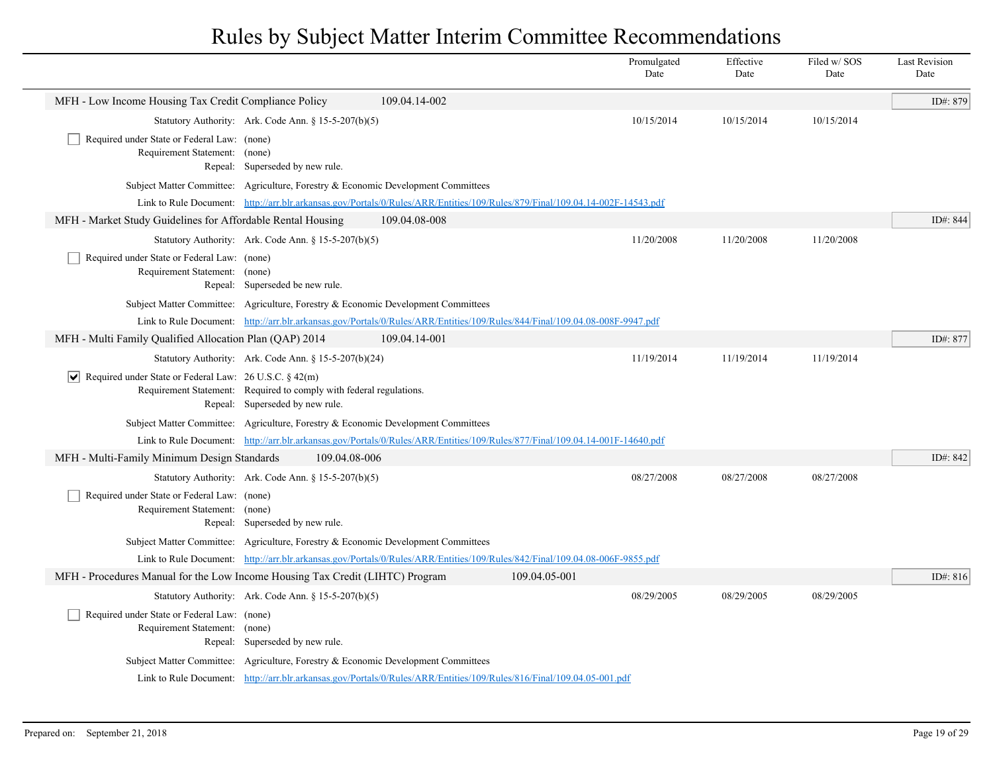|                                                                               |                                                                                                                              |               |               | Promulgated<br>Date | Effective<br>Date | Filed w/SOS<br>Date | <b>Last Revision</b><br>Date |
|-------------------------------------------------------------------------------|------------------------------------------------------------------------------------------------------------------------------|---------------|---------------|---------------------|-------------------|---------------------|------------------------------|
| MFH - Low Income Housing Tax Credit Compliance Policy                         |                                                                                                                              | 109.04.14-002 |               |                     |                   |                     | ID#: 879                     |
|                                                                               | Statutory Authority: Ark. Code Ann. § 15-5-207(b)(5)                                                                         |               |               | 10/15/2014          | 10/15/2014        | 10/15/2014          |                              |
| Required under State or Federal Law: (none)<br>Requirement Statement: (none)  | Repeal: Superseded by new rule.                                                                                              |               |               |                     |                   |                     |                              |
|                                                                               | Subject Matter Committee: Agriculture, Forestry & Economic Development Committees                                            |               |               |                     |                   |                     |                              |
|                                                                               | Link to Rule Document: http://arr.blr.arkansas.gov/Portals/0/Rules/ARR/Entities/109/Rules/879/Final/109.04.14-002F-14543.pdf |               |               |                     |                   |                     |                              |
| MFH - Market Study Guidelines for Affordable Rental Housing                   |                                                                                                                              | 109.04.08-008 |               |                     |                   |                     | ID#: 844                     |
|                                                                               | Statutory Authority: Ark. Code Ann. § 15-5-207(b)(5)                                                                         |               |               | 11/20/2008          | 11/20/2008        | 11/20/2008          |                              |
| Required under State or Federal Law: (none)<br>Requirement Statement: (none)  | Repeal: Superseded be new rule.                                                                                              |               |               |                     |                   |                     |                              |
|                                                                               | Subject Matter Committee: Agriculture, Forestry & Economic Development Committees                                            |               |               |                     |                   |                     |                              |
|                                                                               | Link to Rule Document: http://arr.blr.arkansas.gov/Portals/0/Rules/ARR/Entities/109/Rules/844/Final/109.04.08-008F-9947.pdf  |               |               |                     |                   |                     |                              |
| MFH - Multi Family Qualified Allocation Plan (QAP) 2014                       |                                                                                                                              | 109.04.14-001 |               |                     |                   |                     | ID#: 877                     |
|                                                                               | Statutory Authority: Ark. Code Ann. § 15-5-207(b)(24)                                                                        |               |               | 11/19/2014          | 11/19/2014        | 11/19/2014          |                              |
| $ \mathbf{v} $ Required under State or Federal Law: 26 U.S.C. § 42(m)         | Requirement Statement: Required to comply with federal regulations.<br>Repeal: Superseded by new rule.                       |               |               |                     |                   |                     |                              |
|                                                                               | Subject Matter Committee: Agriculture, Forestry & Economic Development Committees                                            |               |               |                     |                   |                     |                              |
|                                                                               | Link to Rule Document: http://arr.blr.arkansas.gov/Portals/0/Rules/ARR/Entities/109/Rules/877/Final/109.04.14-001F-14640.pdf |               |               |                     |                   |                     |                              |
| MFH - Multi-Family Minimum Design Standards                                   | 109.04.08-006                                                                                                                |               |               |                     |                   |                     | ID#: 842                     |
|                                                                               | Statutory Authority: Ark. Code Ann. § 15-5-207(b)(5)                                                                         |               |               | 08/27/2008          | 08/27/2008        | 08/27/2008          |                              |
| Required under State or Federal Law: (none)<br>Requirement Statement: (none)  | Repeal: Superseded by new rule.                                                                                              |               |               |                     |                   |                     |                              |
|                                                                               | Subject Matter Committee: Agriculture, Forestry & Economic Development Committees                                            |               |               |                     |                   |                     |                              |
|                                                                               | Link to Rule Document: http://arr.blr.arkansas.gov/Portals/0/Rules/ARR/Entities/109/Rules/842/Final/109.04.08-006F-9855.pdf  |               |               |                     |                   |                     |                              |
| MFH - Procedures Manual for the Low Income Housing Tax Credit (LIHTC) Program |                                                                                                                              |               | 109.04.05-001 |                     |                   |                     | ID#: 816                     |
|                                                                               | Statutory Authority: Ark. Code Ann. § 15-5-207(b)(5)                                                                         |               |               | 08/29/2005          | 08/29/2005        | 08/29/2005          |                              |
| Required under State or Federal Law: (none)<br>Requirement Statement: (none)  | Repeal: Superseded by new rule.                                                                                              |               |               |                     |                   |                     |                              |
|                                                                               | Subject Matter Committee: Agriculture, Forestry & Economic Development Committees                                            |               |               |                     |                   |                     |                              |
|                                                                               | Link to Rule Document: http://arr.blr.arkansas.gov/Portals/0/Rules/ARR/Entities/109/Rules/816/Final/109.04.05-001.pdf        |               |               |                     |                   |                     |                              |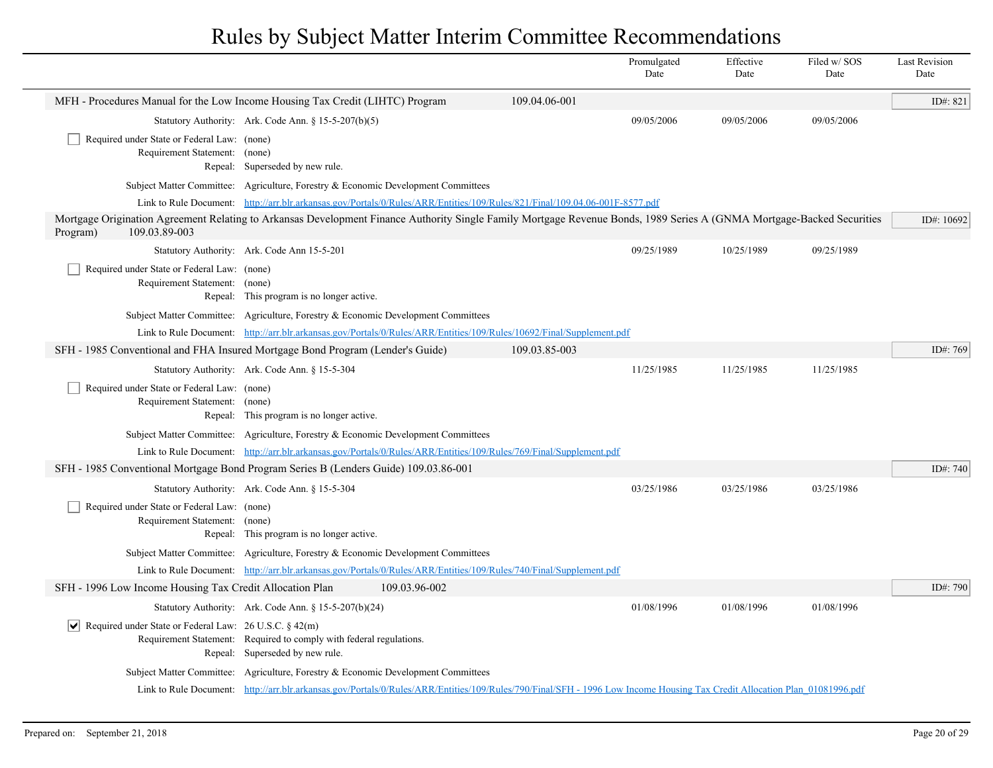|                                                                              |                                                                                                                                                                           |               | Promulgated<br>Date | Effective<br>Date | Filed w/SOS<br>Date | <b>Last Revision</b><br>Date |
|------------------------------------------------------------------------------|---------------------------------------------------------------------------------------------------------------------------------------------------------------------------|---------------|---------------------|-------------------|---------------------|------------------------------|
|                                                                              | MFH - Procedures Manual for the Low Income Housing Tax Credit (LIHTC) Program                                                                                             | 109.04.06-001 |                     |                   |                     | ID#: 821                     |
|                                                                              | Statutory Authority: Ark. Code Ann. § 15-5-207(b)(5)                                                                                                                      |               | 09/05/2006          | 09/05/2006        | 09/05/2006          |                              |
| Required under State or Federal Law: (none)<br>Requirement Statement: (none) | Repeal: Superseded by new rule.                                                                                                                                           |               |                     |                   |                     |                              |
|                                                                              | Subject Matter Committee: Agriculture, Forestry & Economic Development Committees                                                                                         |               |                     |                   |                     |                              |
|                                                                              | Link to Rule Document: http://arr.blr.arkansas.gov/Portals/0/Rules/ARR/Entities/109/Rules/821/Final/109.04.06-001F-8577.pdf                                               |               |                     |                   |                     |                              |
| 109.03.89-003<br>Program)                                                    | Mortgage Origination Agreement Relating to Arkansas Development Finance Authority Single Family Mortgage Revenue Bonds, 1989 Series A (GNMA Mortgage-Backed Securities    |               |                     |                   |                     | ID#: 10692                   |
|                                                                              | Statutory Authority: Ark. Code Ann 15-5-201                                                                                                                               |               | 09/25/1989          | 10/25/1989        | 09/25/1989          |                              |
| Required under State or Federal Law: (none)<br>Requirement Statement:        | (none)<br>Repeal: This program is no longer active.                                                                                                                       |               |                     |                   |                     |                              |
|                                                                              | Subject Matter Committee: Agriculture, Forestry & Economic Development Committees                                                                                         |               |                     |                   |                     |                              |
|                                                                              | Link to Rule Document: http://arr.blr.arkansas.gov/Portals/0/Rules/ARR/Entities/109/Rules/10692/Final/Supplement.pdf                                                      |               |                     |                   |                     |                              |
|                                                                              | SFH - 1985 Conventional and FHA Insured Mortgage Bond Program (Lender's Guide)                                                                                            | 109.03.85-003 |                     |                   |                     | ID#: 769                     |
|                                                                              | Statutory Authority: Ark. Code Ann. § 15-5-304                                                                                                                            |               | 11/25/1985          | 11/25/1985        | 11/25/1985          |                              |
| Required under State or Federal Law: (none)<br>Requirement Statement: (none) | Repeal: This program is no longer active.                                                                                                                                 |               |                     |                   |                     |                              |
|                                                                              | Subject Matter Committee: Agriculture, Forestry & Economic Development Committees                                                                                         |               |                     |                   |                     |                              |
|                                                                              | Link to Rule Document: http://arr.blr.arkansas.gov/Portals/0/Rules/ARR/Entities/109/Rules/769/Final/Supplement.pdf                                                        |               |                     |                   |                     |                              |
|                                                                              | SFH - 1985 Conventional Mortgage Bond Program Series B (Lenders Guide) 109.03.86-001                                                                                      |               |                     |                   |                     | ID#: $740$                   |
|                                                                              | Statutory Authority: Ark. Code Ann. § 15-5-304                                                                                                                            |               | 03/25/1986          | 03/25/1986        | 03/25/1986          |                              |
| Required under State or Federal Law: (none)<br>Requirement Statement: (none) | Repeal: This program is no longer active.                                                                                                                                 |               |                     |                   |                     |                              |
|                                                                              | Subject Matter Committee: Agriculture, Forestry & Economic Development Committees                                                                                         |               |                     |                   |                     |                              |
|                                                                              | Link to Rule Document: http://arr.blr.arkansas.gov/Portals/0/Rules/ARR/Entities/109/Rules/740/Final/Supplement.pdf                                                        |               |                     |                   |                     |                              |
| SFH - 1996 Low Income Housing Tax Credit Allocation Plan                     | 109.03.96-002                                                                                                                                                             |               |                     |                   |                     | ID#: 790                     |
|                                                                              | Statutory Authority: Ark. Code Ann. § 15-5-207(b)(24)                                                                                                                     |               | 01/08/1996          | 01/08/1996        | 01/08/1996          |                              |
| $ \mathbf{v} $ Required under State or Federal Law: 26 U.S.C. § 42(m)        | Requirement Statement: Required to comply with federal regulations.<br>Repeal: Superseded by new rule.                                                                    |               |                     |                   |                     |                              |
|                                                                              | Subject Matter Committee: Agriculture, Forestry & Economic Development Committees                                                                                         |               |                     |                   |                     |                              |
|                                                                              | Link to Rule Document: http://arr.blr.arkansas.gov/Portals/0/Rules/ARR/Entities/109/Rules/790/Final/SFH - 1996 Low Income Housing Tax Credit Allocation Plan 01081996.pdf |               |                     |                   |                     |                              |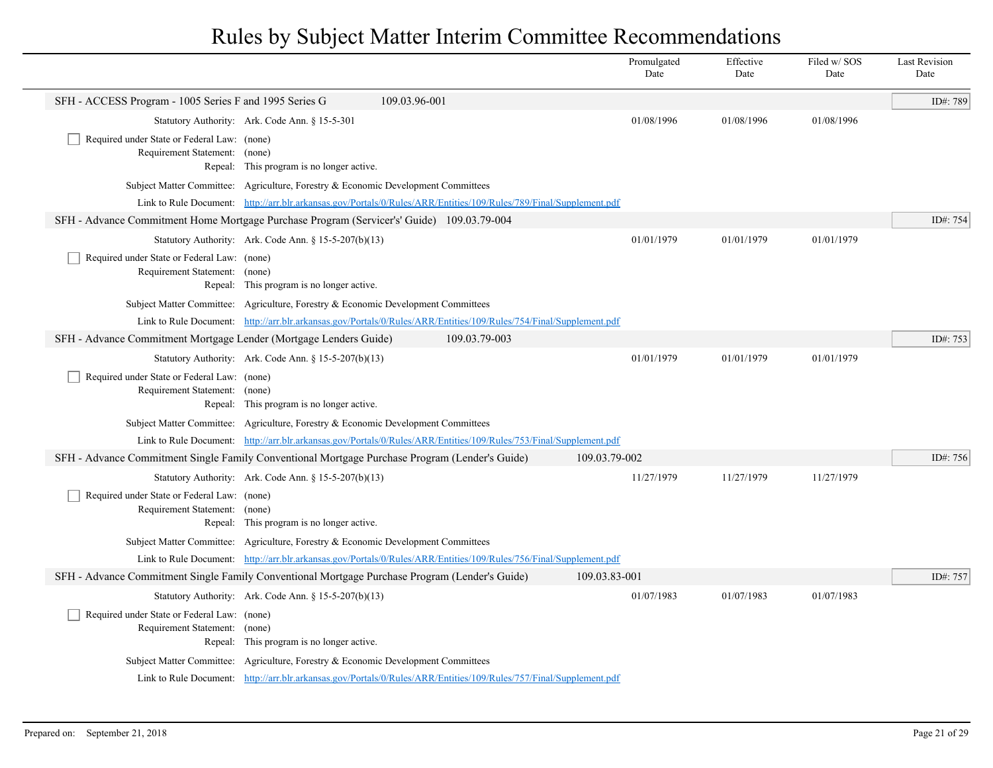|                                                                                                |                                                                                                                    |               | Promulgated<br>Date | Effective<br>Date | Filed w/SOS<br>Date | <b>Last Revision</b><br>Date |
|------------------------------------------------------------------------------------------------|--------------------------------------------------------------------------------------------------------------------|---------------|---------------------|-------------------|---------------------|------------------------------|
| SFH - ACCESS Program - 1005 Series F and 1995 Series G                                         | 109.03.96-001                                                                                                      |               |                     |                   |                     | ID#: 789                     |
| Statutory Authority: Ark. Code Ann. § 15-5-301                                                 |                                                                                                                    |               | 01/08/1996          | 01/08/1996        | 01/08/1996          |                              |
| Required under State or Federal Law: (none)                                                    |                                                                                                                    |               |                     |                   |                     |                              |
| Requirement Statement: (none)                                                                  | Repeal: This program is no longer active.                                                                          |               |                     |                   |                     |                              |
| Subject Matter Committee: Agriculture, Forestry & Economic Development Committees              |                                                                                                                    |               |                     |                   |                     |                              |
|                                                                                                | Link to Rule Document: http://arr.blr.arkansas.gov/Portals/0/Rules/ARR/Entities/109/Rules/789/Final/Supplement.pdf |               |                     |                   |                     |                              |
| SFH - Advance Commitment Home Mortgage Purchase Program (Servicer's' Guide) 109.03.79-004      |                                                                                                                    |               |                     |                   |                     | ID#: 754                     |
| Statutory Authority: Ark. Code Ann. § 15-5-207(b)(13)                                          |                                                                                                                    |               | 01/01/1979          | 01/01/1979        | 01/01/1979          |                              |
| Required under State or Federal Law: (none)                                                    |                                                                                                                    |               |                     |                   |                     |                              |
| Requirement Statement: (none)                                                                  |                                                                                                                    |               |                     |                   |                     |                              |
|                                                                                                | Repeal: This program is no longer active.                                                                          |               |                     |                   |                     |                              |
| Subject Matter Committee: Agriculture, Forestry & Economic Development Committees              |                                                                                                                    |               |                     |                   |                     |                              |
| SFH - Advance Commitment Mortgage Lender (Mortgage Lenders Guide)                              | Link to Rule Document: http://arr.blr.arkansas.gov/Portals/0/Rules/ARR/Entities/109/Rules/754/Final/Supplement.pdf | 109.03.79-003 |                     |                   |                     | ID#: 753                     |
| Statutory Authority: Ark. Code Ann. § 15-5-207(b)(13)                                          |                                                                                                                    |               | 01/01/1979          | 01/01/1979        | 01/01/1979          |                              |
| Required under State or Federal Law: (none)                                                    |                                                                                                                    |               |                     |                   |                     |                              |
| Requirement Statement: (none)                                                                  |                                                                                                                    |               |                     |                   |                     |                              |
|                                                                                                | Repeal: This program is no longer active.                                                                          |               |                     |                   |                     |                              |
| Subject Matter Committee: Agriculture, Forestry & Economic Development Committees              |                                                                                                                    |               |                     |                   |                     |                              |
|                                                                                                | Link to Rule Document: http://arr.blr.arkansas.gov/Portals/0/Rules/ARR/Entities/109/Rules/753/Final/Supplement.pdf |               |                     |                   |                     |                              |
| SFH - Advance Commitment Single Family Conventional Mortgage Purchase Program (Lender's Guide) |                                                                                                                    |               | 109.03.79-002       |                   |                     | ID#: 756                     |
| Statutory Authority: Ark. Code Ann. § 15-5-207(b)(13)                                          |                                                                                                                    |               | 11/27/1979          | 11/27/1979        | 11/27/1979          |                              |
| Required under State or Federal Law: (none)<br>Requirement Statement: (none)                   |                                                                                                                    |               |                     |                   |                     |                              |
|                                                                                                | Repeal: This program is no longer active.                                                                          |               |                     |                   |                     |                              |
| Subject Matter Committee: Agriculture, Forestry & Economic Development Committees              |                                                                                                                    |               |                     |                   |                     |                              |
|                                                                                                | Link to Rule Document: http://arr.blr.arkansas.gov/Portals/0/Rules/ARR/Entities/109/Rules/756/Final/Supplement.pdf |               |                     |                   |                     |                              |
| SFH - Advance Commitment Single Family Conventional Mortgage Purchase Program (Lender's Guide) |                                                                                                                    |               | 109.03.83-001       |                   |                     | ID#: 757                     |
| Statutory Authority: Ark. Code Ann. § 15-5-207(b)(13)                                          |                                                                                                                    |               | 01/07/1983          | 01/07/1983        | 01/07/1983          |                              |
| Required under State or Federal Law: (none)                                                    |                                                                                                                    |               |                     |                   |                     |                              |
| Requirement Statement: (none)                                                                  | Repeal: This program is no longer active.                                                                          |               |                     |                   |                     |                              |
| Subject Matter Committee: Agriculture, Forestry & Economic Development Committees              |                                                                                                                    |               |                     |                   |                     |                              |
|                                                                                                | Link to Rule Document: http://arr.blr.arkansas.gov/Portals/0/Rules/ARR/Entities/109/Rules/757/Final/Supplement.pdf |               |                     |                   |                     |                              |
|                                                                                                |                                                                                                                    |               |                     |                   |                     |                              |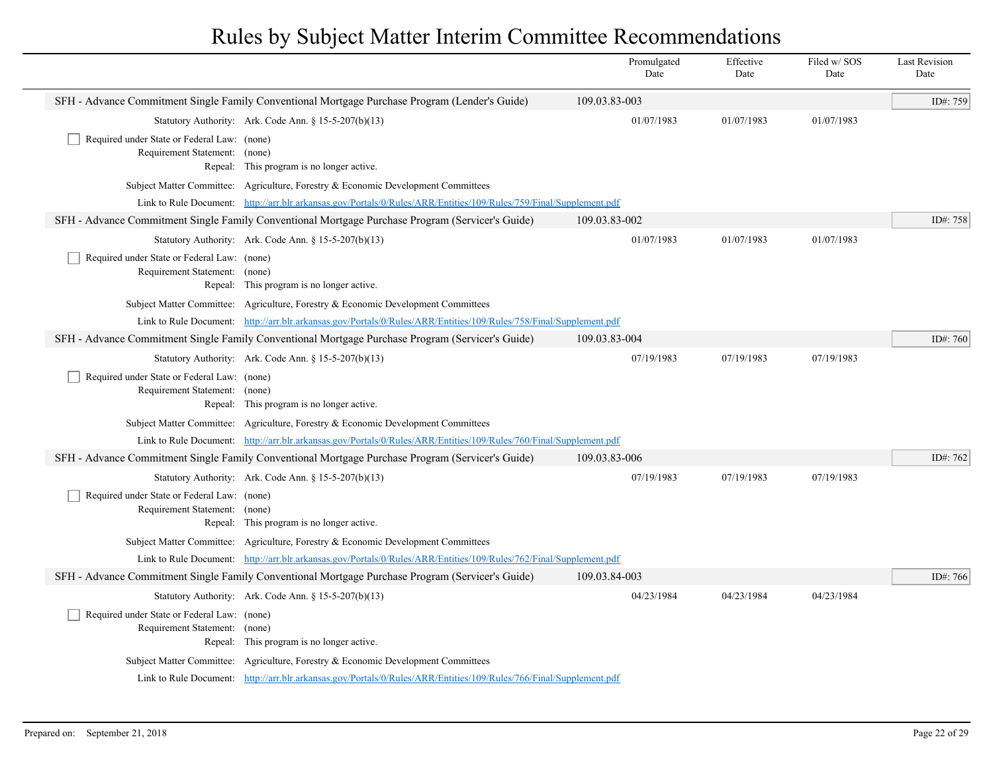|                                                                              |                                                                                                                    | Promulgated<br>Date | Effective<br>Date | Filed w/SOS<br>Date | <b>Last Revision</b><br>Date |
|------------------------------------------------------------------------------|--------------------------------------------------------------------------------------------------------------------|---------------------|-------------------|---------------------|------------------------------|
|                                                                              | SFH - Advance Commitment Single Family Conventional Mortgage Purchase Program (Lender's Guide)                     | 109.03.83-003       |                   |                     | ID#: 759                     |
|                                                                              | Statutory Authority: Ark. Code Ann. § 15-5-207(b)(13)                                                              | 01/07/1983          | 01/07/1983        | 01/07/1983          |                              |
| Required under State or Federal Law: (none)<br>Requirement Statement: (none) | Repeal: This program is no longer active.                                                                          |                     |                   |                     |                              |
|                                                                              | Subject Matter Committee: Agriculture, Forestry & Economic Development Committees                                  |                     |                   |                     |                              |
|                                                                              | Link to Rule Document: http://arr.blr.arkansas.gov/Portals/0/Rules/ARR/Entities/109/Rules/759/Final/Supplement.pdf |                     |                   |                     |                              |
|                                                                              | SFH - Advance Commitment Single Family Conventional Mortgage Purchase Program (Servicer's Guide)                   | 109.03.83-002       |                   |                     | ID#: 758                     |
|                                                                              | Statutory Authority: Ark. Code Ann. § 15-5-207(b)(13)                                                              | 01/07/1983          | 01/07/1983        | 01/07/1983          |                              |
| Required under State or Federal Law: (none)<br>Requirement Statement: (none) | Repeal: This program is no longer active.                                                                          |                     |                   |                     |                              |
|                                                                              | Subject Matter Committee: Agriculture, Forestry & Economic Development Committees                                  |                     |                   |                     |                              |
|                                                                              | Link to Rule Document: http://arr.blr.arkansas.gov/Portals/0/Rules/ARR/Entities/109/Rules/758/Final/Supplement.pdf |                     |                   |                     |                              |
|                                                                              | SFH - Advance Commitment Single Family Conventional Mortgage Purchase Program (Servicer's Guide)                   | 109.03.83-004       |                   |                     | ID#: 760                     |
|                                                                              | Statutory Authority: Ark. Code Ann. § 15-5-207(b)(13)                                                              | 07/19/1983          | 07/19/1983        | 07/19/1983          |                              |
| Required under State or Federal Law: (none)<br>Requirement Statement: (none) | Repeal: This program is no longer active.                                                                          |                     |                   |                     |                              |
|                                                                              | Subject Matter Committee: Agriculture, Forestry & Economic Development Committees                                  |                     |                   |                     |                              |
|                                                                              | Link to Rule Document: http://arr.blr.arkansas.gov/Portals/0/Rules/ARR/Entities/109/Rules/760/Final/Supplement.pdf |                     |                   |                     |                              |
|                                                                              | SFH - Advance Commitment Single Family Conventional Mortgage Purchase Program (Servicer's Guide)                   | 109.03.83-006       |                   |                     | ID#: 762                     |
|                                                                              | Statutory Authority: Ark. Code Ann. § 15-5-207(b)(13)                                                              | 07/19/1983          | 07/19/1983        | 07/19/1983          |                              |
| Required under State or Federal Law: (none)<br>Requirement Statement: (none) | Repeal: This program is no longer active.                                                                          |                     |                   |                     |                              |
|                                                                              | Subject Matter Committee: Agriculture, Forestry & Economic Development Committees                                  |                     |                   |                     |                              |
|                                                                              | Link to Rule Document: http://arr.blr.arkansas.gov/Portals/0/Rules/ARR/Entities/109/Rules/762/Final/Supplement.pdf |                     |                   |                     |                              |
|                                                                              | SFH - Advance Commitment Single Family Conventional Mortgage Purchase Program (Servicer's Guide)                   | 109.03.84-003       |                   |                     | ID#: 766                     |
|                                                                              | Statutory Authority: Ark. Code Ann. § 15-5-207(b)(13)                                                              | 04/23/1984          | 04/23/1984        | 04/23/1984          |                              |
| Required under State or Federal Law: (none)<br>Requirement Statement: (none) | Repeal: This program is no longer active.                                                                          |                     |                   |                     |                              |
|                                                                              | Subject Matter Committee: Agriculture, Forestry & Economic Development Committees                                  |                     |                   |                     |                              |
|                                                                              | Link to Rule Document: http://arr.blr.arkansas.gov/Portals/0/Rules/ARR/Entities/109/Rules/766/Final/Supplement.pdf |                     |                   |                     |                              |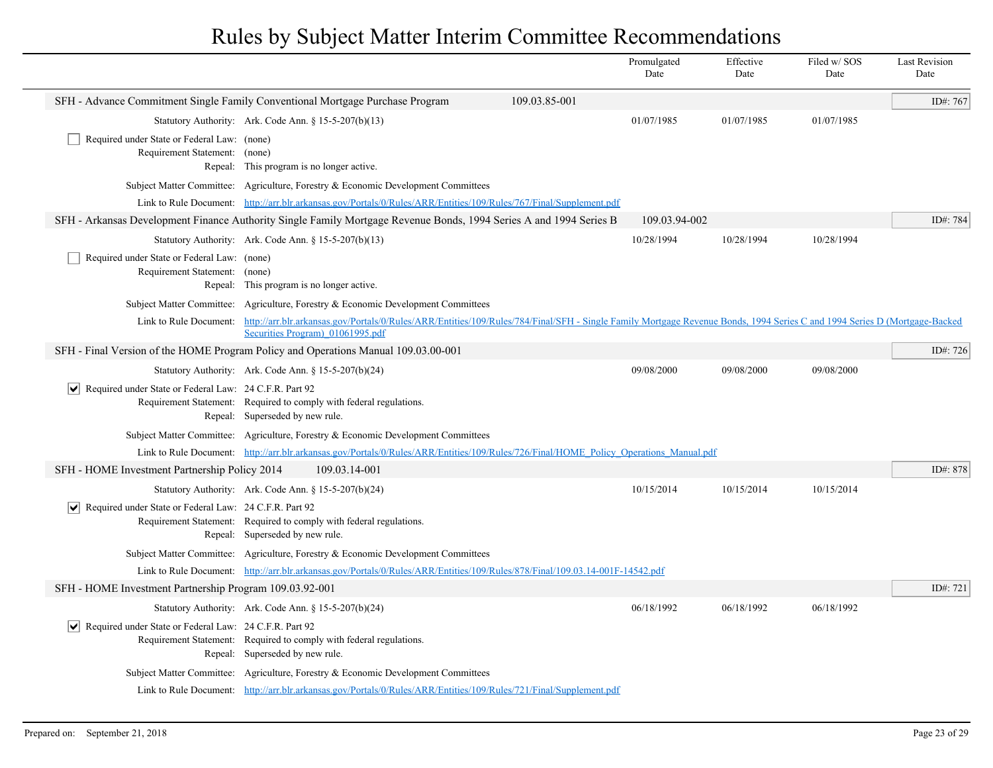|                                                                        |                                                                                                                                                                                                                                      |               | Promulgated<br>Date | Effective<br>Date | Filed w/ SOS<br>Date | <b>Last Revision</b><br>Date |
|------------------------------------------------------------------------|--------------------------------------------------------------------------------------------------------------------------------------------------------------------------------------------------------------------------------------|---------------|---------------------|-------------------|----------------------|------------------------------|
|                                                                        | SFH - Advance Commitment Single Family Conventional Mortgage Purchase Program                                                                                                                                                        | 109.03.85-001 |                     |                   |                      | ID#: 767                     |
|                                                                        | Statutory Authority: Ark. Code Ann. § 15-5-207(b)(13)                                                                                                                                                                                |               | 01/07/1985          | 01/07/1985        | 01/07/1985           |                              |
| Required under State or Federal Law: (none)<br>Requirement Statement:  | (none)<br>Repeal: This program is no longer active.                                                                                                                                                                                  |               |                     |                   |                      |                              |
|                                                                        | Subject Matter Committee: Agriculture, Forestry & Economic Development Committees                                                                                                                                                    |               |                     |                   |                      |                              |
|                                                                        | Link to Rule Document: http://arr.blr.arkansas.gov/Portals/0/Rules/ARR/Entities/109/Rules/767/Final/Supplement.pdf                                                                                                                   |               |                     |                   |                      |                              |
|                                                                        | SFH - Arkansas Development Finance Authority Single Family Mortgage Revenue Bonds, 1994 Series A and 1994 Series B                                                                                                                   |               | 109.03.94-002       |                   |                      | ID#: 784                     |
|                                                                        | Statutory Authority: Ark. Code Ann. § 15-5-207(b)(13)                                                                                                                                                                                |               | 10/28/1994          | 10/28/1994        | 10/28/1994           |                              |
| Required under State or Federal Law: (none)<br>Requirement Statement:  | (none)<br>Repeal: This program is no longer active.                                                                                                                                                                                  |               |                     |                   |                      |                              |
|                                                                        | Subject Matter Committee: Agriculture, Forestry & Economic Development Committees                                                                                                                                                    |               |                     |                   |                      |                              |
|                                                                        | Link to Rule Document: http://arr.blr.arkansas.gov/Portals/0/Rules/ARR/Entities/109/Rules/784/Final/SFH - Single Family Mortgage Revenue Bonds, 1994 Series C and 1994 Series D (Mortgage-Backed<br>Securities Program) 01061995.pdf |               |                     |                   |                      |                              |
|                                                                        | SFH - Final Version of the HOME Program Policy and Operations Manual 109.03.00-001                                                                                                                                                   |               |                     |                   |                      | ID#: 726                     |
|                                                                        | Statutory Authority: Ark. Code Ann. § 15-5-207(b)(24)                                                                                                                                                                                |               | 09/08/2000          | 09/08/2000        | 09/08/2000           |                              |
| $ \mathbf{v} $ Required under State or Federal Law: 24 C.F.R. Part 92  | Requirement Statement: Required to comply with federal regulations.<br>Repeal: Superseded by new rule.                                                                                                                               |               |                     |                   |                      |                              |
|                                                                        | Subject Matter Committee: Agriculture, Forestry & Economic Development Committees                                                                                                                                                    |               |                     |                   |                      |                              |
|                                                                        | Link to Rule Document: http://arr.blr.arkansas.gov/Portals/0/Rules/ARR/Entities/109/Rules/726/Final/HOME Policy Operations Manual.pdf                                                                                                |               |                     |                   |                      |                              |
| SFH - HOME Investment Partnership Policy 2014                          | 109.03.14-001                                                                                                                                                                                                                        |               |                     |                   |                      | ID#: 878                     |
|                                                                        | Statutory Authority: Ark. Code Ann. § 15-5-207(b)(24)                                                                                                                                                                                |               | 10/15/2014          | 10/15/2014        | 10/15/2014           |                              |
| $\triangledown$ Required under State or Federal Law: 24 C.F.R. Part 92 | Requirement Statement: Required to comply with federal regulations.<br>Repeal: Superseded by new rule.                                                                                                                               |               |                     |                   |                      |                              |
|                                                                        | Subject Matter Committee: Agriculture, Forestry & Economic Development Committees                                                                                                                                                    |               |                     |                   |                      |                              |
|                                                                        | Link to Rule Document: http://arr.blr.arkansas.gov/Portals/0/Rules/ARR/Entities/109/Rules/878/Final/109.03.14-001F-14542.pdf                                                                                                         |               |                     |                   |                      |                              |
| SFH - HOME Investment Partnership Program 109.03.92-001                |                                                                                                                                                                                                                                      |               |                     |                   |                      | ID#: 721                     |
|                                                                        | Statutory Authority: Ark. Code Ann. § 15-5-207(b)(24)                                                                                                                                                                                |               | 06/18/1992          | 06/18/1992        | 06/18/1992           |                              |
| $ \mathbf{v} $ Required under State or Federal Law: 24 C.F.R. Part 92  | Requirement Statement: Required to comply with federal regulations.<br>Repeal: Superseded by new rule.                                                                                                                               |               |                     |                   |                      |                              |
|                                                                        | Subject Matter Committee: Agriculture, Forestry & Economic Development Committees                                                                                                                                                    |               |                     |                   |                      |                              |
|                                                                        | Link to Rule Document: http://arr.blr.arkansas.gov/Portals/0/Rules/ARR/Entities/109/Rules/721/Final/Supplement.pdf                                                                                                                   |               |                     |                   |                      |                              |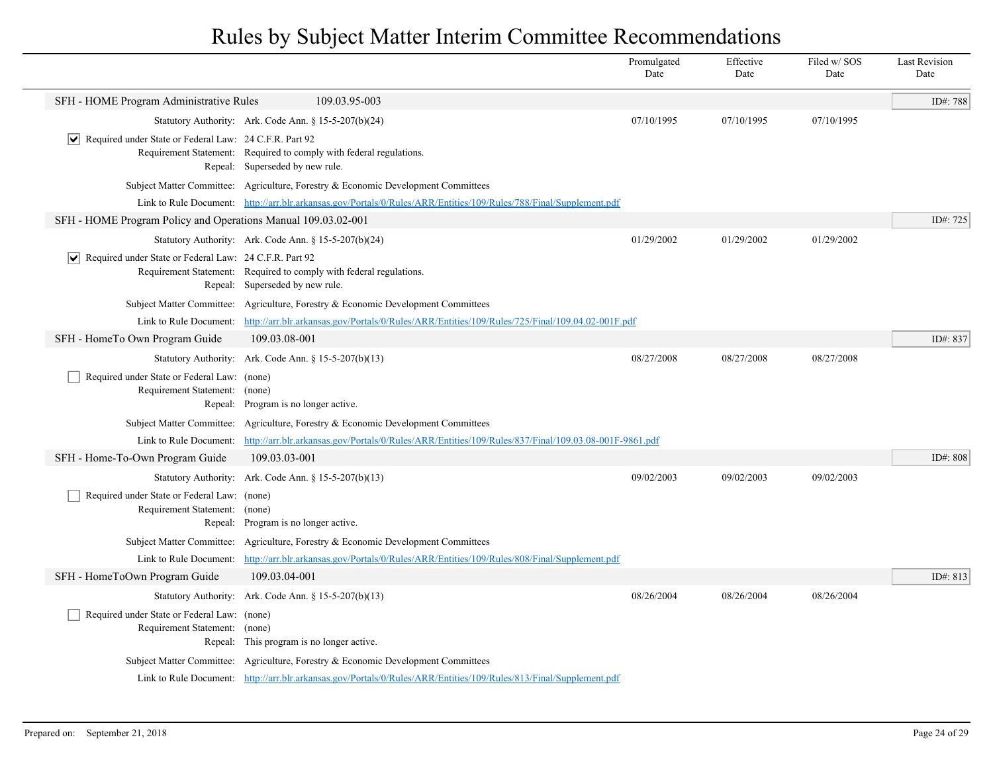|                                                                                  |                                                                                                                    | Date       | Date       | Date       | Date     |
|----------------------------------------------------------------------------------|--------------------------------------------------------------------------------------------------------------------|------------|------------|------------|----------|
| SFH - HOME Program Administrative Rules                                          | 109.03.95-003                                                                                                      |            |            |            | ID#: 788 |
|                                                                                  | Statutory Authority: Ark. Code Ann. § 15-5-207(b)(24)                                                              | 07/10/1995 | 07/10/1995 | 07/10/1995 |          |
| $ \mathbf{v} $ Required under State or Federal Law: 24 C.F.R. Part 92            | Requirement Statement: Required to comply with federal regulations.<br>Repeal: Superseded by new rule.             |            |            |            |          |
|                                                                                  | Subject Matter Committee: Agriculture, Forestry & Economic Development Committees                                  |            |            |            |          |
|                                                                                  | Link to Rule Document: http://arr.blr.arkansas.gov/Portals/0/Rules/ARR/Entities/109/Rules/788/Final/Supplement.pdf |            |            |            |          |
| SFH - HOME Program Policy and Operations Manual 109.03.02-001                    |                                                                                                                    |            |            |            | ID#: 725 |
|                                                                                  | Statutory Authority: Ark. Code Ann. § 15-5-207(b)(24)                                                              | 01/29/2002 | 01/29/2002 | 01/29/2002 |          |
| $ \mathbf{v} $ Required under State or Federal Law: 24 C.F.R. Part 92            | Requirement Statement: Required to comply with federal regulations.<br>Repeal: Superseded by new rule.             |            |            |            |          |
|                                                                                  | Subject Matter Committee: Agriculture, Forestry & Economic Development Committees                                  |            |            |            |          |
| Link to Rule Document:                                                           | http://arr.blr.arkansas.gov/Portals/0/Rules/ARR/Entities/109/Rules/725/Final/109.04.02-001F.pdf                    |            |            |            |          |
| SFH - HomeTo Own Program Guide                                                   | 109.03.08-001                                                                                                      |            |            |            | ID#: 837 |
|                                                                                  | Statutory Authority: Ark. Code Ann. § 15-5-207(b)(13)                                                              | 08/27/2008 | 08/27/2008 | 08/27/2008 |          |
| Required under State or Federal Law: (none)<br>Requirement Statement: (none)     | Repeal: Program is no longer active.                                                                               |            |            |            |          |
| Subject Matter Committee:                                                        | Agriculture, Forestry & Economic Development Committees                                                            |            |            |            |          |
| Link to Rule Document:                                                           | http://arr.blr.arkansas.gov/Portals/0/Rules/ARR/Entities/109/Rules/837/Final/109.03.08-001F-9861.pdf               |            |            |            |          |
| SFH - Home-To-Own Program Guide                                                  | 109.03.03-001                                                                                                      |            |            |            | ID#: 808 |
|                                                                                  | Statutory Authority: Ark. Code Ann. § 15-5-207(b)(13)                                                              | 09/02/2003 | 09/02/2003 | 09/02/2003 |          |
| Required under State or Federal Law: (none)<br>Requirement Statement:            | (none)<br>Repeal: Program is no longer active.                                                                     |            |            |            |          |
|                                                                                  | Subject Matter Committee: Agriculture, Forestry & Economic Development Committees                                  |            |            |            |          |
| Link to Rule Document:                                                           | http://arr.blr.arkansas.gov/Portals/0/Rules/ARR/Entities/109/Rules/808/Final/Supplement.pdf                        |            |            |            |          |
| SFH - HomeToOwn Program Guide                                                    | 109.03.04-001                                                                                                      |            |            |            | ID#: 813 |
|                                                                                  | Statutory Authority: Ark. Code Ann. § 15-5-207(b)(13)                                                              | 08/26/2004 | 08/26/2004 | 08/26/2004 |          |
| Required under State or Federal Law: (none)<br>Requirement Statement:<br>Repeal: | (none)<br>This program is no longer active.                                                                        |            |            |            |          |
|                                                                                  | Subject Matter Committee: Agriculture, Forestry & Economic Development Committees                                  |            |            |            |          |
|                                                                                  | Link to Rule Document: http://arr.blr.arkansas.gov/Portals/0/Rules/ARR/Entities/109/Rules/813/Final/Supplement.pdf |            |            |            |          |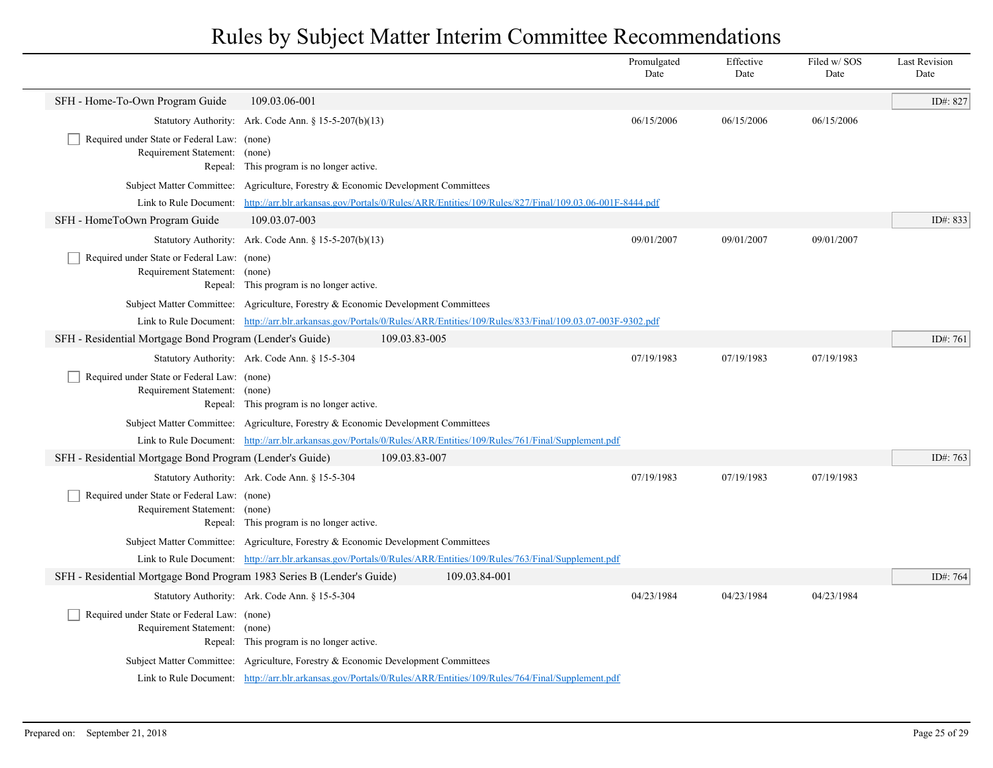|                                                                              |                                                                                                                                                                                                                  | Promulgated<br>Date | Effective<br>Date | Filed w/SOS<br>Date | <b>Last Revision</b><br>Date |
|------------------------------------------------------------------------------|------------------------------------------------------------------------------------------------------------------------------------------------------------------------------------------------------------------|---------------------|-------------------|---------------------|------------------------------|
| SFH - Home-To-Own Program Guide                                              | 109.03.06-001                                                                                                                                                                                                    |                     |                   |                     | ID#: 827                     |
|                                                                              | Statutory Authority: Ark. Code Ann. § 15-5-207(b)(13)                                                                                                                                                            | 06/15/2006          | 06/15/2006        | 06/15/2006          |                              |
| Required under State or Federal Law: (none)                                  |                                                                                                                                                                                                                  |                     |                   |                     |                              |
| Requirement Statement:                                                       | (none)<br>Repeal: This program is no longer active.                                                                                                                                                              |                     |                   |                     |                              |
| Subject Matter Committee:                                                    | Agriculture, Forestry & Economic Development Committees                                                                                                                                                          |                     |                   |                     |                              |
| Link to Rule Document:                                                       | http://arr.blr.arkansas.gov/Portals/0/Rules/ARR/Entities/109/Rules/827/Final/109.03.06-001F-8444.pdf                                                                                                             |                     |                   |                     |                              |
| SFH - HomeToOwn Program Guide                                                | 109.03.07-003                                                                                                                                                                                                    |                     |                   |                     | ID#: 833                     |
|                                                                              | Statutory Authority: Ark. Code Ann. $\S 15-5-207(b)(13)$                                                                                                                                                         | 09/01/2007          | 09/01/2007        | 09/01/2007          |                              |
| Required under State or Federal Law: (none)                                  |                                                                                                                                                                                                                  |                     |                   |                     |                              |
| Requirement Statement: (none)                                                |                                                                                                                                                                                                                  |                     |                   |                     |                              |
|                                                                              | Repeal: This program is no longer active.                                                                                                                                                                        |                     |                   |                     |                              |
|                                                                              | Subject Matter Committee: Agriculture, Forestry & Economic Development Committees<br>Link to Rule Document: http://arr.blr.arkansas.gov/Portals/0/Rules/ARR/Entities/109/Rules/833/Final/109.03.07-003F-9302.pdf |                     |                   |                     |                              |
| SFH - Residential Mortgage Bond Program (Lender's Guide)                     | 109.03.83-005                                                                                                                                                                                                    |                     |                   |                     | ID#: 761                     |
|                                                                              | Statutory Authority: Ark. Code Ann. § 15-5-304                                                                                                                                                                   | 07/19/1983          | 07/19/1983        | 07/19/1983          |                              |
| Required under State or Federal Law: (none)                                  |                                                                                                                                                                                                                  |                     |                   |                     |                              |
| Requirement Statement: (none)                                                |                                                                                                                                                                                                                  |                     |                   |                     |                              |
|                                                                              | Repeal: This program is no longer active.                                                                                                                                                                        |                     |                   |                     |                              |
|                                                                              | Subject Matter Committee: Agriculture, Forestry & Economic Development Committees                                                                                                                                |                     |                   |                     |                              |
|                                                                              | Link to Rule Document: http://arr.blr.arkansas.gov/Portals/0/Rules/ARR/Entities/109/Rules/761/Final/Supplement.pdf                                                                                               |                     |                   |                     |                              |
| SFH - Residential Mortgage Bond Program (Lender's Guide)                     | 109.03.83-007                                                                                                                                                                                                    |                     |                   |                     | ID#: 763                     |
|                                                                              | Statutory Authority: Ark. Code Ann. § 15-5-304                                                                                                                                                                   | 07/19/1983          | 07/19/1983        | 07/19/1983          |                              |
| Required under State or Federal Law: (none)<br>Requirement Statement: (none) |                                                                                                                                                                                                                  |                     |                   |                     |                              |
|                                                                              | Repeal: This program is no longer active.                                                                                                                                                                        |                     |                   |                     |                              |
|                                                                              | Subject Matter Committee: Agriculture, Forestry & Economic Development Committees                                                                                                                                |                     |                   |                     |                              |
|                                                                              | Link to Rule Document: http://arr.blr.arkansas.gov/Portals/0/Rules/ARR/Entities/109/Rules/763/Final/Supplement.pdf                                                                                               |                     |                   |                     |                              |
| SFH - Residential Mortgage Bond Program 1983 Series B (Lender's Guide)       | 109.03.84-001                                                                                                                                                                                                    |                     |                   |                     | ID#: 764                     |
|                                                                              | Statutory Authority: Ark. Code Ann. § 15-5-304                                                                                                                                                                   | 04/23/1984          | 04/23/1984        | 04/23/1984          |                              |
| Required under State or Federal Law: (none)                                  |                                                                                                                                                                                                                  |                     |                   |                     |                              |
| Requirement Statement: (none)                                                | Repeal: This program is no longer active.                                                                                                                                                                        |                     |                   |                     |                              |
|                                                                              | Subject Matter Committee: Agriculture, Forestry & Economic Development Committees                                                                                                                                |                     |                   |                     |                              |
|                                                                              | Link to Rule Document: http://arr.blr.arkansas.gov/Portals/0/Rules/ARR/Entities/109/Rules/764/Final/Supplement.pdf                                                                                               |                     |                   |                     |                              |
|                                                                              |                                                                                                                                                                                                                  |                     |                   |                     |                              |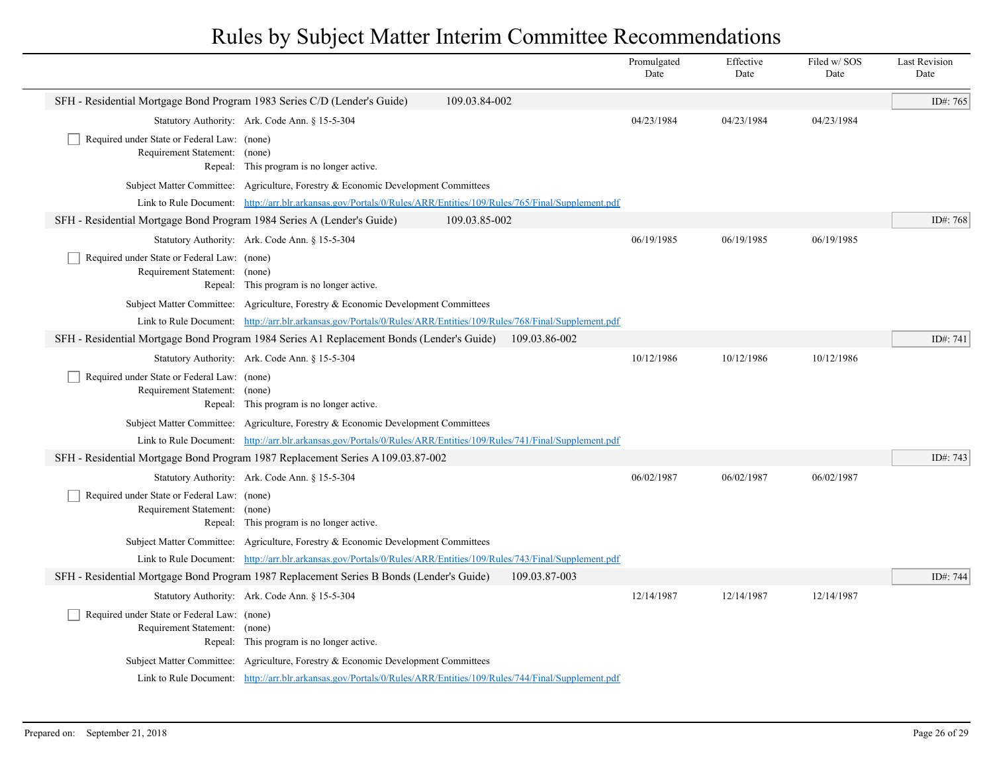|                                                                              |                                                                                                                    |               | Promulgated<br>Date | Effective<br>Date | Filed w/SOS<br>Date | <b>Last Revision</b><br>Date |
|------------------------------------------------------------------------------|--------------------------------------------------------------------------------------------------------------------|---------------|---------------------|-------------------|---------------------|------------------------------|
| SFH - Residential Mortgage Bond Program 1983 Series C/D (Lender's Guide)     |                                                                                                                    | 109.03.84-002 |                     |                   |                     | ID#: 765                     |
|                                                                              | Statutory Authority: Ark. Code Ann. § 15-5-304                                                                     |               | 04/23/1984          | 04/23/1984        | 04/23/1984          |                              |
| Required under State or Federal Law: (none)<br>Requirement Statement: (none) | Repeal: This program is no longer active.                                                                          |               |                     |                   |                     |                              |
|                                                                              | Subject Matter Committee: Agriculture, Forestry & Economic Development Committees                                  |               |                     |                   |                     |                              |
|                                                                              | Link to Rule Document: http://arr.blr.arkansas.gov/Portals/0/Rules/ARR/Entities/109/Rules/765/Final/Supplement.pdf |               |                     |                   |                     |                              |
| SFH - Residential Mortgage Bond Program 1984 Series A (Lender's Guide)       |                                                                                                                    | 109.03.85-002 |                     |                   |                     | ID#: 768                     |
|                                                                              | Statutory Authority: Ark. Code Ann. § 15-5-304                                                                     |               | 06/19/1985          | 06/19/1985        | 06/19/1985          |                              |
| Required under State or Federal Law: (none)<br>Requirement Statement: (none) | Repeal: This program is no longer active.                                                                          |               |                     |                   |                     |                              |
|                                                                              | Subject Matter Committee: Agriculture, Forestry & Economic Development Committees                                  |               |                     |                   |                     |                              |
|                                                                              | Link to Rule Document: http://arr.blr.arkansas.gov/Portals/0/Rules/ARR/Entities/109/Rules/768/Final/Supplement.pdf |               |                     |                   |                     |                              |
|                                                                              | SFH - Residential Mortgage Bond Program 1984 Series A1 Replacement Bonds (Lender's Guide)                          | 109.03.86-002 |                     |                   |                     | ID#: 741                     |
|                                                                              | Statutory Authority: Ark. Code Ann. § 15-5-304                                                                     |               | 10/12/1986          | 10/12/1986        | 10/12/1986          |                              |
| Required under State or Federal Law: (none)<br>Requirement Statement: (none) | Repeal: This program is no longer active.                                                                          |               |                     |                   |                     |                              |
|                                                                              | Subject Matter Committee: Agriculture, Forestry & Economic Development Committees                                  |               |                     |                   |                     |                              |
|                                                                              | Link to Rule Document: http://arr.blr.arkansas.gov/Portals/0/Rules/ARR/Entities/109/Rules/741/Final/Supplement.pdf |               |                     |                   |                     |                              |
|                                                                              | SFH - Residential Mortgage Bond Program 1987 Replacement Series A 109.03.87-002                                    |               |                     |                   |                     | ID#: 743                     |
|                                                                              | Statutory Authority: Ark. Code Ann. § 15-5-304                                                                     |               | 06/02/1987          | 06/02/1987        | 06/02/1987          |                              |
| Required under State or Federal Law: (none)<br>Requirement Statement: (none) | Repeal: This program is no longer active.                                                                          |               |                     |                   |                     |                              |
|                                                                              | Subject Matter Committee: Agriculture, Forestry & Economic Development Committees                                  |               |                     |                   |                     |                              |
|                                                                              | Link to Rule Document: http://arr.blr.arkansas.gov/Portals/0/Rules/ARR/Entities/109/Rules/743/Final/Supplement.pdf |               |                     |                   |                     |                              |
|                                                                              | SFH - Residential Mortgage Bond Program 1987 Replacement Series B Bonds (Lender's Guide)                           | 109.03.87-003 |                     |                   |                     | ID#: 744                     |
|                                                                              | Statutory Authority: Ark. Code Ann. § 15-5-304                                                                     |               | 12/14/1987          | 12/14/1987        | 12/14/1987          |                              |
| Required under State or Federal Law: (none)<br>Requirement Statement:        | (none)<br>Repeal: This program is no longer active.                                                                |               |                     |                   |                     |                              |
|                                                                              | Subject Matter Committee: Agriculture, Forestry & Economic Development Committees                                  |               |                     |                   |                     |                              |
|                                                                              | Link to Rule Document: http://arr.blr.arkansas.gov/Portals/0/Rules/ARR/Entities/109/Rules/744/Final/Supplement.pdf |               |                     |                   |                     |                              |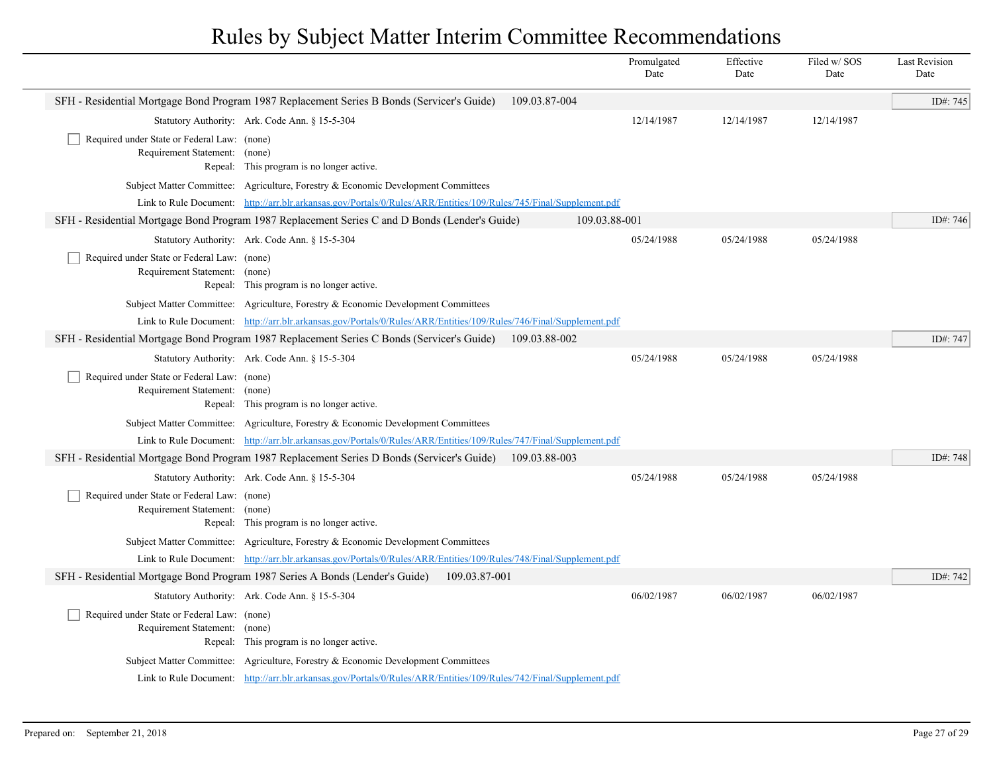|                                                                              |                                                                                                                                                                                                                     |               | Promulgated<br>Date | Effective<br>Date | Filed w/SOS<br>Date | <b>Last Revision</b><br>Date |
|------------------------------------------------------------------------------|---------------------------------------------------------------------------------------------------------------------------------------------------------------------------------------------------------------------|---------------|---------------------|-------------------|---------------------|------------------------------|
|                                                                              | SFH - Residential Mortgage Bond Program 1987 Replacement Series B Bonds (Servicer's Guide)                                                                                                                          | 109.03.87-004 |                     |                   |                     | ID#: 745                     |
|                                                                              | Statutory Authority: Ark. Code Ann. § 15-5-304                                                                                                                                                                      |               | 12/14/1987          | 12/14/1987        | 12/14/1987          |                              |
| Required under State or Federal Law: (none)                                  |                                                                                                                                                                                                                     |               |                     |                   |                     |                              |
| Requirement Statement: (none)                                                | Repeal: This program is no longer active.                                                                                                                                                                           |               |                     |                   |                     |                              |
|                                                                              | Subject Matter Committee: Agriculture, Forestry & Economic Development Committees                                                                                                                                   |               |                     |                   |                     |                              |
|                                                                              | Link to Rule Document: http://arr.blr.arkansas.gov/Portals/0/Rules/ARR/Entities/109/Rules/745/Final/Supplement.pdf                                                                                                  |               |                     |                   |                     |                              |
|                                                                              | SFH - Residential Mortgage Bond Program 1987 Replacement Series C and D Bonds (Lender's Guide)                                                                                                                      | 109.03.88-001 |                     |                   |                     | ID#: 746                     |
|                                                                              | Statutory Authority: Ark. Code Ann. § 15-5-304                                                                                                                                                                      |               | 05/24/1988          | 05/24/1988        | 05/24/1988          |                              |
| Required under State or Federal Law: (none)                                  |                                                                                                                                                                                                                     |               |                     |                   |                     |                              |
| Requirement Statement: (none)                                                |                                                                                                                                                                                                                     |               |                     |                   |                     |                              |
|                                                                              | Repeal: This program is no longer active.                                                                                                                                                                           |               |                     |                   |                     |                              |
|                                                                              | Subject Matter Committee: Agriculture, Forestry & Economic Development Committees                                                                                                                                   |               |                     |                   |                     |                              |
|                                                                              | Link to Rule Document: http://arr.blr.arkansas.gov/Portals/0/Rules/ARR/Entities/109/Rules/746/Final/Supplement.pdf                                                                                                  |               |                     |                   |                     |                              |
|                                                                              | SFH - Residential Mortgage Bond Program 1987 Replacement Series C Bonds (Servicer's Guide)                                                                                                                          | 109.03.88-002 |                     |                   |                     | ID#: 747                     |
|                                                                              | Statutory Authority: Ark. Code Ann. § 15-5-304                                                                                                                                                                      |               | 05/24/1988          | 05/24/1988        | 05/24/1988          |                              |
| Required under State or Federal Law: (none)<br>Requirement Statement: (none) |                                                                                                                                                                                                                     |               |                     |                   |                     |                              |
|                                                                              | Repeal: This program is no longer active.                                                                                                                                                                           |               |                     |                   |                     |                              |
|                                                                              | Subject Matter Committee: Agriculture, Forestry & Economic Development Committees                                                                                                                                   |               |                     |                   |                     |                              |
|                                                                              | Link to Rule Document: http://arr.blr.arkansas.gov/Portals/0/Rules/ARR/Entities/109/Rules/747/Final/Supplement.pdf                                                                                                  |               |                     |                   |                     |                              |
|                                                                              | SFH - Residential Mortgage Bond Program 1987 Replacement Series D Bonds (Servicer's Guide)                                                                                                                          | 109.03.88-003 |                     |                   |                     | ID#: 748                     |
|                                                                              | Statutory Authority: Ark. Code Ann. § 15-5-304                                                                                                                                                                      |               | 05/24/1988          | 05/24/1988        | 05/24/1988          |                              |
| Required under State or Federal Law: (none)                                  |                                                                                                                                                                                                                     |               |                     |                   |                     |                              |
| Requirement Statement: (none)                                                |                                                                                                                                                                                                                     |               |                     |                   |                     |                              |
|                                                                              | Repeal: This program is no longer active.                                                                                                                                                                           |               |                     |                   |                     |                              |
|                                                                              | Subject Matter Committee: Agriculture, Forestry & Economic Development Committees                                                                                                                                   |               |                     |                   |                     |                              |
|                                                                              | Link to Rule Document: http://arr.blr.arkansas.gov/Portals/0/Rules/ARR/Entities/109/Rules/748/Final/Supplement.pdf<br>SFH - Residential Mortgage Bond Program 1987 Series A Bonds (Lender's Guide)<br>109.03.87-001 |               |                     |                   |                     | ID#: 742                     |
|                                                                              |                                                                                                                                                                                                                     |               | 06/02/1987          | 06/02/1987        | 06/02/1987          |                              |
|                                                                              | Statutory Authority: Ark. Code Ann. § 15-5-304                                                                                                                                                                      |               |                     |                   |                     |                              |
| Required under State or Federal Law: (none)<br>Requirement Statement: (none) |                                                                                                                                                                                                                     |               |                     |                   |                     |                              |
|                                                                              | Repeal: This program is no longer active.                                                                                                                                                                           |               |                     |                   |                     |                              |
|                                                                              | Subject Matter Committee: Agriculture, Forestry & Economic Development Committees                                                                                                                                   |               |                     |                   |                     |                              |
|                                                                              | Link to Rule Document: http://arr.blr.arkansas.gov/Portals/0/Rules/ARR/Entities/109/Rules/742/Final/Supplement.pdf                                                                                                  |               |                     |                   |                     |                              |
|                                                                              |                                                                                                                                                                                                                     |               |                     |                   |                     |                              |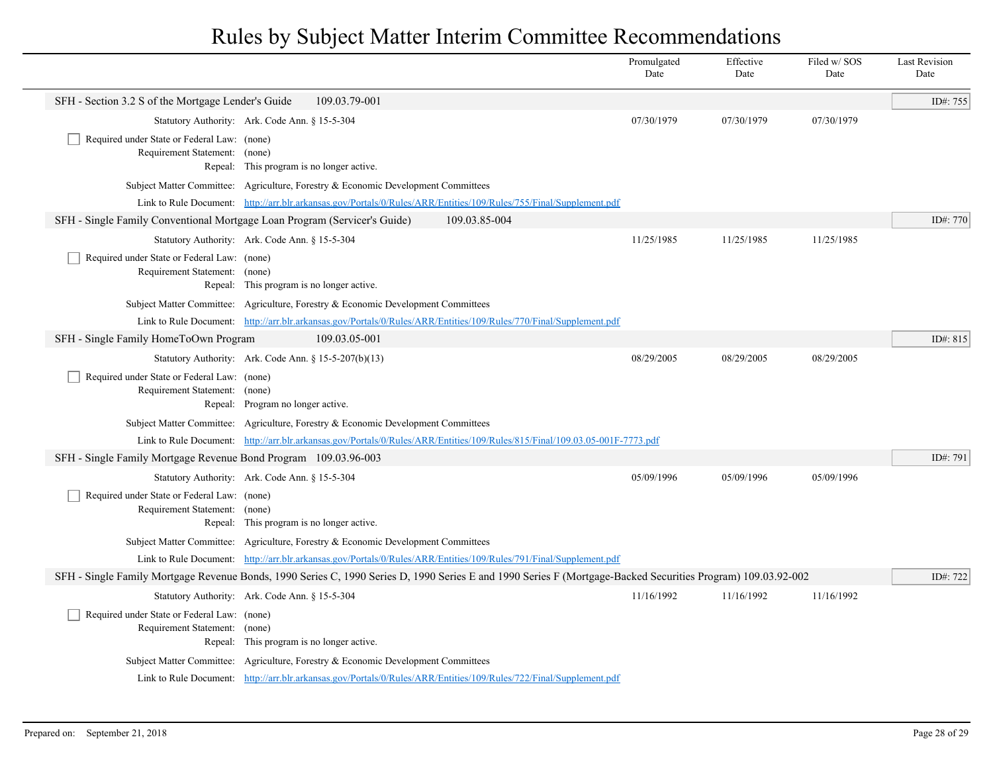|                                                                                                                                                              |                                                                                                                             | Promulgated<br>Date | Effective<br>Date | Filed w/SOS<br>Date | <b>Last Revision</b><br>Date |
|--------------------------------------------------------------------------------------------------------------------------------------------------------------|-----------------------------------------------------------------------------------------------------------------------------|---------------------|-------------------|---------------------|------------------------------|
| SFH - Section 3.2 S of the Mortgage Lender's Guide                                                                                                           | 109.03.79-001                                                                                                               |                     |                   |                     | ID#: 755                     |
|                                                                                                                                                              | Statutory Authority: Ark. Code Ann. § 15-5-304                                                                              | 07/30/1979          | 07/30/1979        | 07/30/1979          |                              |
| Required under State or Federal Law: (none)<br>Requirement Statement: (none)                                                                                 | Repeal: This program is no longer active.                                                                                   |                     |                   |                     |                              |
|                                                                                                                                                              | Subject Matter Committee: Agriculture, Forestry & Economic Development Committees                                           |                     |                   |                     |                              |
|                                                                                                                                                              | Link to Rule Document: http://arr.blr.arkansas.gov/Portals/0/Rules/ARR/Entities/109/Rules/755/Final/Supplement.pdf          |                     |                   |                     |                              |
| SFH - Single Family Conventional Mortgage Loan Program (Servicer's Guide)                                                                                    | 109.03.85-004                                                                                                               |                     |                   |                     | ID#: 770                     |
|                                                                                                                                                              | Statutory Authority: Ark. Code Ann. § 15-5-304                                                                              | 11/25/1985          | 11/25/1985        | 11/25/1985          |                              |
| Required under State or Federal Law: (none)<br>Requirement Statement: (none)                                                                                 | Repeal: This program is no longer active.                                                                                   |                     |                   |                     |                              |
|                                                                                                                                                              | Subject Matter Committee: Agriculture, Forestry & Economic Development Committees                                           |                     |                   |                     |                              |
|                                                                                                                                                              | Link to Rule Document: http://arr.blr.arkansas.gov/Portals/0/Rules/ARR/Entities/109/Rules/770/Final/Supplement.pdf          |                     |                   |                     |                              |
| SFH - Single Family HomeToOwn Program                                                                                                                        | 109.03.05-001                                                                                                               |                     |                   |                     | ID#: 815                     |
|                                                                                                                                                              | Statutory Authority: Ark. Code Ann. § 15-5-207(b)(13)                                                                       | 08/29/2005          | 08/29/2005        | 08/29/2005          |                              |
| Required under State or Federal Law: (none)<br>Requirement Statement: (none)                                                                                 | Repeal: Program no longer active.                                                                                           |                     |                   |                     |                              |
|                                                                                                                                                              | Subject Matter Committee: Agriculture, Forestry & Economic Development Committees                                           |                     |                   |                     |                              |
|                                                                                                                                                              | Link to Rule Document: http://arr.blr.arkansas.gov/Portals/0/Rules/ARR/Entities/109/Rules/815/Final/109.03.05-001F-7773.pdf |                     |                   |                     |                              |
| SFH - Single Family Mortgage Revenue Bond Program 109.03.96-003                                                                                              |                                                                                                                             |                     |                   |                     | ID#: 791                     |
|                                                                                                                                                              | Statutory Authority: Ark. Code Ann. § 15-5-304                                                                              | 05/09/1996          | 05/09/1996        | 05/09/1996          |                              |
| Required under State or Federal Law: (none)<br>Requirement Statement: (none)                                                                                 | Repeal: This program is no longer active.                                                                                   |                     |                   |                     |                              |
|                                                                                                                                                              | Subject Matter Committee: Agriculture, Forestry & Economic Development Committees                                           |                     |                   |                     |                              |
|                                                                                                                                                              | Link to Rule Document: http://arr.blr.arkansas.gov/Portals/0/Rules/ARR/Entities/109/Rules/791/Final/Supplement.pdf          |                     |                   |                     |                              |
| SFH - Single Family Mortgage Revenue Bonds, 1990 Series C, 1990 Series D, 1990 Series E and 1990 Series F (Mortgage-Backed Securities Program) 109.03.92-002 |                                                                                                                             |                     |                   |                     |                              |
|                                                                                                                                                              | Statutory Authority: Ark. Code Ann. § 15-5-304                                                                              | 11/16/1992          | 11/16/1992        | 11/16/1992          |                              |
| Required under State or Federal Law: (none)<br>Requirement Statement: (none)                                                                                 | Repeal: This program is no longer active.                                                                                   |                     |                   |                     |                              |
|                                                                                                                                                              | Subject Matter Committee: Agriculture, Forestry & Economic Development Committees                                           |                     |                   |                     |                              |
|                                                                                                                                                              | Link to Rule Document: http://arr.blr.arkansas.gov/Portals/0/Rules/ARR/Entities/109/Rules/722/Final/Supplement.pdf          |                     |                   |                     |                              |